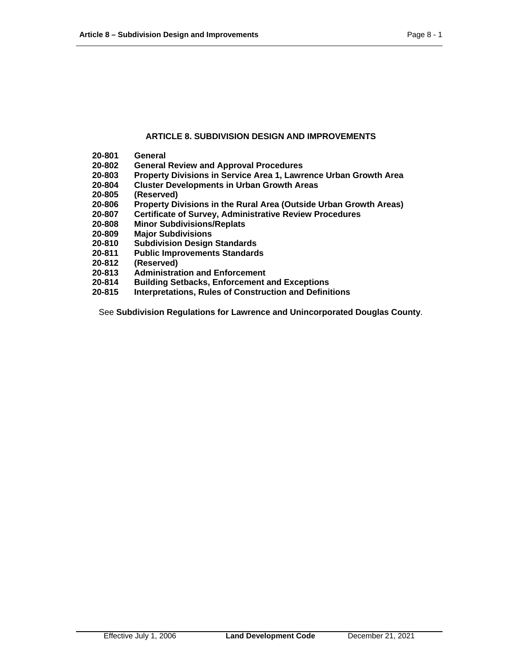#### **ARTICLE 8. SUBDIVISION DESIGN AND IMPROVEMENTS**

- **20-801 General**
- **20-802 General Review and Approval Procedures**
- **20-803 Property Divisions in Service Area 1, Lawrence Urban Growth Area**
- **20-804 Cluster Developments in Urban Growth Areas**
- **20-805 (Reserved)**
- **20-806 Property Divisions in the Rural Area (Outside Urban Growth Areas)**
- **20-807 Certificate of Survey, Administrative Review Procedures**
- **20-808 Minor Subdivisions/Replats**
- **Major Subdivisions**
- **20-810 Subdivision Design Standards**
- **20-811 Public Improvements Standards**
- **20-812 (Reserved)**
- **20-813 Administration and Enforcement**
- **20-814 Building Setbacks, Enforcement and Exceptions**
- **Interpretations, Rules of Construction and Definitions**

See **Subdivision Regulations for Lawrence and Unincorporated Douglas County**.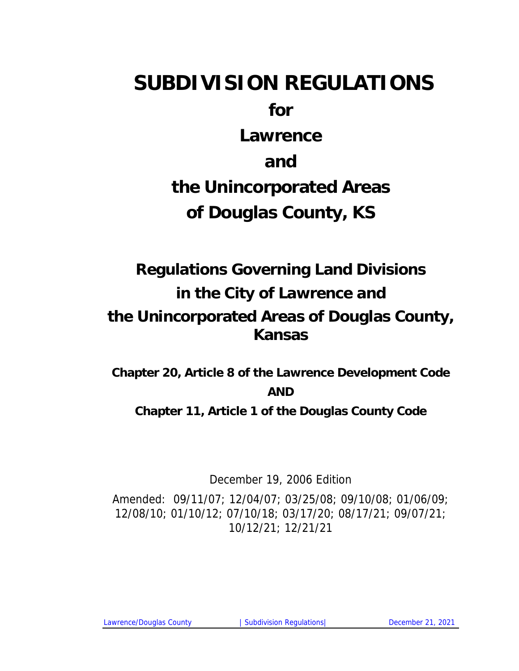# **SUBDIVISION REGULATIONS**

**for** 

**Lawrence** 

**and** 

**the Unincorporated Areas** 

**of Douglas County, KS** 

# **Regulations Governing Land Divisions in the City of Lawrence and the Unincorporated Areas of Douglas County, Kansas**

**Chapter 20, Article 8 of the Lawrence Development Code AND** 

**Chapter 11, Article 1 of the Douglas County Code** 

December 19, 2006 Edition

Amended: 09/11/07; 12/04/07; 03/25/08; 09/10/08; 01/06/09; 12/08/10; 01/10/12; 07/10/18; 03/17/20; 08/17/21; 09/07/21; 10/12/21; 12/21/21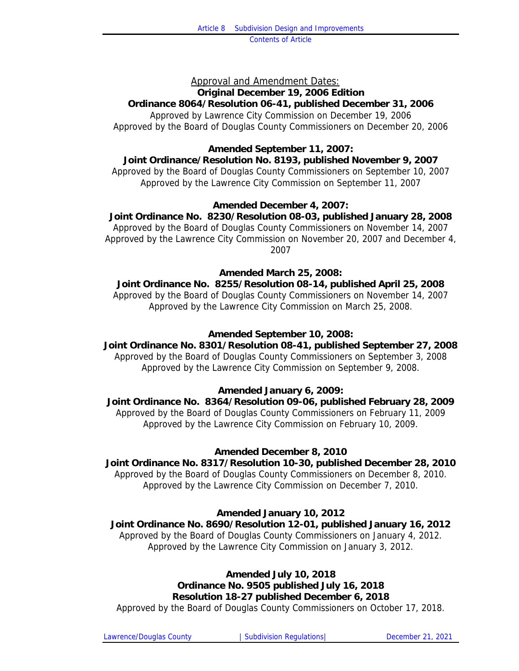#### Approval and Amendment Dates: **Original December 19, 2006 Edition Ordinance 8064/Resolution 06-41, published December 31, 2006**

Approved by Lawrence City Commission on December 19, 2006 Approved by the Board of Douglas County Commissioners on December 20, 2006

# **Amended September 11, 2007:**

# **Joint Ordinance/Resolution No. 8193, published November 9, 2007**

Approved by the Board of Douglas County Commissioners on September 10, 2007 Approved by the Lawrence City Commission on September 11, 2007

# **Amended December 4, 2007:**

# **Joint Ordinance No. 8230/Resolution 08-03, published January 28, 2008**

Approved by the Board of Douglas County Commissioners on November 14, 2007 Approved by the Lawrence City Commission on November 20, 2007 and December 4, 2007

# **Amended March 25, 2008:**

**Joint Ordinance No. 8255/Resolution 08-14, published April 25, 2008**  Approved by the Board of Douglas County Commissioners on November 14, 2007 Approved by the Lawrence City Commission on March 25, 2008.

# **Amended September 10, 2008:**

**Joint Ordinance No. 8301/Resolution 08-41, published September 27, 2008**  Approved by the Board of Douglas County Commissioners on September 3, 2008 Approved by the Lawrence City Commission on September 9, 2008.

# **Amended January 6, 2009:**

**Joint Ordinance No. 8364/Resolution 09-06, published February 28, 2009**  Approved by the Board of Douglas County Commissioners on February 11, 2009 Approved by the Lawrence City Commission on February 10, 2009.

# **Amended December 8, 2010**

#### **Joint Ordinance No. 8317/Resolution 10-30, published December 28, 2010**  Approved by the Board of Douglas County Commissioners on December 8, 2010. Approved by the Lawrence City Commission on December 7, 2010.

# **Amended January 10, 2012**

# **Joint Ordinance No. 8690/Resolution 12-01, published January 16, 2012**

Approved by the Board of Douglas County Commissioners on January 4, 2012. Approved by the Lawrence City Commission on January 3, 2012.

**Amended July 10, 2018 Ordinance No. 9505 published July 16, 2018 Resolution 18-27 published December 6, 2018**  Approved by the Board of Douglas County Commissioners on October 17, 2018.

Lawrence/Douglas County | Subdivision Regulations| December 21, 2021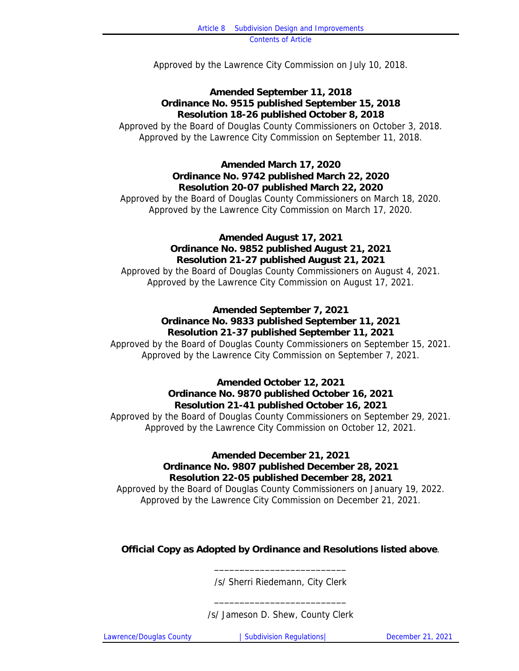Approved by the Lawrence City Commission on July 10, 2018.

# **Amended September 11, 2018 Ordinance No. 9515 published September 15, 2018 Resolution 18-26 published October 8, 2018**

Approved by the Board of Douglas County Commissioners on October 3, 2018. Approved by the Lawrence City Commission on September 11, 2018.

# **Amended March 17, 2020 Ordinance No. 9742 published March 22, 2020 Resolution 20-07 published March 22, 2020**

Approved by the Board of Douglas County Commissioners on March 18, 2020. Approved by the Lawrence City Commission on March 17, 2020.

# **Amended August 17, 2021 Ordinance No. 9852 published August 21, 2021 Resolution 21-27 published August 21, 2021**

Approved by the Board of Douglas County Commissioners on August 4, 2021. Approved by the Lawrence City Commission on August 17, 2021.

# **Amended September 7, 2021 Ordinance No. 9833 published September 11, 2021 Resolution 21-37 published September 11, 2021**

Approved by the Board of Douglas County Commissioners on September 15, 2021. Approved by the Lawrence City Commission on September 7, 2021.

# **Amended October 12, 2021 Ordinance No. 9870 published October 16, 2021 Resolution 21-41 published October 16, 2021**

Approved by the Board of Douglas County Commissioners on September 29, 2021. Approved by the Lawrence City Commission on October 12, 2021.

# **Amended December 21, 2021 Ordinance No. 9807 published December 28, 2021 Resolution 22-05 published December 28, 2021**

Approved by the Board of Douglas County Commissioners on January 19, 2022. Approved by the Lawrence City Commission on December 21, 2021.

# **Official Copy as Adopted by Ordinance and Resolutions listed above**.

\_\_\_\_\_\_\_\_\_\_\_\_\_\_\_\_\_\_\_\_\_\_\_\_\_\_ /s/ Sherri Riedemann, City Clerk

\_\_\_\_\_\_\_\_\_\_\_\_\_\_\_\_\_\_\_\_\_\_\_\_\_\_ /s/ Jameson D. Shew, County Clerk

Lawrence/Douglas County | Subdivision Regulations| December 21, 2021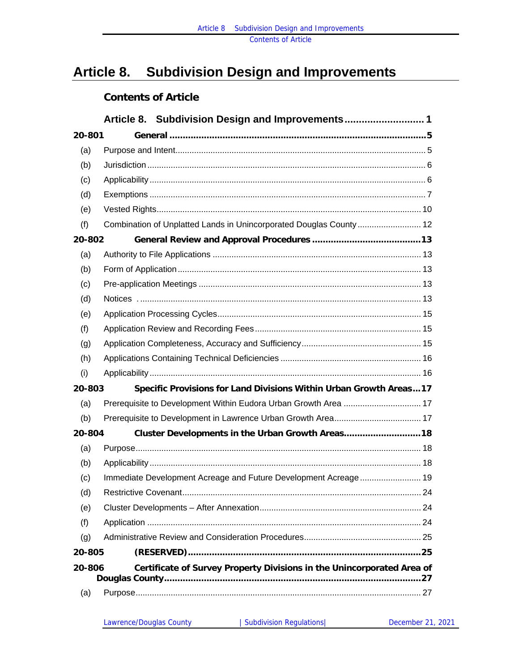# **Article 8. Subdivision Design and Improvements**

|        | Article 8. Subdivision Design and Improvements 1                       |  |
|--------|------------------------------------------------------------------------|--|
| 20-801 |                                                                        |  |
| (a)    |                                                                        |  |
| (b)    |                                                                        |  |
| (c)    |                                                                        |  |
| (d)    |                                                                        |  |
| (e)    |                                                                        |  |
| (f)    | Combination of Unplatted Lands in Unincorporated Douglas County  12    |  |
| 20-802 |                                                                        |  |
| (a)    |                                                                        |  |
| (b)    |                                                                        |  |
| (c)    |                                                                        |  |
| (d)    |                                                                        |  |
| (e)    |                                                                        |  |
| (f)    |                                                                        |  |
| (g)    |                                                                        |  |
| (h)    |                                                                        |  |
| (i)    |                                                                        |  |
| 20-803 | Specific Provisions for Land Divisions Within Urban Growth Areas17     |  |
| (a)    | Prerequisite to Development Within Eudora Urban Growth Area  17        |  |
| (b)    |                                                                        |  |
| 20-804 | Cluster Developments in the Urban Growth Areas 18                      |  |
| (a)    |                                                                        |  |
| (b)    |                                                                        |  |
| (c)    | Immediate Development Acreage and Future Development Acreage 19        |  |
| (d)    |                                                                        |  |
| (e)    |                                                                        |  |
| (f)    |                                                                        |  |
| (g)    |                                                                        |  |
| 20-805 |                                                                        |  |
| 20-806 | Certificate of Survey Property Divisions in the Unincorporated Area of |  |
| (a)    |                                                                        |  |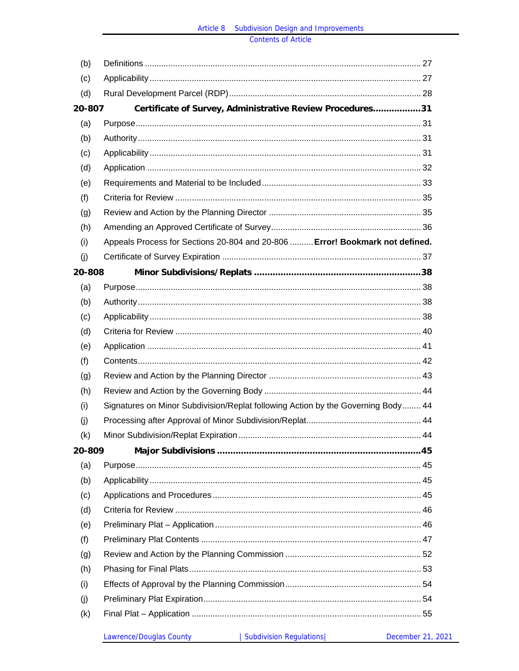| (b)    |                                                                                  |                   |
|--------|----------------------------------------------------------------------------------|-------------------|
| (c)    |                                                                                  |                   |
| (d)    |                                                                                  |                   |
| 20-807 | Certificate of Survey, Administrative Review Procedures31                        |                   |
| (a)    |                                                                                  |                   |
| (b)    |                                                                                  |                   |
| (c)    |                                                                                  |                   |
| (d)    |                                                                                  |                   |
| (e)    |                                                                                  |                   |
| (f)    |                                                                                  |                   |
| (g)    |                                                                                  |                   |
| (h)    |                                                                                  |                   |
| (i)    | Appeals Process for Sections 20-804 and 20-806  Error! Bookmark not defined.     |                   |
| (j)    |                                                                                  |                   |
| 20-808 |                                                                                  |                   |
| (a)    |                                                                                  |                   |
| (b)    |                                                                                  |                   |
| (c)    |                                                                                  |                   |
| (d)    |                                                                                  |                   |
| (e)    |                                                                                  |                   |
| (f)    |                                                                                  |                   |
| (g)    |                                                                                  |                   |
| (h)    |                                                                                  |                   |
| (i)    | Signatures on Minor Subdivision/Replat following Action by the Governing Body 44 |                   |
| (j)    |                                                                                  |                   |
| (k)    |                                                                                  |                   |
| 20-809 |                                                                                  |                   |
| (a)    |                                                                                  |                   |
| (b)    |                                                                                  |                   |
| (c)    |                                                                                  |                   |
| (d)    |                                                                                  |                   |
| (e)    |                                                                                  |                   |
| (f)    |                                                                                  |                   |
| (g)    |                                                                                  |                   |
| (h)    |                                                                                  |                   |
| (i)    |                                                                                  |                   |
| (j)    |                                                                                  |                   |
| (k)    |                                                                                  |                   |
|        |                                                                                  |                   |
|        | Lawrence/Douglas County<br>  Subdivision Regulations                             | December 21, 2021 |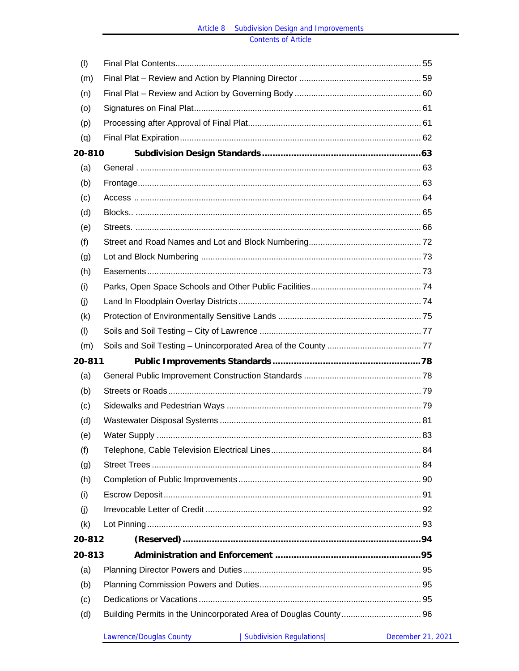#### Article 8 Subdivision Design and Improvements

| (1)    |                                                                  |  |
|--------|------------------------------------------------------------------|--|
| (m)    |                                                                  |  |
| (n)    |                                                                  |  |
| (o)    |                                                                  |  |
| (p)    |                                                                  |  |
| (q)    |                                                                  |  |
| 20-810 |                                                                  |  |
| (a)    |                                                                  |  |
| (b)    |                                                                  |  |
| (c)    |                                                                  |  |
| (d)    |                                                                  |  |
| (e)    |                                                                  |  |
| (f)    |                                                                  |  |
| (g)    |                                                                  |  |
| (h)    |                                                                  |  |
| (i)    |                                                                  |  |
| (j)    |                                                                  |  |
| (k)    |                                                                  |  |
| (1)    |                                                                  |  |
| (m)    |                                                                  |  |
| 20-811 |                                                                  |  |
| (a)    |                                                                  |  |
| (b)    |                                                                  |  |
| (c)    |                                                                  |  |
| (d)    |                                                                  |  |
| (e)    |                                                                  |  |
| (f)    |                                                                  |  |
| (g)    |                                                                  |  |
| (h)    |                                                                  |  |
| (i)    |                                                                  |  |
| (i)    |                                                                  |  |
| (k)    |                                                                  |  |
| 20-812 |                                                                  |  |
| 20-813 |                                                                  |  |
| (a)    |                                                                  |  |
| (b)    |                                                                  |  |
| (c)    |                                                                  |  |
|        |                                                                  |  |
| (d)    | Building Permits in the Unincorporated Area of Douglas County 96 |  |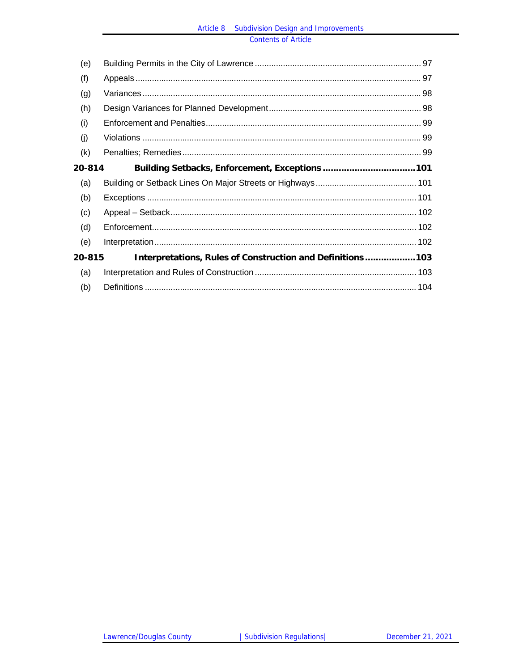#### Article 8 Subdivision Design and Improvements

| (e)    |                                                           |  |
|--------|-----------------------------------------------------------|--|
| (f)    |                                                           |  |
| (g)    |                                                           |  |
| (h)    |                                                           |  |
| (i)    |                                                           |  |
| (i)    |                                                           |  |
| (k)    |                                                           |  |
| 20-814 |                                                           |  |
|        |                                                           |  |
| (a)    |                                                           |  |
| (b)    |                                                           |  |
| (c)    |                                                           |  |
| (d)    |                                                           |  |
| (e)    |                                                           |  |
| 20-815 | Interpretations, Rules of Construction and Definitions103 |  |
| (a)    |                                                           |  |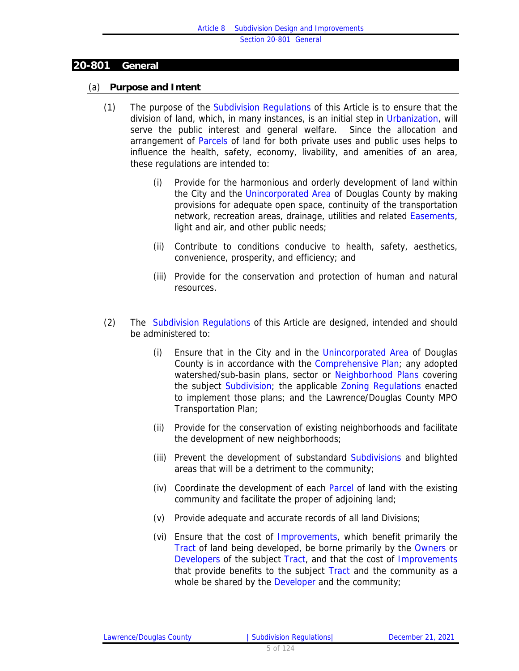#### **20-801 General**

#### (a) **Purpose and Intent**

- (1) The purpose of the Subdivision Regulations of this Article is to ensure that the division of land, which, in many instances, is an initial step in Urbanization, will serve the public interest and general welfare. Since the allocation and arrangement of Parcels of land for both private uses and public uses helps to influence the health, safety, economy, livability, and amenities of an area, these regulations are intended to:
	- (i) Provide for the harmonious and orderly development of land within the City and the Unincorporated Area of Douglas County by making provisions for adequate open space, continuity of the transportation network, recreation areas, drainage, utilities and related Easements, light and air, and other public needs;
	- (ii) Contribute to conditions conducive to health, safety, aesthetics, convenience, prosperity, and efficiency; and
	- (iii) Provide for the conservation and protection of human and natural resources.
- (2) The Subdivision Regulations of this Article are designed, intended and should be administered to:
	- (i) Ensure that in the City and in the Unincorporated Area of Douglas County is in accordance with the Comprehensive Plan; any adopted watershed/sub-basin plans, sector or Neighborhood Plans covering the subject Subdivision; the applicable Zoning Regulations enacted to implement those plans; and the Lawrence/Douglas County MPO Transportation Plan;
	- (ii) Provide for the conservation of existing neighborhoods and facilitate the development of new neighborhoods;
	- (iii) Prevent the development of substandard Subdivisions and blighted areas that will be a detriment to the community;
	- (iv) Coordinate the development of each Parcel of land with the existing community and facilitate the proper of adjoining land;
	- (v) Provide adequate and accurate records of all land Divisions;
	- (vi) Ensure that the cost of Improvements, which benefit primarily the Tract of land being developed, be borne primarily by the Owners or Developers of the subject Tract, and that the cost of Improvements that provide benefits to the subject Tract and the community as a whole be shared by the Developer and the community;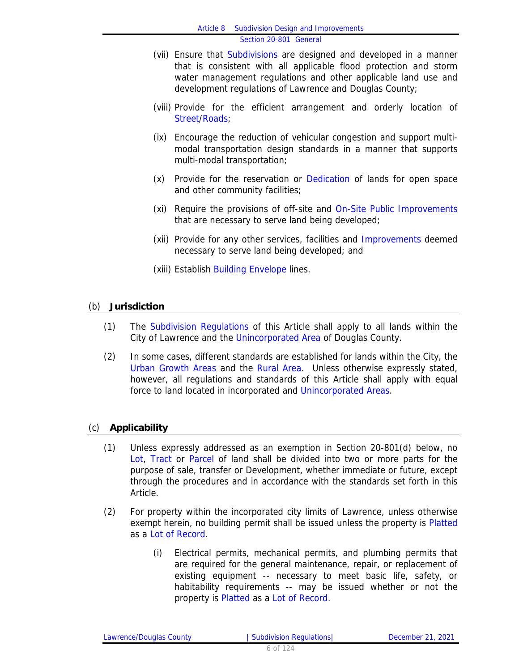#### Section 20-801 General

- (vii) Ensure that Subdivisions are designed and developed in a manner that is consistent with all applicable flood protection and storm water management regulations and other applicable land use and development regulations of Lawrence and Douglas County;
- (viii) Provide for the efficient arrangement and orderly location of Street/Roads;
- (ix) Encourage the reduction of vehicular congestion and support multimodal transportation design standards in a manner that supports multi-modal transportation;
- (x) Provide for the reservation or Dedication of lands for open space and other community facilities;
- (xi) Require the provisions of off-site and On-Site Public Improvements that are necessary to serve land being developed;
- (xii) Provide for any other services, facilities and Improvements deemed necessary to serve land being developed; and
- (xiii) Establish Building Envelope lines.

# (b) **Jurisdiction**

- (1) The Subdivision Regulations of this Article shall apply to all lands within the City of Lawrence and the Unincorporated Area of Douglas County.
- (2) In some cases, different standards are established for lands within the City, the Urban Growth Areas and the Rural Area. Unless otherwise expressly stated, however, all regulations and standards of this Article shall apply with equal force to land located in incorporated and Unincorporated Areas.

# (c) **Applicability**

- (1) Unless expressly addressed as an exemption in Section 20-801(d) below, no Lot, Tract or Parcel of land shall be divided into two or more parts for the purpose of sale, transfer or Development, whether immediate or future, except through the procedures and in accordance with the standards set forth in this Article.
- (2) For property within the incorporated city limits of Lawrence, unless otherwise exempt herein, no building permit shall be issued unless the property is Platted as a Lot of Record.
	- (i) Electrical permits, mechanical permits, and plumbing permits that are required for the general maintenance, repair, or replacement of existing equipment -- necessary to meet basic life, safety, or habitability requirements -- may be issued whether or not the property is Platted as a Lot of Record.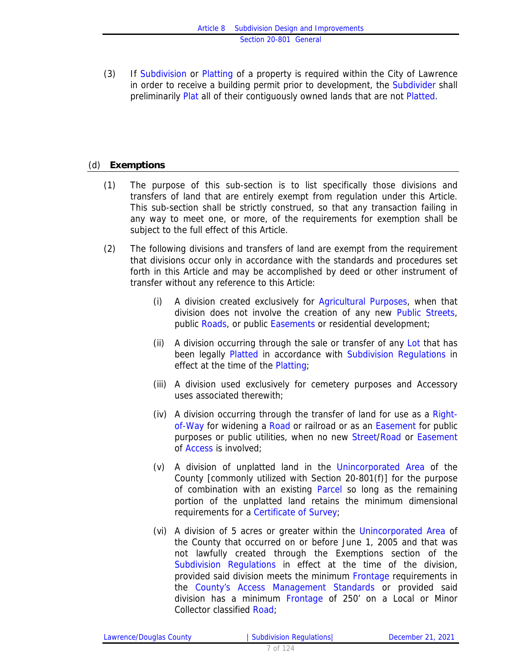(3) If Subdivision or Platting of a property is required within the City of Lawrence in order to receive a building permit prior to development, the Subdivider shall preliminarily Plat all of their contiguously owned lands that are not Platted.

# (d) **Exemptions**

- (1) The purpose of this sub-section is to list specifically those divisions and transfers of land that are entirely exempt from regulation under this Article. This sub-section shall be strictly construed, so that any transaction failing in any way to meet one, or more, of the requirements for exemption shall be subject to the full effect of this Article.
- (2) The following divisions and transfers of land are exempt from the requirement that divisions occur only in accordance with the standards and procedures set forth in this Article and may be accomplished by deed or other instrument of transfer without any reference to this Article:
	- (i) A division created exclusively for Agricultural Purposes, when that division does not involve the creation of any new Public Streets, public Roads, or public Easements or residential development;
	- (ii) A division occurring through the sale or transfer of any Lot that has been legally Platted in accordance with Subdivision Regulations in effect at the time of the Platting;
	- (iii) A division used exclusively for cemetery purposes and Accessory uses associated therewith;
	- (iv) A division occurring through the transfer of land for use as a Rightof-Way for widening a Road or railroad or as an Easement for public purposes or public utilities, when no new Street/Road or Easement of Access is involved;
	- (v) A division of unplatted land in the Unincorporated Area of the County [commonly utilized with Section 20-801(f)] for the purpose of combination with an existing Parcel so long as the remaining portion of the unplatted land retains the minimum dimensional requirements for a Certificate of Survey;
	- (vi) A division of 5 acres or greater within the Unincorporated Area of the County that occurred on or before June 1, 2005 and that was not lawfully created through the Exemptions section of the Subdivision Regulations in effect at the time of the division, provided said division meets the minimum Frontage requirements in the County's Access Management Standards or provided said division has a minimum Frontage of 250' on a Local or Minor Collector classified Road;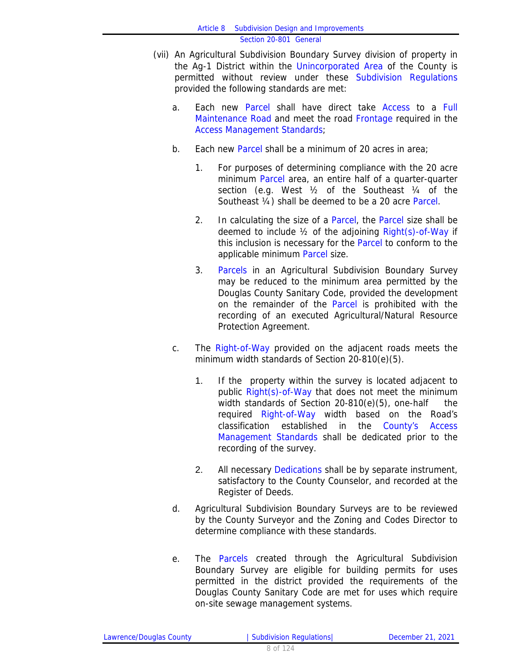#### Section 20-801 General

- (vii) An Agricultural Subdivision Boundary Survey division of property in the Ag-1 District within the Unincorporated Area of the County is permitted without review under these Subdivision Regulations provided the following standards are met:
	- a. Each new Parcel shall have direct take Access to a Full Maintenance Road and meet the road Frontage required in the Access Management Standards;
	- b. Each new Parcel shall be a minimum of 20 acres in area;
		- 1. For purposes of determining compliance with the 20 acre minimum Parcel area, an entire half of a quarter-quarter section (e.g. West  $\frac{1}{2}$  of the Southeast  $\frac{1}{4}$  of the Southeast 1/4) shall be deemed to be a 20 acre Parcel.
		- 2. In calculating the size of a Parcel, the Parcel size shall be deemed to include  $\frac{1}{2}$  of the adjoining Right(s)-of-Way if this inclusion is necessary for the Parcel to conform to the applicable minimum Parcel size.
		- 3. Parcels in an Agricultural Subdivision Boundary Survey may be reduced to the minimum area permitted by the Douglas County Sanitary Code, provided the development on the remainder of the Parcel is prohibited with the recording of an executed Agricultural/Natural Resource Protection Agreement.
	- c. The Right-of-Way provided on the adjacent roads meets the minimum width standards of Section 20-810(e)(5).
		- 1. If the property within the survey is located adjacent to public Right(s)-of-Way that does not meet the minimum width standards of Section  $20-810(e)(5)$ , one-half the required Right-of-Way width based on the Road's classification established in the County's Access Management Standards shall be dedicated prior to the recording of the survey.
		- 2. All necessary Dedications shall be by separate instrument, satisfactory to the County Counselor, and recorded at the Register of Deeds.
	- d. Agricultural Subdivision Boundary Surveys are to be reviewed by the County Surveyor and the Zoning and Codes Director to determine compliance with these standards.
	- e. The Parcels created through the Agricultural Subdivision Boundary Survey are eligible for building permits for uses permitted in the district provided the requirements of the Douglas County Sanitary Code are met for uses which require on-site sewage management systems.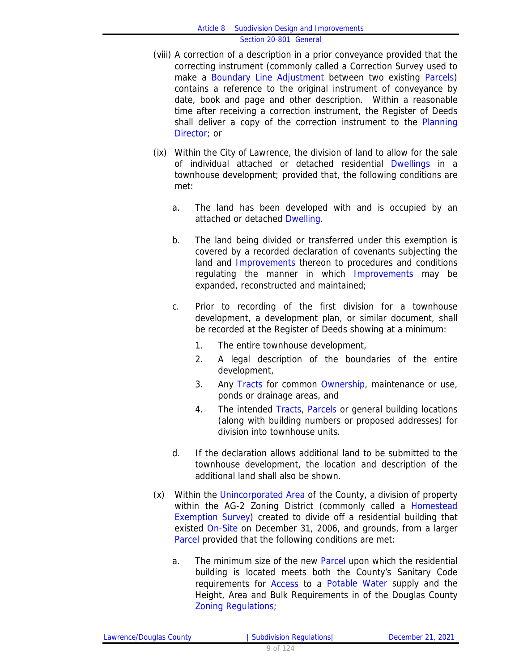#### Section 20-801 General

- (viii) A correction of a description in a prior conveyance provided that the correcting instrument (commonly called a Correction Survey used to make a Boundary Line Adjustment between two existing Parcels) contains a reference to the original instrument of conveyance by date, book and page and other description. Within a reasonable time after receiving a correction instrument, the Register of Deeds shall deliver a copy of the correction instrument to the Planning Director; or
- (ix) Within the City of Lawrence, the division of land to allow for the sale of individual attached or detached residential Dwellings in a townhouse development; provided that, the following conditions are met:
	- a. The land has been developed with and is occupied by an attached or detached Dwelling.
	- b. The land being divided or transferred under this exemption is covered by a recorded declaration of covenants subjecting the land and Improvements thereon to procedures and conditions regulating the manner in which Improvements may be expanded, reconstructed and maintained;
	- c. Prior to recording of the first division for a townhouse development, a development plan, or similar document, shall be recorded at the Register of Deeds showing at a minimum:
		- 1. The entire townhouse development,
		- 2. A legal description of the boundaries of the entire development,
		- 3. Any Tracts for common Ownership, maintenance or use, ponds or drainage areas, and
		- 4. The intended Tracts, Parcels or general building locations (along with building numbers or proposed addresses) for division into townhouse units.
	- d. If the declaration allows additional land to be submitted to the townhouse development, the location and description of the additional land shall also be shown.
- (x) Within the Unincorporated Area of the County, a division of property within the AG-2 Zoning District (commonly called a Homestead Exemption Survey) created to divide off a residential building that existed On-Site on December 31, 2006, and grounds, from a larger Parcel provided that the following conditions are met:
	- a. The minimum size of the new Parcel upon which the residential building is located meets both the County's Sanitary Code requirements for Access to a Potable Water supply and the Height, Area and Bulk Requirements in of the Douglas County Zoning Regulations;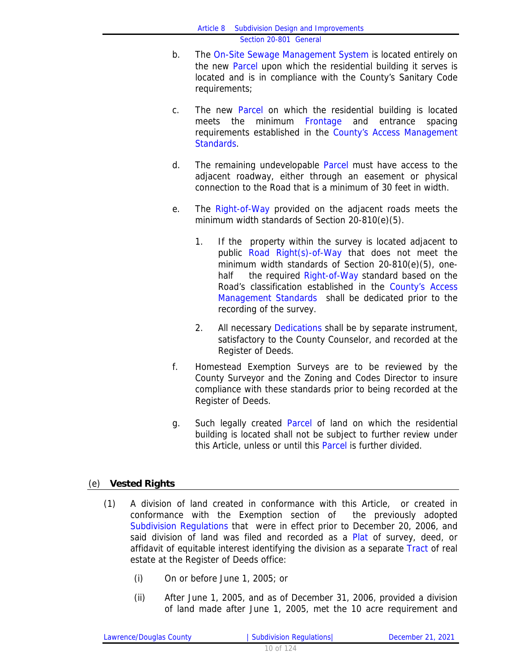- b. The On-Site Sewage Management System is located entirely on the new Parcel upon which the residential building it serves is located and is in compliance with the County's Sanitary Code requirements;
- c. The new Parcel on which the residential building is located meets the minimum Frontage and entrance spacing requirements established in the County's Access Management **Standards**
- d. The remaining undevelopable Parcel must have access to the adjacent roadway, either through an easement or physical connection to the Road that is a minimum of 30 feet in width.
- e. The Right-of-Way provided on the adjacent roads meets the minimum width standards of Section 20-810(e)(5).
	- 1. If the property within the survey is located adjacent to public Road Right(s)-of-Way that does not meet the minimum width standards of Section 20-810(e)(5), onehalf the required Right-of-Way standard based on the Road's classification established in the County's Access Management Standards shall be dedicated prior to the recording of the survey.
	- 2. All necessary Dedications shall be by separate instrument, satisfactory to the County Counselor, and recorded at the Register of Deeds.
- f. Homestead Exemption Surveys are to be reviewed by the County Surveyor and the Zoning and Codes Director to insure compliance with these standards prior to being recorded at the Register of Deeds.
- g. Such legally created Parcel of land on which the residential building is located shall not be subject to further review under this Article, unless or until this Parcel is further divided.

# (e) **Vested Rights**

- (1) A division of land created in conformance with this Article, or created in conformance with the Exemption section of the previously adopted Subdivision Regulations that were in effect prior to December 20, 2006, and said division of land was filed and recorded as a Plat of survey, deed, or affidavit of equitable interest identifying the division as a separate Tract of real estate at the Register of Deeds office:
	- (i) On or before June 1, 2005; or
	- (ii) After June 1, 2005, and as of December 31, 2006, provided a division of land made after June 1, 2005, met the 10 acre requirement and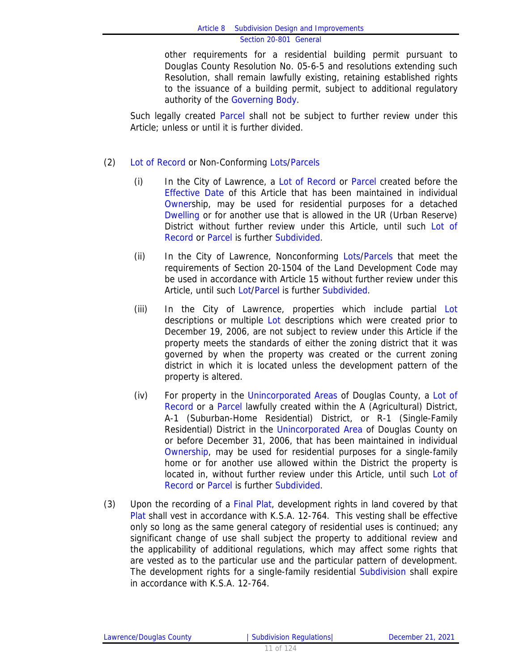#### Section 20-801 General

other requirements for a residential building permit pursuant to Douglas County Resolution No. 05-6-5 and resolutions extending such Resolution, shall remain lawfully existing, retaining established rights to the issuance of a building permit, subject to additional regulatory authority of the Governing Body.

Such legally created Parcel shall not be subject to further review under this Article; unless or until it is further divided.

#### (2) Lot of Record or Non-Conforming Lots/Parcels

- (i) In the City of Lawrence, a Lot of Record or Parcel created before the Effective Date of this Article that has been maintained in individual Ownership, may be used for residential purposes for a detached Dwelling or for another use that is allowed in the UR (Urban Reserve) District without further review under this Article, until such Lot of Record or Parcel is further Subdivided.
- (ii) In the City of Lawrence, Nonconforming Lots/Parcels that meet the requirements of Section 20-1504 of the Land Development Code may be used in accordance with Article 15 without further review under this Article, until such Lot/Parcel is further Subdivided.
- (iii) In the City of Lawrence, properties which include partial Lot descriptions or multiple Lot descriptions which were created prior to December 19, 2006, are not subject to review under this Article if the property meets the standards of either the zoning district that it was governed by when the property was created or the current zoning district in which it is located unless the development pattern of the property is altered.
- (iv) For property in the Unincorporated Areas of Douglas County, a Lot of Record or a Parcel lawfully created within the A (Agricultural) District, A-1 (Suburban-Home Residential) District, or R-1 (Single-Family Residential) District in the Unincorporated Area of Douglas County on or before December 31, 2006, that has been maintained in individual Ownership, may be used for residential purposes for a single-family home or for another use allowed within the District the property is located in, without further review under this Article, until such Lot of Record or Parcel is further Subdivided.
- (3) Upon the recording of a Final Plat, development rights in land covered by that Plat shall vest in accordance with K.S.A. 12-764. This vesting shall be effective only so long as the same general category of residential uses is continued; any significant change of use shall subject the property to additional review and the applicability of additional regulations, which may affect some rights that are vested as to the particular use and the particular pattern of development. The development rights for a single-family residential Subdivision shall expire in accordance with K.S.A. 12-764.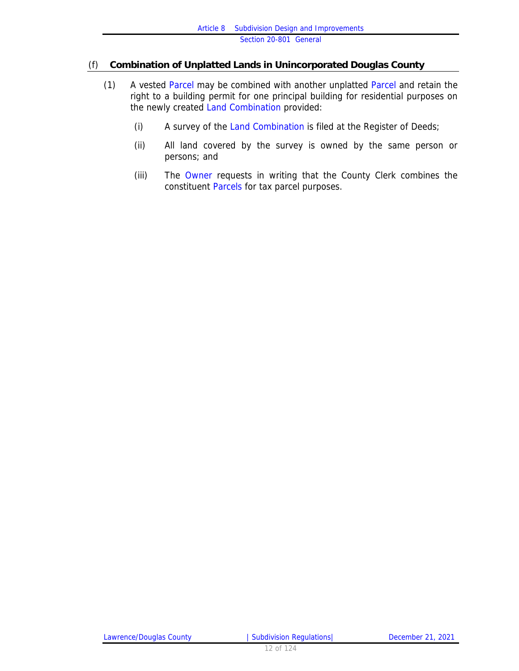# (f) **Combination of Unplatted Lands in Unincorporated Douglas County**

- (1) A vested Parcel may be combined with another unplatted Parcel and retain the right to a building permit for one principal building for residential purposes on the newly created Land Combination provided:
	- (i) A survey of the Land Combination is filed at the Register of Deeds;
	- (ii) All land covered by the survey is owned by the same person or persons; and
	- (iii) The Owner requests in writing that the County Clerk combines the constituent Parcels for tax parcel purposes.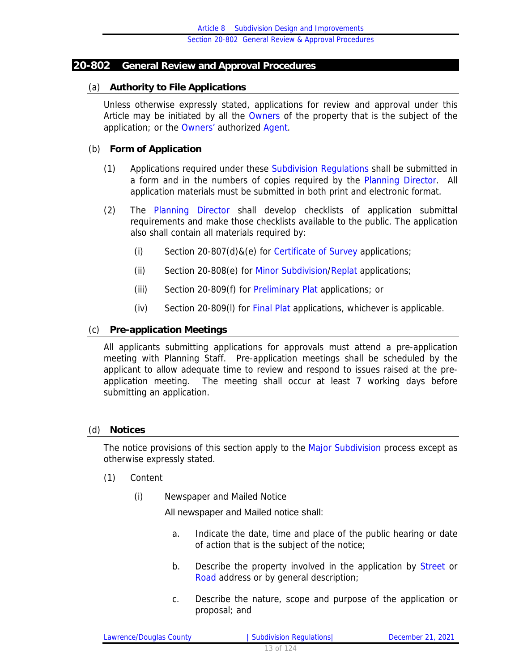# **20-802 General Review and Approval Procedures**

# (a) **Authority to File Applications**

Unless otherwise expressly stated, applications for review and approval under this Article may be initiated by all the Owners of the property that is the subject of the application; or the Owners' authorized Agent.

#### (b) **Form of Application**

- (1) Applications required under these Subdivision Regulations shall be submitted in a form and in the numbers of copies required by the Planning Director. All application materials must be submitted in both print and electronic format.
- (2) The Planning Director shall develop checklists of application submittal requirements and make those checklists available to the public. The application also shall contain all materials required by:
	- (i) Section 20-807(d)&(e) for Certificate of Survey applications;
	- (ii) Section 20-808(e) for Minor Subdivision/Replat applications;
	- (iii) Section 20-809(f) for Preliminary Plat applications; or
	- (iv) Section 20-809(l) for Final Plat applications, whichever is applicable.

# (c) **Pre-application Meetings**

All applicants submitting applications for approvals must attend a pre-application meeting with Planning Staff. Pre-application meetings shall be scheduled by the applicant to allow adequate time to review and respond to issues raised at the preapplication meeting. The meeting shall occur at least 7 working days before submitting an application.

#### (d) **Notices**

The notice provisions of this section apply to the Major Subdivision process except as otherwise expressly stated.

- (1) Content
	- (i) Newspaper and Mailed Notice

All newspaper and Mailed notice shall:

- a. Indicate the date, time and place of the public hearing or date of action that is the subject of the notice;
- b. Describe the property involved in the application by Street or Road address or by general description;
- c. Describe the nature, scope and purpose of the application or proposal; and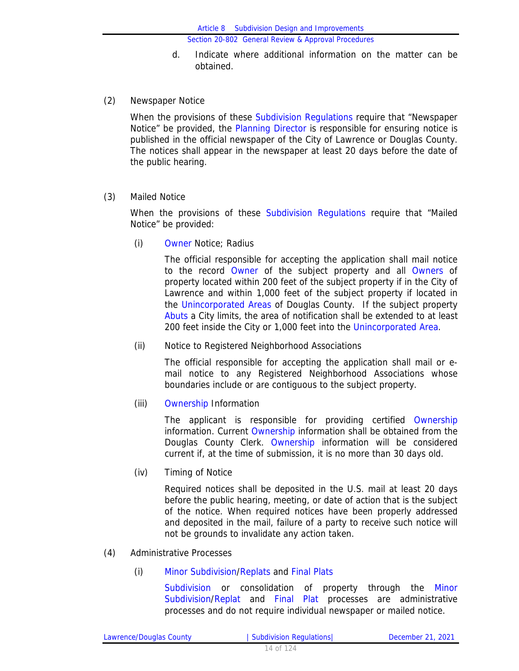Section 20-802 General Review & Approval Procedures

- d. Indicate where additional information on the matter can be obtained.
- (2) Newspaper Notice

When the provisions of these Subdivision Regulations require that "Newspaper" Notice" be provided, the Planning Director is responsible for ensuring notice is published in the official newspaper of the City of Lawrence or Douglas County. The notices shall appear in the newspaper at least 20 days before the date of the public hearing.

(3) Mailed Notice

When the provisions of these Subdivision Regulations require that "Mailed Notice" be provided:

(i) Owner Notice; Radius

The official responsible for accepting the application shall mail notice to the record Owner of the subject property and all Owners of property located within 200 feet of the subject property if in the City of Lawrence and within 1,000 feet of the subject property if located in the Unincorporated Areas of Douglas County. If the subject property Abuts a City limits, the area of notification shall be extended to at least 200 feet inside the City or 1,000 feet into the Unincorporated Area.

(ii) Notice to Registered Neighborhood Associations

The official responsible for accepting the application shall mail or email notice to any Registered Neighborhood Associations whose boundaries include or are contiguous to the subject property.

(iii) Ownership Information

The applicant is responsible for providing certified Ownership information. Current Ownership information shall be obtained from the Douglas County Clerk. Ownership information will be considered current if, at the time of submission, it is no more than 30 days old.

(iv) Timing of Notice

Required notices shall be deposited in the U.S. mail at least 20 days before the public hearing, meeting, or date of action that is the subject of the notice. When required notices have been properly addressed and deposited in the mail, failure of a party to receive such notice will not be grounds to invalidate any action taken.

- (4) Administrative Processes
	- (i) Minor Subdivision/Replats and Final Plats

Subdivision or consolidation of property through the Minor Subdivision/Replat and Final Plat processes are administrative processes and do not require individual newspaper or mailed notice.

| awrence/Douglas County |  |
|------------------------|--|
|------------------------|--|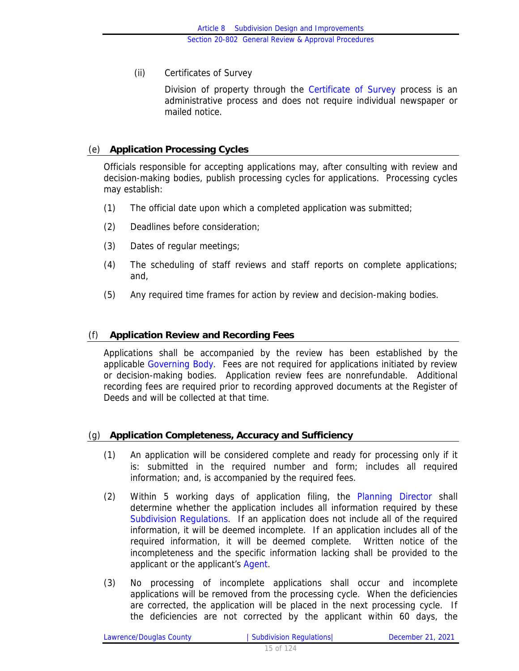(ii) Certificates of Survey

Division of property through the Certificate of Survey process is an administrative process and does not require individual newspaper or mailed notice.

# (e) **Application Processing Cycles**

Officials responsible for accepting applications may, after consulting with review and decision-making bodies, publish processing cycles for applications. Processing cycles may establish:

- (1) The official date upon which a completed application was submitted;
- (2) Deadlines before consideration;
- (3) Dates of regular meetings;
- (4) The scheduling of staff reviews and staff reports on complete applications; and,
- (5) Any required time frames for action by review and decision-making bodies.

#### (f) **Application Review and Recording Fees**

Applications shall be accompanied by the review has been established by the applicable Governing Body. Fees are not required for applications initiated by review or decision-making bodies. Application review fees are nonrefundable. Additional recording fees are required prior to recording approved documents at the Register of Deeds and will be collected at that time.

# (g) **Application Completeness, Accuracy and Sufficiency**

- (1) An application will be considered complete and ready for processing only if it is: submitted in the required number and form; includes all required information; and, is accompanied by the required fees.
- (2) Within 5 working days of application filing, the Planning Director shall determine whether the application includes all information required by these Subdivision Regulations. If an application does not include all of the required information, it will be deemed incomplete. If an application includes all of the required information, it will be deemed complete. Written notice of the incompleteness and the specific information lacking shall be provided to the applicant or the applicant's Agent.
- (3) No processing of incomplete applications shall occur and incomplete applications will be removed from the processing cycle. When the deficiencies are corrected, the application will be placed in the next processing cycle. If the deficiencies are not corrected by the applicant within 60 days, the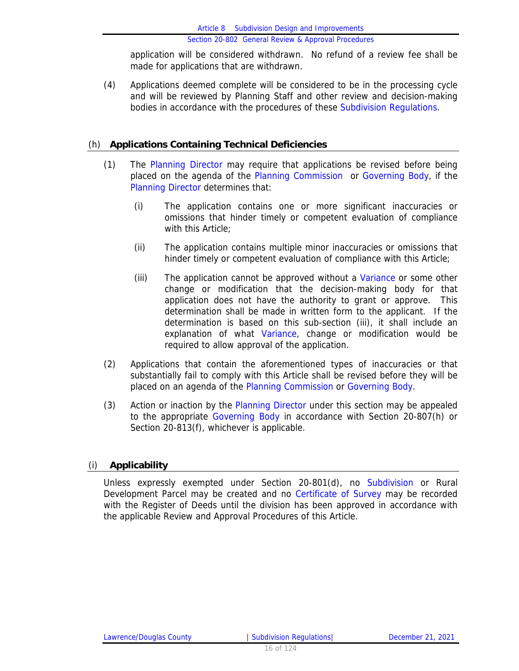Section 20-802 General Review & Approval Procedures

application will be considered withdrawn. No refund of a review fee shall be made for applications that are withdrawn.

(4) Applications deemed complete will be considered to be in the processing cycle and will be reviewed by Planning Staff and other review and decision-making bodies in accordance with the procedures of these Subdivision Regulations.

# (h) **Applications Containing Technical Deficiencies**

- (1) The Planning Director may require that applications be revised before being placed on the agenda of the Planning Commission or Governing Body, if the Planning Director determines that:
	- (i) The application contains one or more significant inaccuracies or omissions that hinder timely or competent evaluation of compliance with this Article;
	- (ii) The application contains multiple minor inaccuracies or omissions that hinder timely or competent evaluation of compliance with this Article;
	- (iii) The application cannot be approved without a Variance or some other change or modification that the decision-making body for that application does not have the authority to grant or approve. This determination shall be made in written form to the applicant. If the determination is based on this sub-section (iii), it shall include an explanation of what Variance, change or modification would be required to allow approval of the application.
- (2) Applications that contain the aforementioned types of inaccuracies or that substantially fail to comply with this Article shall be revised before they will be placed on an agenda of the Planning Commission or Governing Body.
- (3) Action or inaction by the Planning Director under this section may be appealed to the appropriate Governing Body in accordance with Section 20-807(h) or Section 20-813(f), whichever is applicable.

# (i) **Applicability**

Unless expressly exempted under Section 20-801(d), no Subdivision or Rural Development Parcel may be created and no Certificate of Survey may be recorded with the Register of Deeds until the division has been approved in accordance with the applicable Review and Approval Procedures of this Article.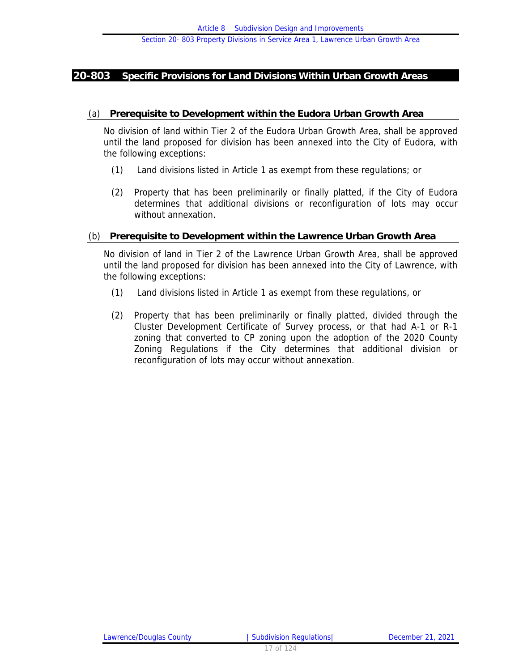# **20-803 Specific Provisions for Land Divisions Within Urban Growth Areas**

#### (a) **Prerequisite to Development within the Eudora Urban Growth Area**

No division of land within Tier 2 of the Eudora Urban Growth Area, shall be approved until the land proposed for division has been annexed into the City of Eudora, with the following exceptions:

- (1) Land divisions listed in Article 1 as exempt from these regulations; or
- (2) Property that has been preliminarily or finally platted, if the City of Eudora determines that additional divisions or reconfiguration of lots may occur without annexation.

#### (b) **Prerequisite to Development within the Lawrence Urban Growth Area**

No division of land in Tier 2 of the Lawrence Urban Growth Area, shall be approved until the land proposed for division has been annexed into the City of Lawrence, with the following exceptions:

- (1) Land divisions listed in Article 1 as exempt from these regulations, or
- (2) Property that has been preliminarily or finally platted, divided through the Cluster Development Certificate of Survey process, or that had A-1 or R-1 zoning that converted to CP zoning upon the adoption of the 2020 County Zoning Regulations if the City determines that additional division or reconfiguration of lots may occur without annexation.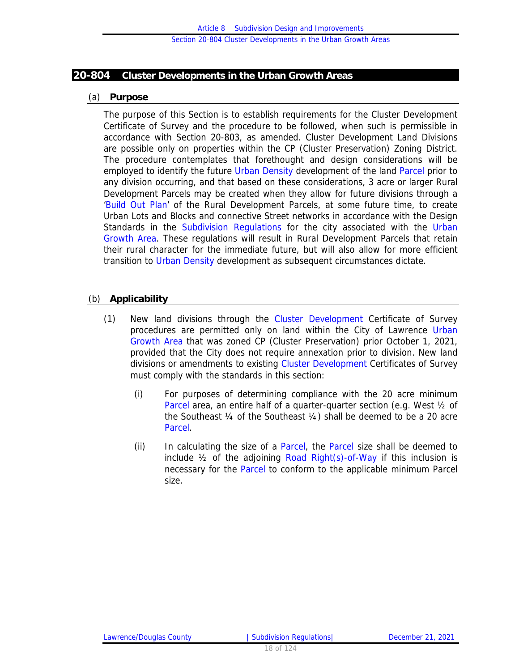#### (a) **Purpose**

The purpose of this Section is to establish requirements for the Cluster Development Certificate of Survey and the procedure to be followed, when such is permissible in accordance with Section 20-803, as amended. Cluster Development Land Divisions are possible only on properties within the CP (Cluster Preservation) Zoning District. The procedure contemplates that forethought and design considerations will be employed to identify the future Urban Density development of the land Parcel prior to any division occurring, and that based on these considerations, 3 acre or larger Rural Development Parcels may be created when they allow for future divisions through a 'Build Out Plan' of the Rural Development Parcels, at some future time, to create Urban Lots and Blocks and connective Street networks in accordance with the Design Standards in the Subdivision Regulations for the city associated with the Urban Growth Area. These regulations will result in Rural Development Parcels that retain their rural character for the immediate future, but will also allow for more efficient transition to Urban Density development as subsequent circumstances dictate.

# (b) **Applicability**

- (1) New land divisions through the Cluster Development Certificate of Survey procedures are permitted only on land within the City of Lawrence Urban Growth Area that was zoned CP (Cluster Preservation) prior October 1, 2021, provided that the City does not require annexation prior to division. New land divisions or amendments to existing Cluster Development Certificates of Survey must comply with the standards in this section:
	- (i) For purposes of determining compliance with the 20 acre minimum Parcel area, an entire half of a quarter-quarter section (e.g. West 1/2 of the Southeast ¼ of the Southeast ¼) shall be deemed to be a 20 acre Parcel.
	- (ii) In calculating the size of a Parcel, the Parcel size shall be deemed to include  $\frac{1}{2}$  of the adjoining Road Right(s)-of-Way if this inclusion is necessary for the Parcel to conform to the applicable minimum Parcel size.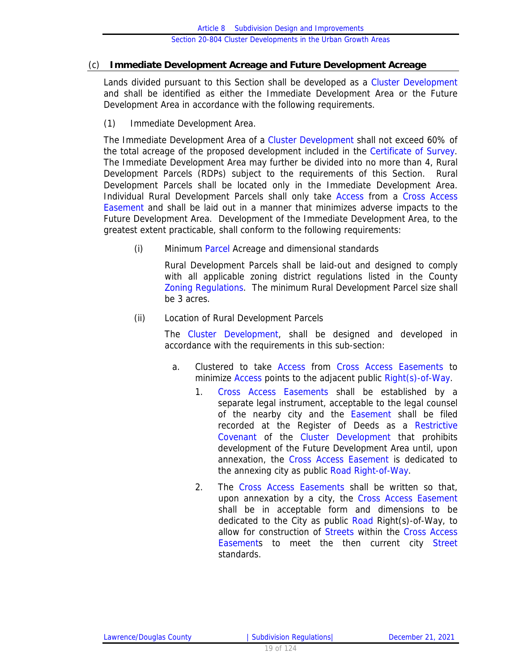#### (c) **Immediate Development Acreage and Future Development Acreage**

Lands divided pursuant to this Section shall be developed as a Cluster Development and shall be identified as either the Immediate Development Area or the Future Development Area in accordance with the following requirements.

(1) Immediate Development Area.

The Immediate Development Area of a Cluster Development shall not exceed 60% of the total acreage of the proposed development included in the Certificate of Survey. The Immediate Development Area may further be divided into no more than 4, Rural Development Parcels (RDPs) subject to the requirements of this Section. Rural Development Parcels shall be located only in the Immediate Development Area. Individual Rural Development Parcels shall only take Access from a Cross Access Easement and shall be laid out in a manner that minimizes adverse impacts to the Future Development Area. Development of the Immediate Development Area, to the greatest extent practicable, shall conform to the following requirements:

(i) Minimum Parcel Acreage and dimensional standards

Rural Development Parcels shall be laid-out and designed to comply with all applicable zoning district regulations listed in the County Zoning Regulations. The minimum Rural Development Parcel size shall be 3 acres.

(ii) Location of Rural Development Parcels

The Cluster Development, shall be designed and developed in accordance with the requirements in this sub-section:

- a. Clustered to take Access from Cross Access Easements to minimize Access points to the adjacent public Right(s)-of-Way.
	- 1. Cross Access Easements shall be established by a separate legal instrument, acceptable to the legal counsel of the nearby city and the Easement shall be filed recorded at the Register of Deeds as a Restrictive Covenant of the Cluster Development that prohibits development of the Future Development Area until, upon annexation, the Cross Access Easement is dedicated to the annexing city as public Road Right-of-Way.
	- 2. The Cross Access Easements shall be written so that, upon annexation by a city, the Cross Access Easement shall be in acceptable form and dimensions to be dedicated to the City as public Road Right(s)-of-Way, to allow for construction of **Streets** within the Cross Access Easements to meet the then current city Street standards.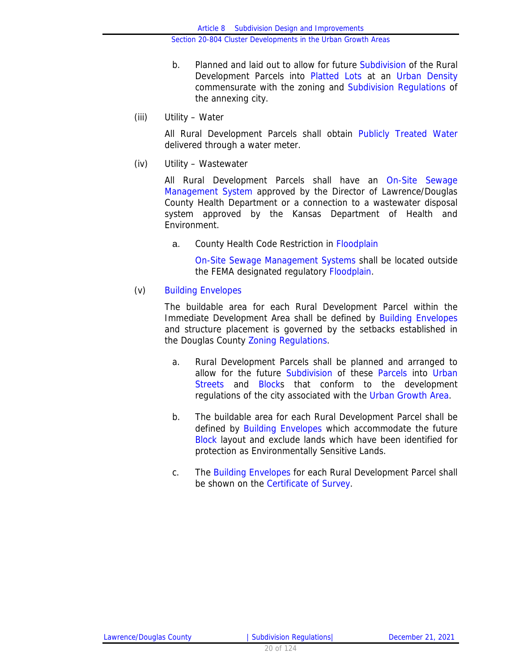- b. Planned and laid out to allow for future Subdivision of the Rural Development Parcels into Platted Lots at an Urban Density commensurate with the zoning and Subdivision Regulations of the annexing city.
- (iii) Utility Water

All Rural Development Parcels shall obtain Publicly Treated Water delivered through a water meter.

(iv) Utility – Wastewater

All Rural Development Parcels shall have an On-Site Sewage Management System approved by the Director of Lawrence/Douglas County Health Department or a connection to a wastewater disposal system approved by the Kansas Department of Health and Environment.

a. County Health Code Restriction in Floodplain

On-Site Sewage Management Systems shall be located outside the FEMA designated regulatory Floodplain.

# (v) Building Envelopes

The buildable area for each Rural Development Parcel within the Immediate Development Area shall be defined by Building Envelopes and structure placement is governed by the setbacks established in the Douglas County Zoning Regulations.

- a. Rural Development Parcels shall be planned and arranged to allow for the future Subdivision of these Parcels into Urban Streets and **Blocks** that conform to the development regulations of the city associated with the Urban Growth Area.
- b. The buildable area for each Rural Development Parcel shall be defined by Building Envelopes which accommodate the future Block layout and exclude lands which have been identified for protection as Environmentally Sensitive Lands.
- c. The Building Envelopes for each Rural Development Parcel shall be shown on the Certificate of Survey.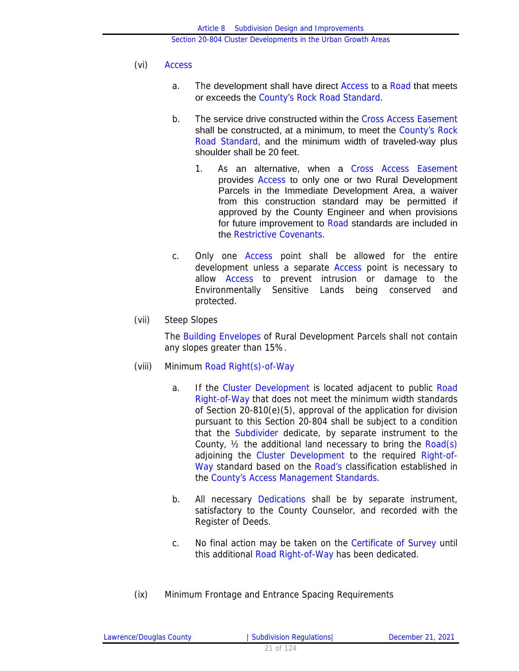- (vi) Access
	- a. The development shall have direct Access to a Road that meets or exceeds the County's Rock Road Standard.
	- b. The service drive constructed within the Cross Access Easement shall be constructed, at a minimum, to meet the County's Rock Road Standard, and the minimum width of traveled-way plus shoulder shall be 20 feet.
		- 1. As an alternative, when a Cross Access Easement provides Access to only one or two Rural Development Parcels in the Immediate Development Area, a waiver from this construction standard may be permitted if approved by the County Engineer and when provisions for future improvement to Road standards are included in the Restrictive Covenants.
	- c. Only one Access point shall be allowed for the entire development unless a separate Access point is necessary to allow Access to prevent intrusion or damage to the Environmentally Sensitive Lands being conserved and protected.
- (vii) Steep Slopes

The Building Envelopes of Rural Development Parcels shall not contain any slopes greater than 15%.

- (viii) Minimum Road Right(s)-of-Way
	- a. If the Cluster Development is located adjacent to public Road Right-of-Way that does not meet the minimum width standards of Section 20-810(e)(5), approval of the application for division pursuant to this Section 20-804 shall be subject to a condition that the Subdivider dedicate, by separate instrument to the County, ½ the additional land necessary to bring the Road(s) adjoining the Cluster Development to the required Right-of-Way standard based on the Road's classification established in the County's Access Management Standards.
	- b. All necessary Dedications shall be by separate instrument, satisfactory to the County Counselor, and recorded with the Register of Deeds.
	- c. No final action may be taken on the Certificate of Survey until this additional Road Right-of-Way has been dedicated.
- (ix) Minimum Frontage and Entrance Spacing Requirements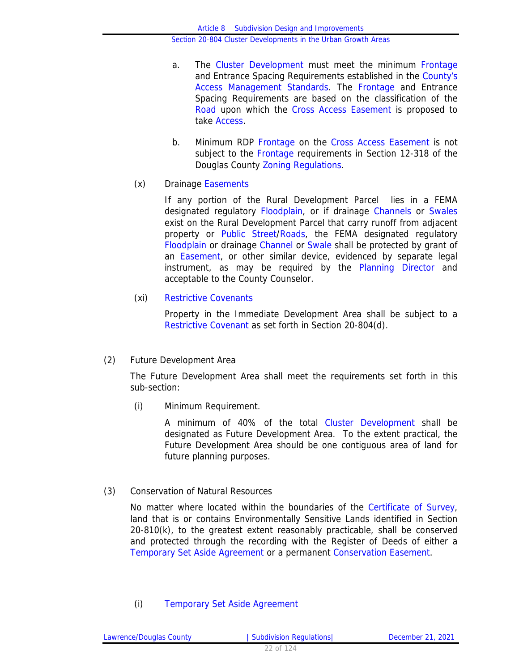- a. The Cluster Development must meet the minimum Frontage and Entrance Spacing Requirements established in the County's Access Management Standards. The Frontage and Entrance Spacing Requirements are based on the classification of the Road upon which the Cross Access Easement is proposed to take Access.
- b. Minimum RDP Frontage on the Cross Access Easement is not subject to the Frontage requirements in Section 12-318 of the Douglas County Zoning Regulations.
- (x) Drainage Easements

If any portion of the Rural Development Parcel lies in a FEMA designated regulatory Floodplain, or if drainage Channels or Swales exist on the Rural Development Parcel that carry runoff from adjacent property or Public Street/Roads, the FEMA designated regulatory Floodplain or drainage Channel or Swale shall be protected by grant of an Easement, or other similar device, evidenced by separate legal instrument, as may be required by the Planning Director and acceptable to the County Counselor.

(xi) Restrictive Covenants

Property in the Immediate Development Area shall be subject to a Restrictive Covenant as set forth in Section 20-804(d).

(2) Future Development Area

The Future Development Area shall meet the requirements set forth in this sub-section:

(i) Minimum Requirement.

A minimum of 40% of the total Cluster Development shall be designated as Future Development Area. To the extent practical, the Future Development Area should be one contiguous area of land for future planning purposes.

(3) Conservation of Natural Resources

No matter where located within the boundaries of the Certificate of Survey, land that is or contains Environmentally Sensitive Lands identified in Section 20-810(k), to the greatest extent reasonably practicable, shall be conserved and protected through the recording with the Register of Deeds of either a Temporary Set Aside Agreement or a permanent Conservation Easement.

(i) Temporary Set Aside Agreement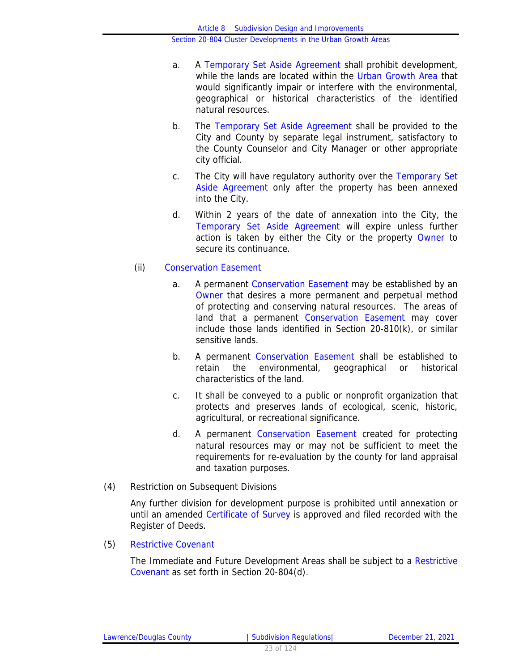- a. A Temporary Set Aside Agreement shall prohibit development, while the lands are located within the Urban Growth Area that would significantly impair or interfere with the environmental, geographical or historical characteristics of the identified natural resources.
- b. The Temporary Set Aside Agreement shall be provided to the City and County by separate legal instrument, satisfactory to the County Counselor and City Manager or other appropriate city official.
- c. The City will have regulatory authority over the Temporary Set Aside Agreement only after the property has been annexed into the City.
- d. Within 2 years of the date of annexation into the City, the Temporary Set Aside Agreement will expire unless further action is taken by either the City or the property Owner to secure its continuance.

# (ii) Conservation Easement

- a. A permanent Conservation Easement may be established by an Owner that desires a more permanent and perpetual method of protecting and conserving natural resources. The areas of land that a permanent Conservation Easement may cover include those lands identified in Section 20-810(k), or similar sensitive lands.
- b. A permanent Conservation Easement shall be established to retain the environmental, geographical or historical characteristics of the land.
- c. It shall be conveyed to a public or nonprofit organization that protects and preserves lands of ecological, scenic, historic, agricultural, or recreational significance.
- d. A permanent Conservation Easement created for protecting natural resources may or may not be sufficient to meet the requirements for re-evaluation by the county for land appraisal and taxation purposes.
- (4) Restriction on Subsequent Divisions

Any further division for development purpose is prohibited until annexation or until an amended Certificate of Survey is approved and filed recorded with the Register of Deeds.

# (5) Restrictive Covenant

The Immediate and Future Development Areas shall be subject to a Restrictive Covenant as set forth in Section 20-804(d).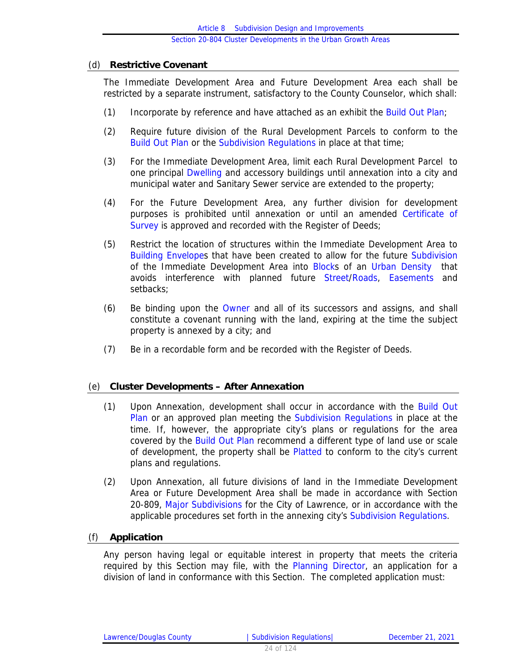# (d) **Restrictive Covenant**

The Immediate Development Area and Future Development Area each shall be restricted by a separate instrument, satisfactory to the County Counselor, which shall:

- (1) Incorporate by reference and have attached as an exhibit the Build Out Plan;
- (2) Require future division of the Rural Development Parcels to conform to the Build Out Plan or the Subdivision Regulations in place at that time;
- (3) For the Immediate Development Area, limit each Rural Development Parcel to one principal Dwelling and accessory buildings until annexation into a city and municipal water and Sanitary Sewer service are extended to the property;
- (4) For the Future Development Area, any further division for development purposes is prohibited until annexation or until an amended Certificate of Survey is approved and recorded with the Register of Deeds;
- (5) Restrict the location of structures within the Immediate Development Area to Building Envelopes that have been created to allow for the future Subdivision of the Immediate Development Area into Blocks of an Urban Density that avoids interference with planned future Street/Roads, Easements and setbacks:
- (6) Be binding upon the Owner and all of its successors and assigns, and shall constitute a covenant running with the land, expiring at the time the subject property is annexed by a city; and
- (7) Be in a recordable form and be recorded with the Register of Deeds.

# (e) **Cluster Developments – After Annexation**

- (1) Upon Annexation, development shall occur in accordance with the Build Out Plan or an approved plan meeting the Subdivision Regulations in place at the time. If, however, the appropriate city's plans or regulations for the area covered by the Build Out Plan recommend a different type of land use or scale of development, the property shall be Platted to conform to the city's current plans and regulations.
- (2) Upon Annexation, all future divisions of land in the Immediate Development Area or Future Development Area shall be made in accordance with Section 20-809, Major Subdivisions for the City of Lawrence, or in accordance with the applicable procedures set forth in the annexing city's Subdivision Regulations.

# (f) **Application**

Any person having legal or equitable interest in property that meets the criteria required by this Section may file, with the Planning Director, an application for a division of land in conformance with this Section. The completed application must: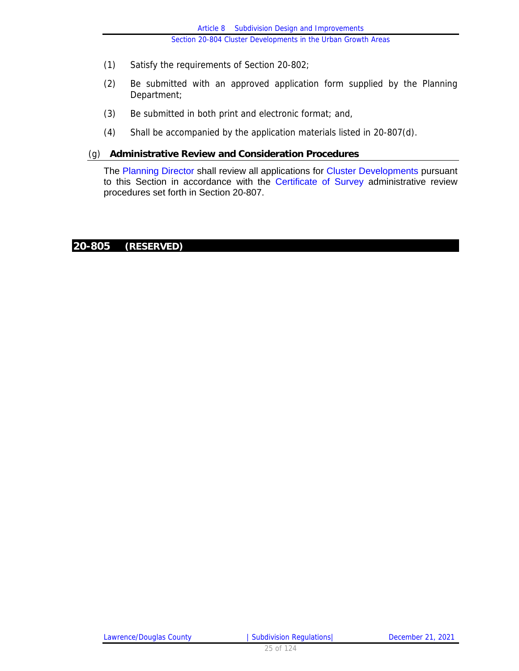- (1) Satisfy the requirements of Section 20-802;
- (2) Be submitted with an approved application form supplied by the Planning Department;
- (3) Be submitted in both print and electronic format; and,
- (4) Shall be accompanied by the application materials listed in 20-807(d).

#### (g) **Administrative Review and Consideration Procedures**

The Planning Director shall review all applications for Cluster Developments pursuant to this Section in accordance with the Certificate of Survey administrative review procedures set forth in Section 20-807.

#### **20-805 (RESERVED)**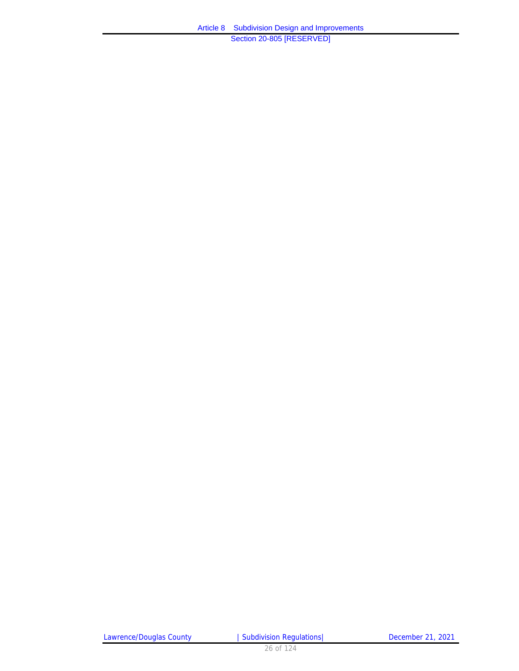Section 20-805 [RESERVED]

Lawrence/Douglas County | Subdivision Regulations| December 21, 2021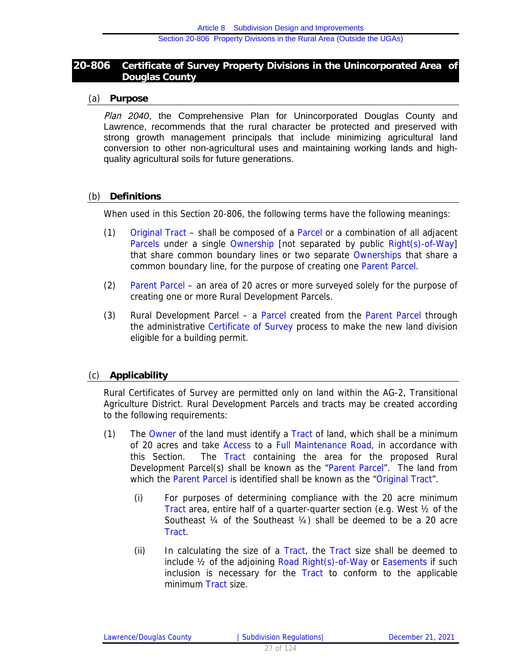# **20-806 Certificate of Survey Property Divisions in the Unincorporated Area of Douglas County**

#### (a) **Purpose**

Plan *2040*, the Comprehensive Plan for Unincorporated Douglas County and Lawrence, recommends that the rural character be protected and preserved with strong growth management principals that include minimizing agricultural land conversion to other non-agricultural uses and maintaining working lands and highquality agricultural soils for future generations.

# (b) **Definitions**

When used in this Section 20-806, the following terms have the following meanings:

- (1) Original Tract shall be composed of a Parcel or a combination of all adjacent Parcels under a single Ownership [not separated by public Right(s)-of-Way] that share common boundary lines or two separate Ownerships that share a common boundary line, for the purpose of creating one Parent Parcel.
- (2) Parent Parcel an area of 20 acres or more surveyed solely for the purpose of creating one or more Rural Development Parcels.
- (3) Rural Development Parcel a Parcel created from the Parent Parcel through the administrative Certificate of Survey process to make the new land division eligible for a building permit.

# (c) **Applicability**

Rural Certificates of Survey are permitted only on land within the AG-2, Transitional Agriculture District. Rural Development Parcels and tracts may be created according to the following requirements:

- (1) The Owner of the land must identify a Tract of land, which shall be a minimum of 20 acres and take Access to a Full Maintenance Road, in accordance with this Section. The Tract containing the area for the proposed Rural Development Parcel(s) shall be known as the "Parent Parcel". The land from which the Parent Parcel is identified shall be known as the "Original Tract".
	- (i) For purposes of determining compliance with the 20 acre minimum Tract area, entire half of a quarter-quarter section (e.g. West ½ of the Southeast ¼ of the Southeast ¼) shall be deemed to be a 20 acre Tract.
	- (ii) In calculating the size of a Tract, the Tract size shall be deemed to include ½ of the adjoining Road Right(s)-of-Way or Easements if such inclusion is necessary for the Tract to conform to the applicable minimum Tract size.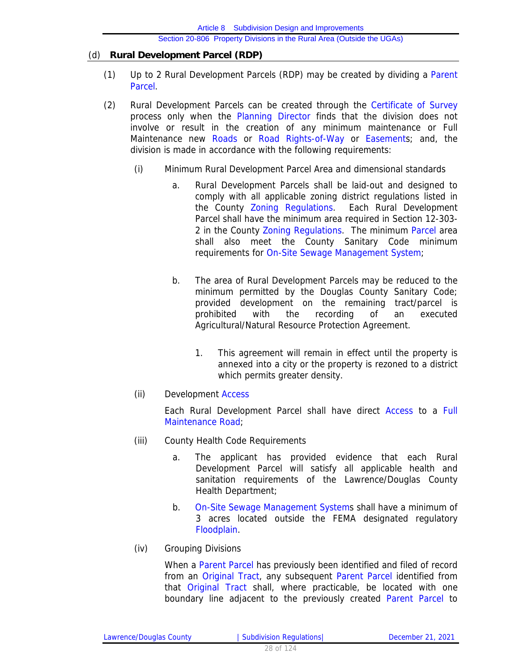Section 20-806 Property Divisions in the Rural Area (Outside the UGAs)

#### (d) **Rural Development Parcel (RDP)**

- (1) Up to 2 Rural Development Parcels (RDP) may be created by dividing a Parent Parcel.
- (2) Rural Development Parcels can be created through the Certificate of Survey process only when the Planning Director finds that the division does not involve or result in the creation of any minimum maintenance or Full Maintenance new Roads or Road Rights-of-Way or Easements; and, the division is made in accordance with the following requirements:
	- (i) Minimum Rural Development Parcel Area and dimensional standards
		- a. Rural Development Parcels shall be laid-out and designed to comply with all applicable zoning district regulations listed in the County Zoning Regulations. Each Rural Development Parcel shall have the minimum area required in Section 12-303- 2 in the County Zoning Regulations. The minimum Parcel area shall also meet the County Sanitary Code minimum requirements for On-Site Sewage Management System;
		- b. The area of Rural Development Parcels may be reduced to the minimum permitted by the Douglas County Sanitary Code; provided development on the remaining tract/parcel is prohibited with the recording of an executed Agricultural/Natural Resource Protection Agreement.
			- 1. This agreement will remain in effect until the property is annexed into a city or the property is rezoned to a district which permits greater density.
	- (ii) Development Access

Each Rural Development Parcel shall have direct Access to a Full Maintenance Road;

- (iii) County Health Code Requirements
	- a. The applicant has provided evidence that each Rural Development Parcel will satisfy all applicable health and sanitation requirements of the Lawrence/Douglas County Health Department;
	- b. On-Site Sewage Management Systems shall have a minimum of 3 acres located outside the FEMA designated regulatory Floodplain.
- (iv) Grouping Divisions

When a Parent Parcel has previously been identified and filed of record from an Original Tract, any subsequent Parent Parcel identified from that Original Tract shall, where practicable, be located with one boundary line adjacent to the previously created Parent Parcel to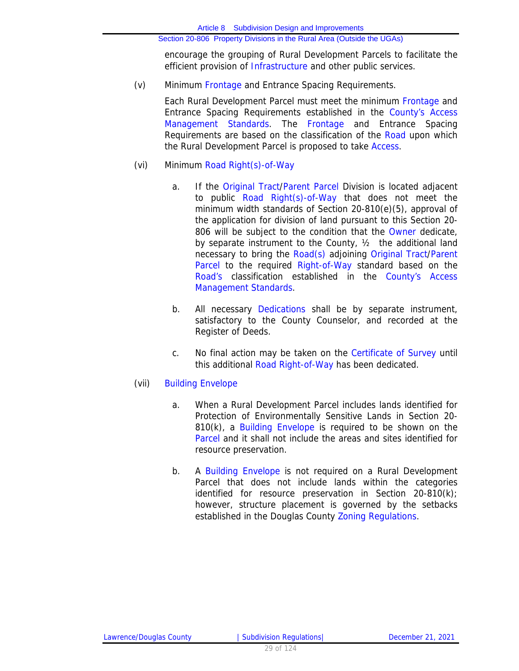Section 20-806 Property Divisions in the Rural Area (Outside the UGAs)

encourage the grouping of Rural Development Parcels to facilitate the efficient provision of Infrastructure and other public services.

(v) Minimum Frontage and Entrance Spacing Requirements.

Each Rural Development Parcel must meet the minimum Frontage and Entrance Spacing Requirements established in the County's Access Management Standards. The Frontage and Entrance Spacing Requirements are based on the classification of the Road upon which the Rural Development Parcel is proposed to take Access.

- (vi) Minimum Road Right(s)-of-Way
	- a. If the Original Tract/Parent Parcel Division is located adjacent to public Road Right(s)-of-Way that does not meet the minimum width standards of Section 20-810(e)(5), approval of the application for division of land pursuant to this Section 20- 806 will be subject to the condition that the Owner dedicate, by separate instrument to the County, ½ the additional land necessary to bring the Road(s) adjoining Original Tract/Parent Parcel to the required Right-of-Way standard based on the Road's classification established in the County's Access Management Standards.
	- b. All necessary Dedications shall be by separate instrument, satisfactory to the County Counselor, and recorded at the Register of Deeds.
	- c. No final action may be taken on the Certificate of Survey until this additional Road Right-of-Way has been dedicated.

# (vii) Building Envelope

- a. When a Rural Development Parcel includes lands identified for Protection of Environmentally Sensitive Lands in Section 20- 810(k), a Building Envelope is required to be shown on the Parcel and it shall not include the areas and sites identified for resource preservation.
- b. A Building Envelope is not required on a Rural Development Parcel that does not include lands within the categories identified for resource preservation in Section 20-810(k); however, structure placement is governed by the setbacks established in the Douglas County Zoning Regulations.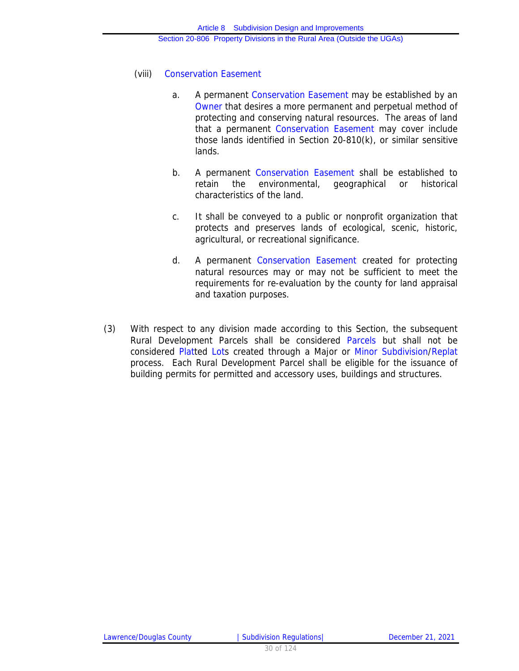# (viii) Conservation Easement

- a. A permanent Conservation Easement may be established by an Owner that desires a more permanent and perpetual method of protecting and conserving natural resources. The areas of land that a permanent Conservation Easement may cover include those lands identified in Section 20-810(k), or similar sensitive lands.
- b. A permanent Conservation Easement shall be established to retain the environmental, geographical or historical characteristics of the land.
- c. It shall be conveyed to a public or nonprofit organization that protects and preserves lands of ecological, scenic, historic, agricultural, or recreational significance.
- d. A permanent Conservation Easement created for protecting natural resources may or may not be sufficient to meet the requirements for re-evaluation by the county for land appraisal and taxation purposes.
- (3) With respect to any division made according to this Section, the subsequent Rural Development Parcels shall be considered Parcels but shall not be considered Platted Lots created through a Major or Minor Subdivision/Replat process. Each Rural Development Parcel shall be eligible for the issuance of building permits for permitted and accessory uses, buildings and structures.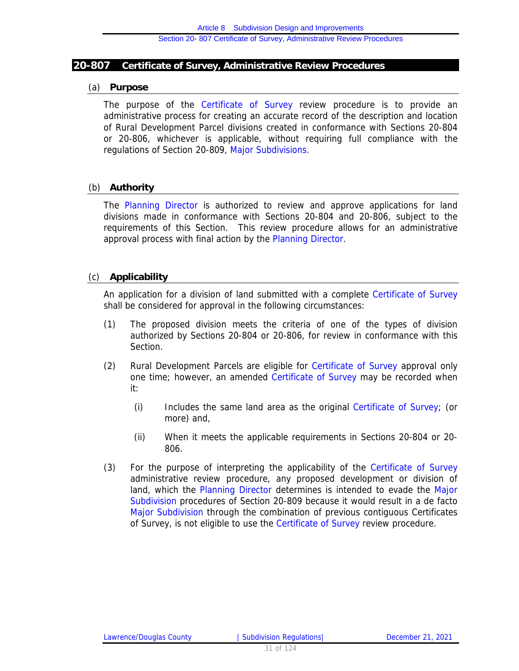#### Section 20- 807 Certificate of Survey, Administrative Review Procedures

#### **20-807 Certificate of Survey, Administrative Review Procedures**

#### (a) **Purpose**

The purpose of the Certificate of Survey review procedure is to provide an administrative process for creating an accurate record of the description and location of Rural Development Parcel divisions created in conformance with Sections 20-804 or 20-806, whichever is applicable, without requiring full compliance with the regulations of Section 20-809, Major Subdivisions.

#### (b) **Authority**

The Planning Director is authorized to review and approve applications for land divisions made in conformance with Sections 20-804 and 20-806, subject to the requirements of this Section. This review procedure allows for an administrative approval process with final action by the Planning Director.

#### (c) **Applicability**

An application for a division of land submitted with a complete Certificate of Survey shall be considered for approval in the following circumstances:

- (1) The proposed division meets the criteria of one of the types of division authorized by Sections 20-804 or 20-806, for review in conformance with this Section.
- (2) Rural Development Parcels are eligible for Certificate of Survey approval only one time; however, an amended Certificate of Survey may be recorded when it:
	- (i) Includes the same land area as the original Certificate of Survey; (or more) and,
	- (ii) When it meets the applicable requirements in Sections 20-804 or 20- 806.
- (3) For the purpose of interpreting the applicability of the Certificate of Survey administrative review procedure, any proposed development or division of land, which the Planning Director determines is intended to evade the Major Subdivision procedures of Section 20-809 because it would result in a de facto Major Subdivision through the combination of previous contiguous Certificates of Survey, is not eligible to use the Certificate of Survey review procedure.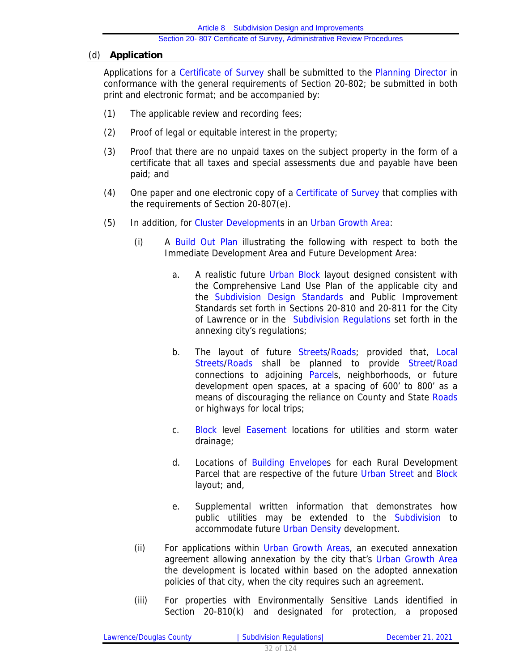#### (d) **Application**

Applications for a Certificate of Survey shall be submitted to the Planning Director in conformance with the general requirements of Section 20-802; be submitted in both print and electronic format; and be accompanied by:

- (1) The applicable review and recording fees;
- (2) Proof of legal or equitable interest in the property;
- (3) Proof that there are no unpaid taxes on the subject property in the form of a certificate that all taxes and special assessments due and payable have been paid; and
- (4) One paper and one electronic copy of a Certificate of Survey that complies with the requirements of Section 20-807(e).
- (5) In addition, for Cluster Developments in an Urban Growth Area:
	- (i) A Build Out Plan illustrating the following with respect to both the Immediate Development Area and Future Development Area:
		- a. A realistic future Urban Block layout designed consistent with the Comprehensive Land Use Plan of the applicable city and the Subdivision Design Standards and Public Improvement Standards set forth in Sections 20-810 and 20-811 for the City of Lawrence or in the Subdivision Regulations set forth in the annexing city's regulations;
		- b. The layout of future Streets/Roads; provided that, Local Streets/Roads shall be planned to provide Street/Road connections to adjoining Parcels, neighborhoods, or future development open spaces, at a spacing of 600' to 800' as a means of discouraging the reliance on County and State Roads or highways for local trips;
		- c. Block level Easement locations for utilities and storm water drainage;
		- d. Locations of Building Envelopes for each Rural Development Parcel that are respective of the future Urban Street and Block layout; and,
		- e. Supplemental written information that demonstrates how public utilities may be extended to the Subdivision to accommodate future Urban Density development.
	- (ii) For applications within Urban Growth Areas, an executed annexation agreement allowing annexation by the city that's Urban Growth Area the development is located within based on the adopted annexation policies of that city, when the city requires such an agreement.
	- (iii) For properties with Environmentally Sensitive Lands identified in Section 20-810(k) and designated for protection, a proposed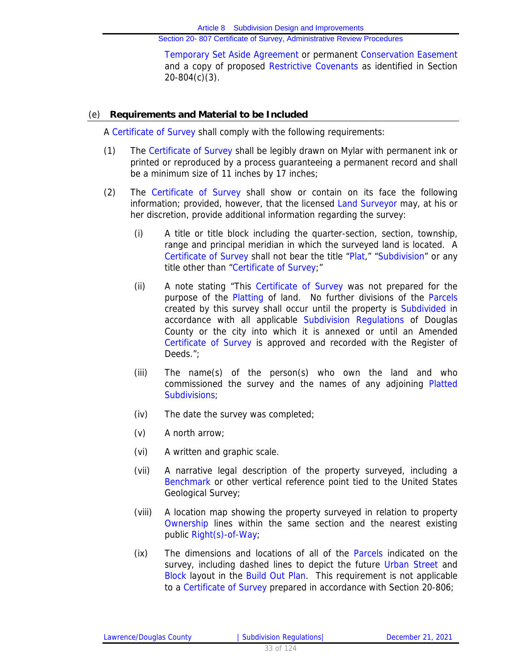Temporary Set Aside Agreement or permanent Conservation Easement and a copy of proposed Restrictive Covenants as identified in Section 20-804(c)(3).

#### (e) **Requirements and Material to be Included**

A Certificate of Survey shall comply with the following requirements:

- (1) The Certificate of Survey shall be legibly drawn on Mylar with permanent ink or printed or reproduced by a process guaranteeing a permanent record and shall be a minimum size of 11 inches by 17 inches;
- (2) The Certificate of Survey shall show or contain on its face the following information; provided, however, that the licensed Land Surveyor may, at his or her discretion, provide additional information regarding the survey:
	- (i) A title or title block including the quarter-section, section, township, range and principal meridian in which the surveyed land is located. A Certificate of Survey shall not bear the title "Plat," "Subdivision" or any title other than "Certificate of Survey;"
	- (ii) A note stating "This Certificate of Survey was not prepared for the purpose of the Platting of land. No further divisions of the Parcels created by this survey shall occur until the property is Subdivided in accordance with all applicable Subdivision Regulations of Douglas County or the city into which it is annexed or until an Amended Certificate of Survey is approved and recorded with the Register of Deeds.";
	- (iii) The name(s) of the person(s) who own the land and who commissioned the survey and the names of any adjoining Platted Subdivisions;
	- (iv) The date the survey was completed;
	- (v) A north arrow;
	- (vi) A written and graphic scale.
	- (vii) A narrative legal description of the property surveyed, including a Benchmark or other vertical reference point tied to the United States Geological Survey;
	- (viii) A location map showing the property surveyed in relation to property Ownership lines within the same section and the nearest existing public Right(s)-of-Way;
	- (ix) The dimensions and locations of all of the Parcels indicated on the survey, including dashed lines to depict the future Urban Street and Block layout in the Build Out Plan. This requirement is not applicable to a Certificate of Survey prepared in accordance with Section 20-806;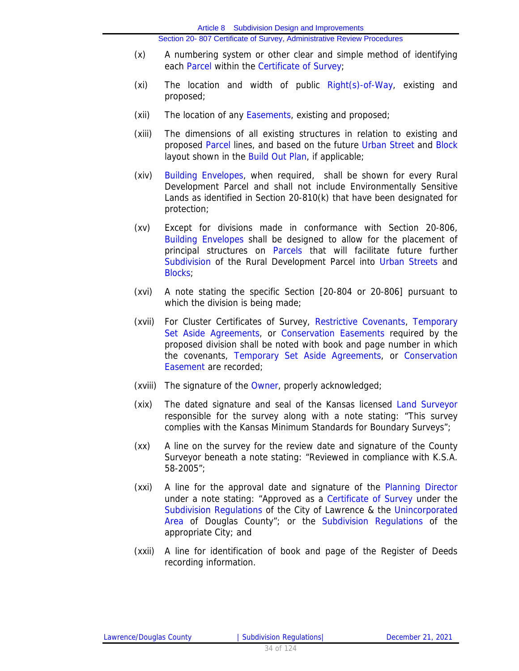- (x) A numbering system or other clear and simple method of identifying each Parcel within the Certificate of Survey;
- (xi) The location and width of public Right(s)-of-Way, existing and proposed;
- (xii) The location of any Easements, existing and proposed;
- (xiii) The dimensions of all existing structures in relation to existing and proposed Parcel lines, and based on the future Urban Street and Block layout shown in the Build Out Plan, if applicable;
- (xiv) Building Envelopes, when required, shall be shown for every Rural Development Parcel and shall not include Environmentally Sensitive Lands as identified in Section 20-810(k) that have been designated for protection;
- (xv) Except for divisions made in conformance with Section 20-806, Building Envelopes shall be designed to allow for the placement of principal structures on Parcels that will facilitate future further Subdivision of the Rural Development Parcel into Urban Streets and Blocks;
- (xvi) A note stating the specific Section [20-804 or 20-806] pursuant to which the division is being made;
- (xvii) For Cluster Certificates of Survey, Restrictive Covenants, Temporary Set Aside Agreements, or Conservation Easements required by the proposed division shall be noted with book and page number in which the covenants, Temporary Set Aside Agreements, or Conservation Easement are recorded;
- (xviii) The signature of the Owner, properly acknowledged;
- (xix) The dated signature and seal of the Kansas licensed Land Surveyor responsible for the survey along with a note stating: "This survey complies with the Kansas Minimum Standards for Boundary Surveys";
- (xx) A line on the survey for the review date and signature of the County Surveyor beneath a note stating: "Reviewed in compliance with K.S.A. 58-2005";
- (xxi) A line for the approval date and signature of the Planning Director under a note stating: "Approved as a Certificate of Survey under the Subdivision Regulations of the City of Lawrence & the Unincorporated Area of Douglas County"; or the Subdivision Regulations of the appropriate City; and
- (xxii) A line for identification of book and page of the Register of Deeds recording information.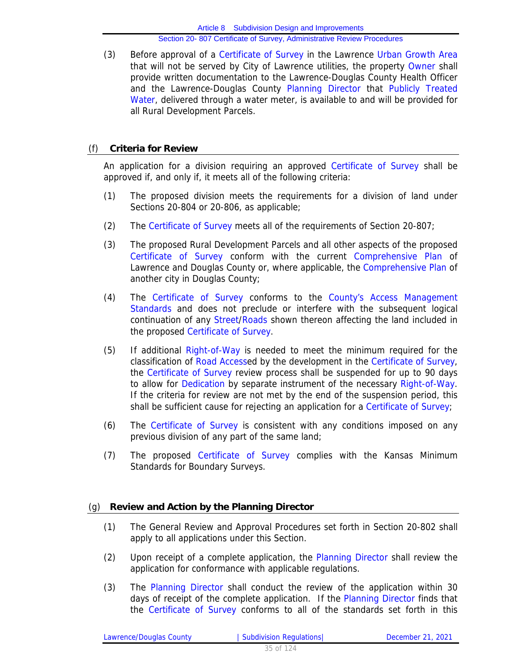(3) Before approval of a Certificate of Survey in the Lawrence Urban Growth Area that will not be served by City of Lawrence utilities, the property Owner shall provide written documentation to the Lawrence-Douglas County Health Officer and the Lawrence-Douglas County Planning Director that Publicly Treated Water, delivered through a water meter, is available to and will be provided for all Rural Development Parcels.

#### (f) **Criteria for Review**

An application for a division requiring an approved Certificate of Survey shall be approved if, and only if, it meets all of the following criteria:

- (1) The proposed division meets the requirements for a division of land under Sections 20-804 or 20-806, as applicable;
- (2) The Certificate of Survey meets all of the requirements of Section 20-807;
- (3) The proposed Rural Development Parcels and all other aspects of the proposed Certificate of Survey conform with the current Comprehensive Plan of Lawrence and Douglas County or, where applicable, the Comprehensive Plan of another city in Douglas County;
- (4) The Certificate of Survey conforms to the County's Access Management Standards and does not preclude or interfere with the subsequent logical continuation of any Street/Roads shown thereon affecting the land included in the proposed Certificate of Survey.
- (5) If additional Right-of-Way is needed to meet the minimum required for the classification of Road Accessed by the development in the Certificate of Survey, the Certificate of Survey review process shall be suspended for up to 90 days to allow for Dedication by separate instrument of the necessary Right-of-Way. If the criteria for review are not met by the end of the suspension period, this shall be sufficient cause for rejecting an application for a Certificate of Survey;
- (6) The Certificate of Survey is consistent with any conditions imposed on any previous division of any part of the same land;
- (7) The proposed Certificate of Survey complies with the Kansas Minimum Standards for Boundary Surveys.

#### (g) **Review and Action by the Planning Director**

- (1) The General Review and Approval Procedures set forth in Section 20-802 shall apply to all applications under this Section.
- (2) Upon receipt of a complete application, the Planning Director shall review the application for conformance with applicable regulations.
- (3) The Planning Director shall conduct the review of the application within 30 days of receipt of the complete application. If the Planning Director finds that the Certificate of Survey conforms to all of the standards set forth in this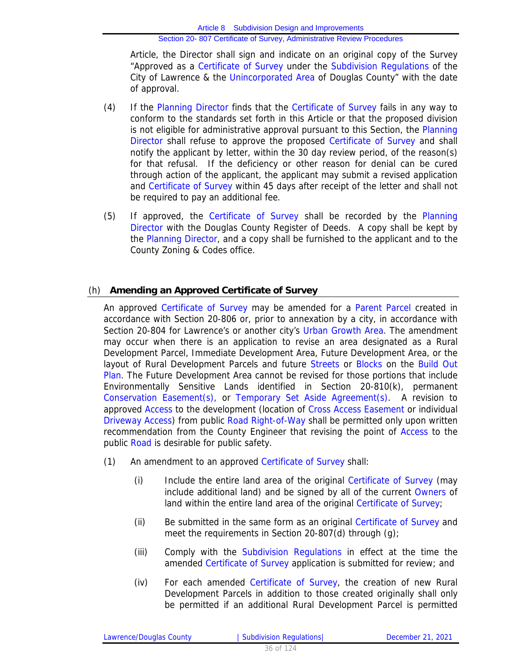Article, the Director shall sign and indicate on an original copy of the Survey "Approved as a Certificate of Survey under the Subdivision Regulations of the City of Lawrence & the Unincorporated Area of Douglas County" with the date of approval.

- (4) If the Planning Director finds that the Certificate of Survey fails in any way to conform to the standards set forth in this Article or that the proposed division is not eligible for administrative approval pursuant to this Section, the Planning Director shall refuse to approve the proposed Certificate of Survey and shall notify the applicant by letter, within the 30 day review period, of the reason(s) for that refusal. If the deficiency or other reason for denial can be cured through action of the applicant, the applicant may submit a revised application and Certificate of Survey within 45 days after receipt of the letter and shall not be required to pay an additional fee.
- (5) If approved, the Certificate of Survey shall be recorded by the Planning Director with the Douglas County Register of Deeds. A copy shall be kept by the Planning Director, and a copy shall be furnished to the applicant and to the County Zoning & Codes office.

#### (h) **Amending an Approved Certificate of Survey**

An approved Certificate of Survey may be amended for a Parent Parcel created in accordance with Section 20-806 or, prior to annexation by a city, in accordance with Section 20-804 for Lawrence's or another city's Urban Growth Area. The amendment may occur when there is an application to revise an area designated as a Rural Development Parcel, Immediate Development Area, Future Development Area, or the layout of Rural Development Parcels and future Streets or Blocks on the Build Out Plan. The Future Development Area cannot be revised for those portions that include Environmentally Sensitive Lands identified in Section 20-810(k), permanent Conservation Easement(s), or Temporary Set Aside Agreement(s). A revision to approved Access to the development (location of Cross Access Easement or individual Driveway Access) from public Road Right-of-Way shall be permitted only upon written recommendation from the County Engineer that revising the point of Access to the public Road is desirable for public safety.

- (1) An amendment to an approved Certificate of Survey shall:
	- (i) Include the entire land area of the original Certificate of Survey (may include additional land) and be signed by all of the current Owners of land within the entire land area of the original Certificate of Survey;
	- (ii) Be submitted in the same form as an original Certificate of Survey and meet the requirements in Section 20-807(d) through (g);
	- (iii) Comply with the Subdivision Regulations in effect at the time the amended Certificate of Survey application is submitted for review; and
	- (iv) For each amended Certificate of Survey, the creation of new Rural Development Parcels in addition to those created originally shall only be permitted if an additional Rural Development Parcel is permitted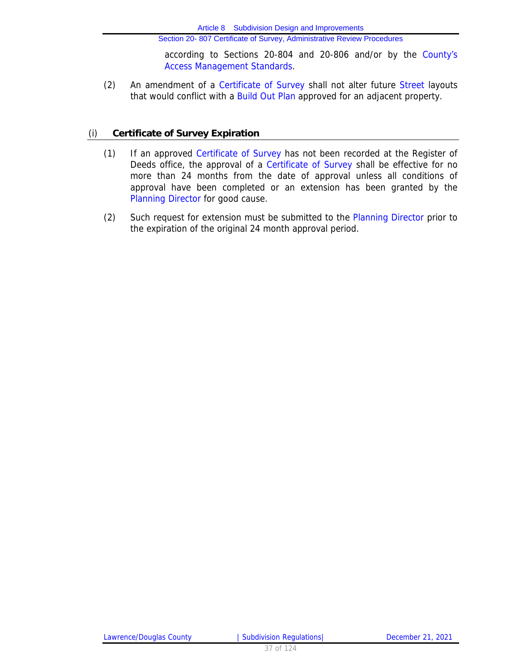according to Sections 20-804 and 20-806 and/or by the County's Access Management Standards.

(2) An amendment of a Certificate of Survey shall not alter future Street layouts that would conflict with a Build Out Plan approved for an adjacent property.

#### (i) **Certificate of Survey Expiration**

- (1) If an approved Certificate of Survey has not been recorded at the Register of Deeds office, the approval of a Certificate of Survey shall be effective for no more than 24 months from the date of approval unless all conditions of approval have been completed or an extension has been granted by the Planning Director for good cause.
- (2) Such request for extension must be submitted to the Planning Director prior to the expiration of the original 24 month approval period.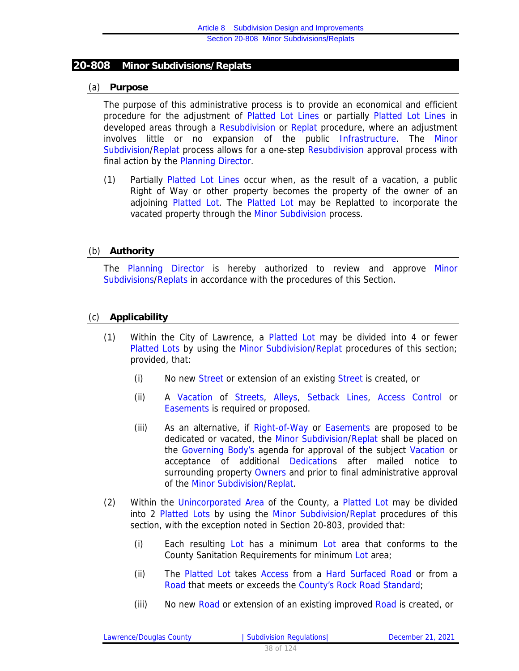### **20-808 Minor Subdivisions/Replats**

#### (a) **Purpose**

The purpose of this administrative process is to provide an economical and efficient procedure for the adjustment of Platted Lot Lines or partially Platted Lot Lines in developed areas through a Resubdivision or Replat procedure, where an adjustment involves little or no expansion of the public Infrastructure. The Minor Subdivision/Replat process allows for a one-step Resubdivision approval process with final action by the Planning Director.

(1) Partially Platted Lot Lines occur when, as the result of a vacation, a public Right of Way or other property becomes the property of the owner of an adjoining Platted Lot. The Platted Lot may be Replatted to incorporate the vacated property through the Minor Subdivision process.

## (b) **Authority**

The Planning Director is hereby authorized to review and approve Minor Subdivisions/Replats in accordance with the procedures of this Section.

## (c) **Applicability**

- (1) Within the City of Lawrence, a Platted Lot may be divided into 4 or fewer Platted Lots by using the Minor Subdivision/Replat procedures of this section; provided, that:
	- (i) No new Street or extension of an existing Street is created, or
	- (ii) A Vacation of Streets, Alleys, Setback Lines, Access Control or Easements is required or proposed.
	- (iii) As an alternative, if Right-of-Way or Easements are proposed to be dedicated or vacated, the Minor Subdivision/Replat shall be placed on the Governing Body's agenda for approval of the subject Vacation or acceptance of additional Dedications after mailed notice to surrounding property Owners and prior to final administrative approval of the Minor Subdivision/Replat.
- (2) Within the Unincorporated Area of the County, a Platted Lot may be divided into 2 Platted Lots by using the Minor Subdivision/Replat procedures of this section, with the exception noted in Section 20-803, provided that:
	- (i) Each resulting Lot has a minimum Lot area that conforms to the County Sanitation Requirements for minimum Lot area;
	- (ii) The Platted Lot takes Access from a Hard Surfaced Road or from a Road that meets or exceeds the County's Rock Road Standard;
	- (iii) No new Road or extension of an existing improved Road is created, or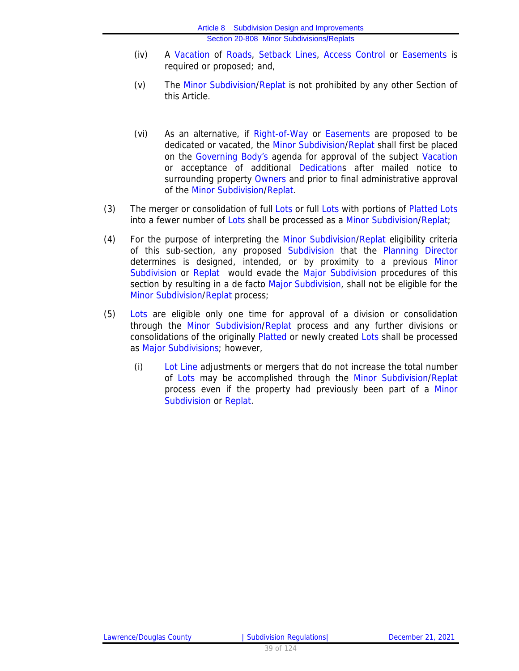- (iv) A Vacation of Roads, Setback Lines, Access Control or Easements is required or proposed; and,
- (v) The Minor Subdivision/Replat is not prohibited by any other Section of this Article.
- (vi) As an alternative, if Right-of-Way or Easements are proposed to be dedicated or vacated, the Minor Subdivision/Replat shall first be placed on the Governing Body's agenda for approval of the subject Vacation or acceptance of additional Dedications after mailed notice to surrounding property Owners and prior to final administrative approval of the Minor Subdivision/Replat.
- (3) The merger or consolidation of full Lots or full Lots with portions of Platted Lots into a fewer number of Lots shall be processed as a Minor Subdivision/Replat;
- (4) For the purpose of interpreting the Minor Subdivision/Replat eligibility criteria of this sub-section, any proposed Subdivision that the Planning Director determines is designed, intended, or by proximity to a previous Minor Subdivision or Replat would evade the Major Subdivision procedures of this section by resulting in a de facto Major Subdivision, shall not be eligible for the Minor Subdivision/Replat process;
- (5) Lots are eligible only one time for approval of a division or consolidation through the Minor Subdivision/Replat process and any further divisions or consolidations of the originally Platted or newly created Lots shall be processed as Major Subdivisions; however,
	- (i) Lot Line adjustments or mergers that do not increase the total number of Lots may be accomplished through the Minor Subdivision/Replat process even if the property had previously been part of a Minor Subdivision or Replat.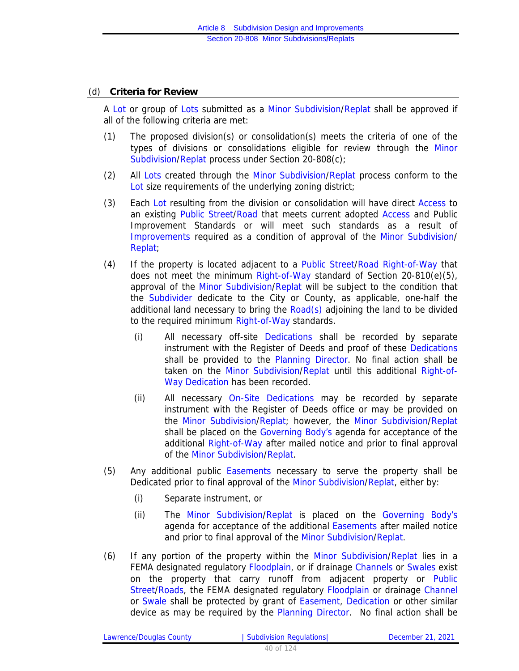#### (d) **Criteria for Review**

A Lot or group of Lots submitted as a Minor Subdivision/Replat shall be approved if all of the following criteria are met:

- (1) The proposed division(s) or consolidation(s) meets the criteria of one of the types of divisions or consolidations eligible for review through the Minor Subdivision/Replat process under Section 20-808(c);
- (2) All Lots created through the Minor Subdivision/Replat process conform to the Lot size requirements of the underlying zoning district;
- (3) Each Lot resulting from the division or consolidation will have direct Access to an existing Public Street/Road that meets current adopted Access and Public Improvement Standards or will meet such standards as a result of Improvements required as a condition of approval of the Minor Subdivision/ Replat;
- (4) If the property is located adjacent to a Public Street/Road Right-of-Way that does not meet the minimum Right-of-Way standard of Section 20-810(e)(5), approval of the Minor Subdivision/Replat will be subject to the condition that the Subdivider dedicate to the City or County, as applicable, one-half the additional land necessary to bring the  $Read(s)$  adjoining the land to be divided to the required minimum Right-of-Way standards.
	- (i) All necessary off-site Dedications shall be recorded by separate instrument with the Register of Deeds and proof of these Dedications shall be provided to the Planning Director. No final action shall be taken on the Minor Subdivision/Replat until this additional Right-of-Way Dedication has been recorded.
	- (ii) All necessary On-Site Dedications may be recorded by separate instrument with the Register of Deeds office or may be provided on the Minor Subdivision/Replat; however, the Minor Subdivision/Replat shall be placed on the Governing Body's agenda for acceptance of the additional Right-of-Way after mailed notice and prior to final approval of the Minor Subdivision/Replat.
- (5) Any additional public Easements necessary to serve the property shall be Dedicated prior to final approval of the Minor Subdivision/Replat, either by:
	- (i) Separate instrument, or
	- (ii) The Minor Subdivision/Replat is placed on the Governing Body's agenda for acceptance of the additional Easements after mailed notice and prior to final approval of the Minor Subdivision/Replat.
- (6) If any portion of the property within the Minor Subdivision/Replat lies in a FEMA designated regulatory Floodplain, or if drainage Channels or Swales exist on the property that carry runoff from adjacent property or Public Street/Roads, the FEMA designated regulatory Floodplain or drainage Channel or Swale shall be protected by grant of Easement, Dedication or other similar device as may be required by the Planning Director. No final action shall be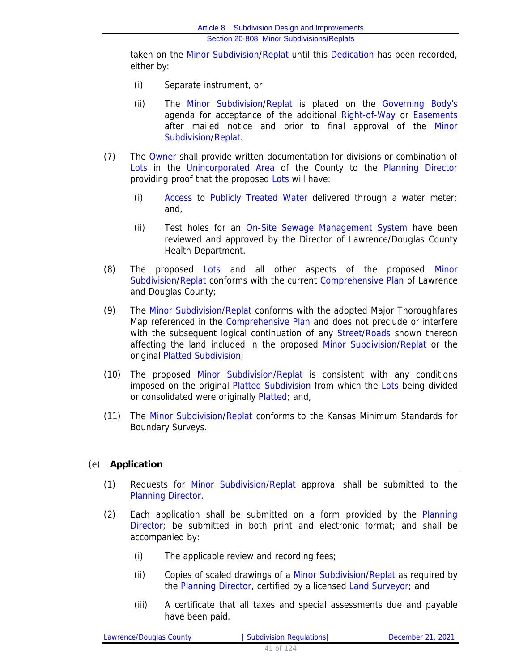taken on the Minor Subdivision/Replat until this Dedication has been recorded, either by:

- (i) Separate instrument, or
- (ii) The Minor Subdivision/Replat is placed on the Governing Body's agenda for acceptance of the additional Right-of-Way or Easements after mailed notice and prior to final approval of the Minor Subdivision/Replat.
- (7) The Owner shall provide written documentation for divisions or combination of Lots in the Unincorporated Area of the County to the Planning Director providing proof that the proposed Lots will have:
	- (i) Access to Publicly Treated Water delivered through a water meter; and,
	- (ii) Test holes for an On-Site Sewage Management System have been reviewed and approved by the Director of Lawrence/Douglas County Health Department.
- (8) The proposed Lots and all other aspects of the proposed Minor Subdivision/Replat conforms with the current Comprehensive Plan of Lawrence and Douglas County;
- (9) The Minor Subdivision/Replat conforms with the adopted Major Thoroughfares Map referenced in the Comprehensive Plan and does not preclude or interfere with the subsequent logical continuation of any Street/Roads shown thereon affecting the land included in the proposed Minor Subdivision/Replat or the original Platted Subdivision;
- (10) The proposed Minor Subdivision/Replat is consistent with any conditions imposed on the original Platted Subdivision from which the Lots being divided or consolidated were originally Platted; and,
- (11) The Minor Subdivision/Replat conforms to the Kansas Minimum Standards for Boundary Surveys.

#### (e) **Application**

- (1) Requests for Minor Subdivision/Replat approval shall be submitted to the Planning Director.
- (2) Each application shall be submitted on a form provided by the Planning Director; be submitted in both print and electronic format; and shall be accompanied by:
	- (i) The applicable review and recording fees;
	- (ii) Copies of scaled drawings of a Minor Subdivision/Replat as required by the Planning Director, certified by a licensed Land Surveyor; and
	- (iii) A certificate that all taxes and special assessments due and payable have been paid.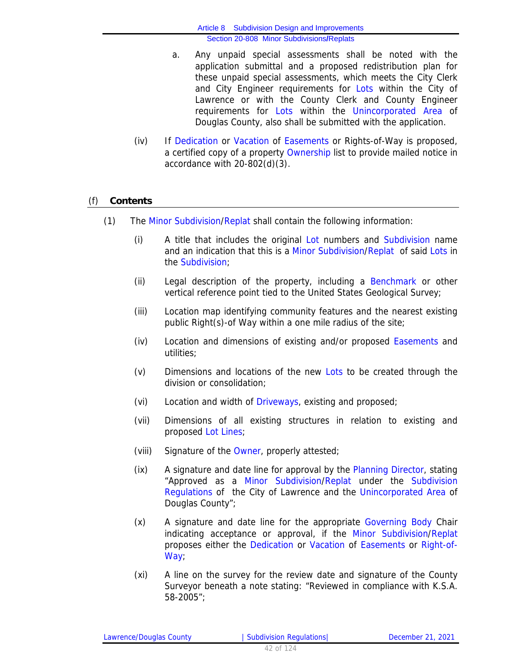- a. Any unpaid special assessments shall be noted with the application submittal and a proposed redistribution plan for these unpaid special assessments, which meets the City Clerk and City Engineer requirements for Lots within the City of Lawrence or with the County Clerk and County Engineer requirements for Lots within the Unincorporated Area of Douglas County, also shall be submitted with the application.
- (iv) If Dedication or Vacation of Easements or Rights-of-Way is proposed, a certified copy of a property Ownership list to provide mailed notice in accordance with 20-802(d)(3).

## (f) **Contents**

- (1) The Minor Subdivision/Replat shall contain the following information:
	- (i) A title that includes the original Lot numbers and Subdivision name and an indication that this is a Minor Subdivision/Replat of said Lots in the Subdivision;
	- (ii) Legal description of the property, including a Benchmark or other vertical reference point tied to the United States Geological Survey;
	- (iii) Location map identifying community features and the nearest existing public Right(s)-of Way within a one mile radius of the site;
	- (iv) Location and dimensions of existing and/or proposed Easements and utilities;
	- (v) Dimensions and locations of the new Lots to be created through the division or consolidation;
	- (vi) Location and width of Driveways, existing and proposed;
	- (vii) Dimensions of all existing structures in relation to existing and proposed Lot Lines;
	- (viii) Signature of the Owner, properly attested;
	- (ix) A signature and date line for approval by the Planning Director, stating "Approved as a Minor Subdivision/Replat under the Subdivision Regulations of the City of Lawrence and the Unincorporated Area of Douglas County";
	- (x) A signature and date line for the appropriate Governing Body Chair indicating acceptance or approval, if the Minor Subdivision/Replat proposes either the Dedication or Vacation of Easements or Right-of-Way;
	- (xi) A line on the survey for the review date and signature of the County Surveyor beneath a note stating: "Reviewed in compliance with K.S.A. 58-2005";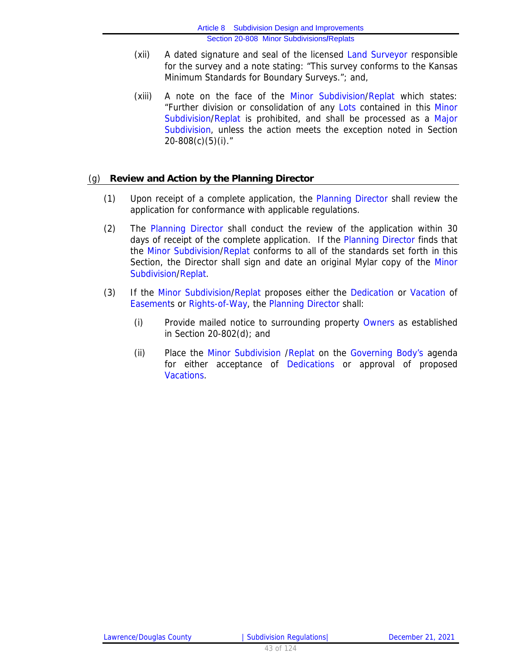- (xii) A dated signature and seal of the licensed Land Surveyor responsible for the survey and a note stating: "This survey conforms to the Kansas Minimum Standards for Boundary Surveys."; and,
- (xiii) A note on the face of the Minor Subdivision/Replat which states: "Further division or consolidation of any Lots contained in this Minor Subdivision/Replat is prohibited, and shall be processed as a Major Subdivision, unless the action meets the exception noted in Section  $20 - 808(c)(5)(i)$ ."

#### (g) **Review and Action by the Planning Director**

- (1) Upon receipt of a complete application, the Planning Director shall review the application for conformance with applicable regulations.
- (2) The Planning Director shall conduct the review of the application within 30 days of receipt of the complete application. If the Planning Director finds that the Minor Subdivision/Replat conforms to all of the standards set forth in this Section, the Director shall sign and date an original Mylar copy of the Minor Subdivision/Replat.
- (3) If the Minor Subdivision/Replat proposes either the Dedication or Vacation of Easements or Rights-of-Way, the Planning Director shall:
	- (i) Provide mailed notice to surrounding property Owners as established in Section 20-802(d); and
	- (ii) Place the Minor Subdivision /Replat on the Governing Body's agenda for either acceptance of Dedications or approval of proposed Vacations.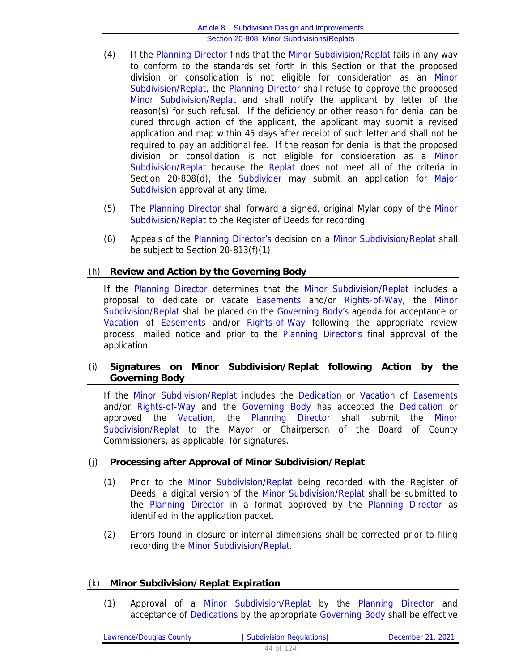- (4) If the Planning Director finds that the Minor Subdivision/Replat fails in any way to conform to the standards set forth in this Section or that the proposed division or consolidation is not eligible for consideration as an Minor Subdivision/Replat, the Planning Director shall refuse to approve the proposed Minor Subdivision/Replat and shall notify the applicant by letter of the reason(s) for such refusal. If the deficiency or other reason for denial can be cured through action of the applicant, the applicant may submit a revised application and map within 45 days after receipt of such letter and shall not be required to pay an additional fee. If the reason for denial is that the proposed division or consolidation is not eligible for consideration as a Minor Subdivision/Replat because the Replat does not meet all of the criteria in Section 20-808(d), the Subdivider may submit an application for Major Subdivision approval at any time.
- (5) The Planning Director shall forward a signed, original Mylar copy of the Minor Subdivision/Replat to the Register of Deeds for recording.
- (6) Appeals of the Planning Director's decision on a Minor Subdivision/Replat shall be subject to Section 20-813(f)(1).

#### (h) **Review and Action by the Governing Body**

If the Planning Director determines that the Minor Subdivision/Replat includes a proposal to dedicate or vacate Easements and/or Rights-of-Way, the Minor Subdivision/Replat shall be placed on the Governing Body's agenda for acceptance or Vacation of Easements and/or Rights-of-Way following the appropriate review process, mailed notice and prior to the Planning Director's final approval of the application.

#### (i) **Signatures on Minor Subdivision/Replat following Action by the Governing Body**

If the Minor Subdivision/Replat includes the Dedication or Vacation of Easements and/or Rights-of-Way and the Governing Body has accepted the Dedication or approved the Vacation, the Planning Director shall submit the Minor Subdivision/Replat to the Mayor or Chairperson of the Board of County Commissioners, as applicable, for signatures.

#### (j) **Processing after Approval of Minor Subdivision/Replat**

- (1) Prior to the Minor Subdivision/Replat being recorded with the Register of Deeds, a digital version of the Minor Subdivision/Replat shall be submitted to the Planning Director in a format approved by the Planning Director as identified in the application packet.
- (2) Errors found in closure or internal dimensions shall be corrected prior to filing recording the Minor Subdivision/Replat.

#### (k) **Minor Subdivision/Replat Expiration**

(1) Approval of a Minor Subdivision/Replat by the Planning Director and acceptance of Dedications by the appropriate Governing Body shall be effective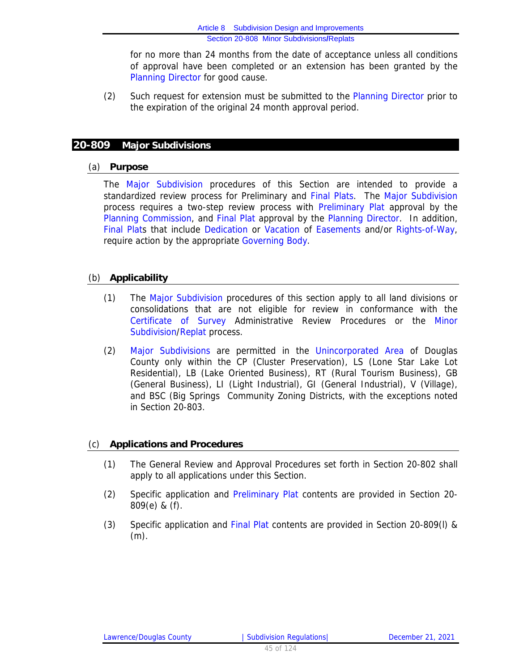for no more than 24 months from the date of acceptance unless all conditions of approval have been completed or an extension has been granted by the Planning Director for good cause.

(2) Such request for extension must be submitted to the Planning Director prior to the expiration of the original 24 month approval period.

### **20-809 Major Subdivisions**

#### (a) **Purpose**

The Major Subdivision procedures of this Section are intended to provide a standardized review process for Preliminary and Final Plats. The Major Subdivision process requires a two-step review process with Preliminary Plat approval by the Planning Commission, and Final Plat approval by the Planning Director. In addition, Final Plats that include Dedication or Vacation of Easements and/or Rights-of-Way, require action by the appropriate Governing Body.

# (b) **Applicability**

- (1) The Major Subdivision procedures of this section apply to all land divisions or consolidations that are not eligible for review in conformance with the Certificate of Survey Administrative Review Procedures or the Minor Subdivision/Replat process.
- (2) Major Subdivisions are permitted in the Unincorporated Area of Douglas County only within the CP (Cluster Preservation), LS (Lone Star Lake Lot Residential), LB (Lake Oriented Business), RT (Rural Tourism Business), GB (General Business), LI (Light Industrial), GI (General Industrial), V (Village), and BSC (Big Springs Community Zoning Districts, with the exceptions noted in Section 20-803.

# (c) **Applications and Procedures**

- (1) The General Review and Approval Procedures set forth in Section 20-802 shall apply to all applications under this Section.
- (2) Specific application and Preliminary Plat contents are provided in Section 20- 809(e) & (f).
- (3) Specific application and Final Plat contents are provided in Section 20-809(l) & (m).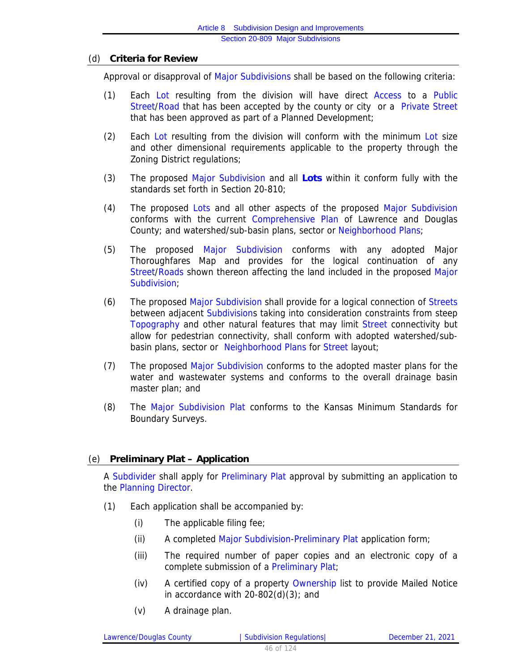#### (d) **Criteria for Review**

Approval or disapproval of Major Subdivisions shall be based on the following criteria:

- (1) Each Lot resulting from the division will have direct Access to a Public Street/Road that has been accepted by the county or city or a Private Street that has been approved as part of a Planned Development;
- (2) Each Lot resulting from the division will conform with the minimum Lot size and other dimensional requirements applicable to the property through the Zoning District regulations;
- (3) The proposed Major Subdivision and all **Lots** within it conform fully with the standards set forth in Section 20-810;
- (4) The proposed Lots and all other aspects of the proposed Major Subdivision conforms with the current Comprehensive Plan of Lawrence and Douglas County; and watershed/sub-basin plans, sector or Neighborhood Plans;
- (5) The proposed Major Subdivision conforms with any adopted Major Thoroughfares Map and provides for the logical continuation of any Street/Roads shown thereon affecting the land included in the proposed Major Subdivision;
- (6) The proposed Major Subdivision shall provide for a logical connection of Streets between adjacent Subdivisions taking into consideration constraints from steep Topography and other natural features that may limit Street connectivity but allow for pedestrian connectivity, shall conform with adopted watershed/subbasin plans, sector or Neighborhood Plans for Street layout;
- (7) The proposed Major Subdivision conforms to the adopted master plans for the water and wastewater systems and conforms to the overall drainage basin master plan; and
- (8) The Major Subdivision Plat conforms to the Kansas Minimum Standards for Boundary Surveys.

#### (e) **Preliminary Plat – Application**

A Subdivider shall apply for Preliminary Plat approval by submitting an application to the Planning Director.

- (1) Each application shall be accompanied by:
	- (i) The applicable filing fee;
	- (ii) A completed Major Subdivision-Preliminary Plat application form;
	- (iii) The required number of paper copies and an electronic copy of a complete submission of a Preliminary Plat;
	- (iv) A certified copy of a property Ownership list to provide Mailed Notice in accordance with  $20-802(d)(3)$ ; and
	- (v) A drainage plan.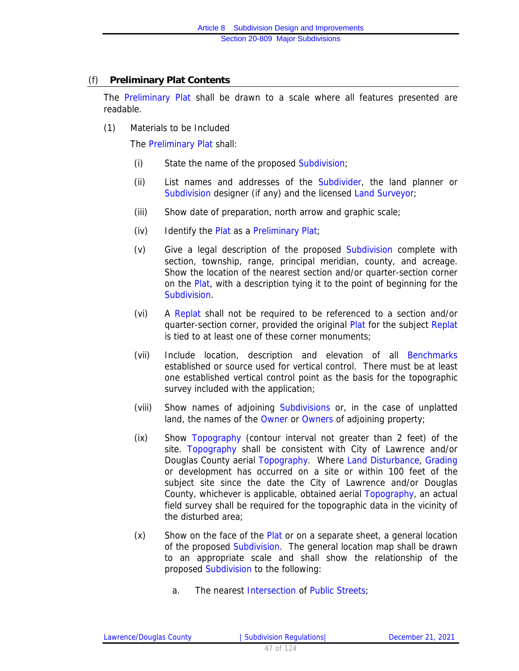### (f) **Preliminary Plat Contents**

The Preliminary Plat shall be drawn to a scale where all features presented are readable.

(1) Materials to be Included

The Preliminary Plat shall:

- (i) State the name of the proposed Subdivision;
- (ii) List names and addresses of the Subdivider, the land planner or Subdivision designer (if any) and the licensed Land Surveyor;
- (iii) Show date of preparation, north arrow and graphic scale;
- (iv) Identify the Plat as a Preliminary Plat;
- (v) Give a legal description of the proposed Subdivision complete with section, township, range, principal meridian, county, and acreage. Show the location of the nearest section and/or quarter-section corner on the Plat, with a description tying it to the point of beginning for the Subdivision.
- (vi) A Replat shall not be required to be referenced to a section and/or quarter-section corner, provided the original Plat for the subject Replat is tied to at least one of these corner monuments;
- (vii) Include location, description and elevation of all Benchmarks established or source used for vertical control. There must be at least one established vertical control point as the basis for the topographic survey included with the application;
- (viii) Show names of adjoining Subdivisions or, in the case of unplatted land, the names of the Owner or Owners of adjoining property;
- (ix) Show Topography (contour interval not greater than 2 feet) of the site. Topography shall be consistent with City of Lawrence and/or Douglas County aerial Topography. Where Land Disturbance, Grading or development has occurred on a site or within 100 feet of the subject site since the date the City of Lawrence and/or Douglas County, whichever is applicable, obtained aerial Topography, an actual field survey shall be required for the topographic data in the vicinity of the disturbed area;
- $(x)$  Show on the face of the Plat or on a separate sheet, a general location of the proposed Subdivision. The general location map shall be drawn to an appropriate scale and shall show the relationship of the proposed Subdivision to the following:
	- a. The nearest Intersection of Public Streets;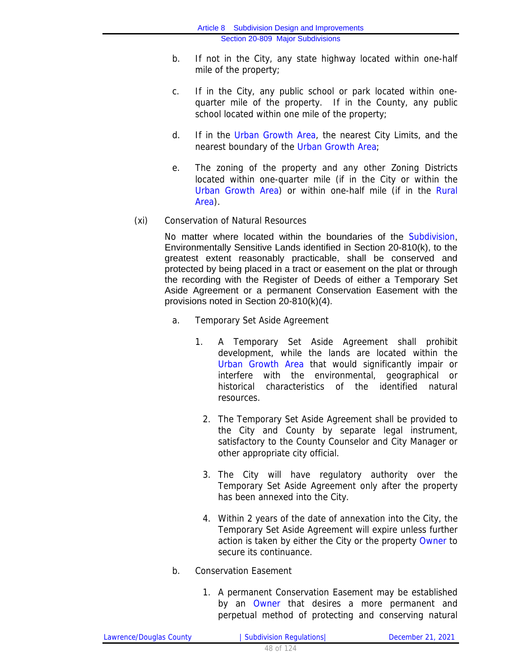- b. If not in the City, any state highway located within one-half mile of the property;
- c. If in the City, any public school or park located within onequarter mile of the property. If in the County, any public school located within one mile of the property;
- d. If in the Urban Growth Area, the nearest City Limits, and the nearest boundary of the Urban Growth Area;
- e. The zoning of the property and any other Zoning Districts located within one-quarter mile (if in the City or within the Urban Growth Area) or within one-half mile (if in the Rural Area).
- (xi) Conservation of Natural Resources

No matter where located within the boundaries of the Subdivision, Environmentally Sensitive Lands identified in Section 20-810(k), to the greatest extent reasonably practicable, shall be conserved and protected by being placed in a tract or easement on the plat or through the recording with the Register of Deeds of either a Temporary Set Aside Agreement or a permanent Conservation Easement with the provisions noted in Section 20-810(k)(4).

- a. Temporary Set Aside Agreement
	- 1. A Temporary Set Aside Agreement shall prohibit development, while the lands are located within the Urban Growth Area that would significantly impair or interfere with the environmental, geographical or historical characteristics of the identified natural resources.
		- 2. The Temporary Set Aside Agreement shall be provided to the City and County by separate legal instrument, satisfactory to the County Counselor and City Manager or other appropriate city official.
		- 3. The City will have regulatory authority over the Temporary Set Aside Agreement only after the property has been annexed into the City.
		- 4. Within 2 years of the date of annexation into the City, the Temporary Set Aside Agreement will expire unless further action is taken by either the City or the property Owner to secure its continuance.
- b. Conservation Easement
	- 1. A permanent Conservation Easement may be established by an Owner that desires a more permanent and perpetual method of protecting and conserving natural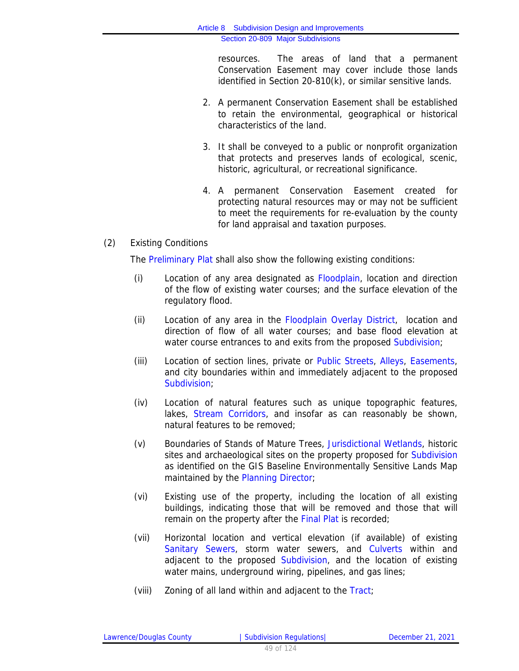resources. The areas of land that a permanent Conservation Easement may cover include those lands identified in Section 20-810(k), or similar sensitive lands.

- 2. A permanent Conservation Easement shall be established to retain the environmental, geographical or historical characteristics of the land.
- 3. It shall be conveyed to a public or nonprofit organization that protects and preserves lands of ecological, scenic, historic, agricultural, or recreational significance.
- 4. A permanent Conservation Easement created for protecting natural resources may or may not be sufficient to meet the requirements for re-evaluation by the county for land appraisal and taxation purposes.

# (2) Existing Conditions

The Preliminary Plat shall also show the following existing conditions:

- (i) Location of any area designated as Floodplain, location and direction of the flow of existing water courses; and the surface elevation of the regulatory flood.
- (ii) Location of any area in the Floodplain Overlay District, location and direction of flow of all water courses; and base flood elevation at water course entrances to and exits from the proposed Subdivision;
- (iii) Location of section lines, private or Public Streets, Alleys, Easements, and city boundaries within and immediately adjacent to the proposed Subdivision;
- (iv) Location of natural features such as unique topographic features, lakes, Stream Corridors, and insofar as can reasonably be shown, natural features to be removed;
- (v) Boundaries of Stands of Mature Trees, Jurisdictional Wetlands, historic sites and archaeological sites on the property proposed for Subdivision as identified on the GIS Baseline Environmentally Sensitive Lands Map maintained by the Planning Director;
- (vi) Existing use of the property, including the location of all existing buildings, indicating those that will be removed and those that will remain on the property after the Final Plat is recorded;
- (vii) Horizontal location and vertical elevation (if available) of existing Sanitary Sewers, storm water sewers, and Culverts within and adjacent to the proposed Subdivision, and the location of existing water mains, underground wiring, pipelines, and gas lines;
- (viii) Zoning of all land within and adjacent to the Tract;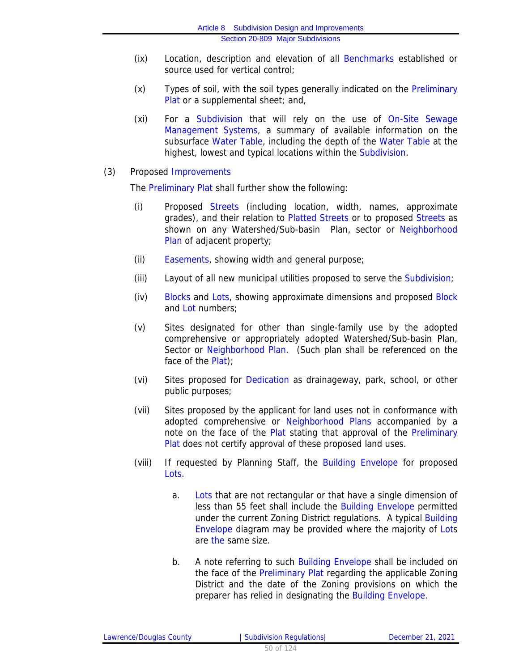- (ix) Location, description and elevation of all Benchmarks established or source used for vertical control;
- (x) Types of soil, with the soil types generally indicated on the Preliminary Plat or a supplemental sheet; and,
- (xi) For a Subdivision that will rely on the use of On-Site Sewage Management Systems, a summary of available information on the subsurface Water Table, including the depth of the Water Table at the highest, lowest and typical locations within the Subdivision.
- (3) Proposed Improvements

The Preliminary Plat shall further show the following:

- (i) Proposed Streets (including location, width, names, approximate grades), and their relation to Platted Streets or to proposed Streets as shown on any Watershed/Sub-basin Plan, sector or Neighborhood Plan of adjacent property;
- (ii) Easements, showing width and general purpose;
- (iii) Layout of all new municipal utilities proposed to serve the Subdivision;
- (iv) Blocks and Lots, showing approximate dimensions and proposed Block and Lot numbers;
- (v) Sites designated for other than single-family use by the adopted comprehensive or appropriately adopted Watershed/Sub-basin Plan, Sector or Neighborhood Plan. (Such plan shall be referenced on the face of the Plat);
- (vi) Sites proposed for Dedication as drainageway, park, school, or other public purposes;
- (vii) Sites proposed by the applicant for land uses not in conformance with adopted comprehensive or Neighborhood Plans accompanied by a note on the face of the Plat stating that approval of the Preliminary Plat does not certify approval of these proposed land uses.
- (viii) If requested by Planning Staff, the Building Envelope for proposed Lots.
	- a. Lots that are not rectangular or that have a single dimension of less than 55 feet shall include the **Building Envelope permitted** under the current Zoning District regulations. A typical Building Envelope diagram may be provided where the majority of Lots are the same size.
	- b. A note referring to such Building Envelope shall be included on the face of the Preliminary Plat regarding the applicable Zoning District and the date of the Zoning provisions on which the preparer has relied in designating the Building Envelope.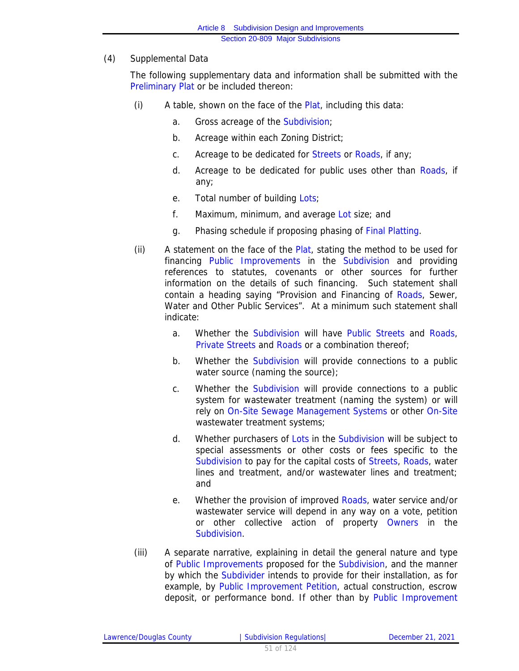### (4) Supplemental Data

The following supplementary data and information shall be submitted with the Preliminary Plat or be included thereon:

- (i) A table, shown on the face of the  $Plat$ , including this data:
	- a. Gross acreage of the Subdivision;
	- b. Acreage within each Zoning District;
	- c. Acreage to be dedicated for Streets or Roads, if any;
	- d. Acreage to be dedicated for public uses other than Roads, if any;
	- e. Total number of building Lots;
	- f. Maximum, minimum, and average Lot size; and
	- g. Phasing schedule if proposing phasing of Final Platting.
- (ii) A statement on the face of the  $Plat$ , stating the method to be used for financing Public Improvements in the Subdivision and providing references to statutes, covenants or other sources for further information on the details of such financing. Such statement shall contain a heading saying "Provision and Financing of Roads, Sewer, Water and Other Public Services". At a minimum such statement shall indicate:
	- a. Whether the Subdivision will have Public Streets and Roads, Private Streets and Roads or a combination thereof;
	- b. Whether the Subdivision will provide connections to a public water source (naming the source);
	- c. Whether the Subdivision will provide connections to a public system for wastewater treatment (naming the system) or will rely on On-Site Sewage Management Systems or other On-Site wastewater treatment systems;
	- d. Whether purchasers of Lots in the Subdivision will be subject to special assessments or other costs or fees specific to the Subdivision to pay for the capital costs of Streets, Roads, water lines and treatment, and/or wastewater lines and treatment; and
	- e. Whether the provision of improved Roads, water service and/or wastewater service will depend in any way on a vote, petition or other collective action of property Owners in the Subdivision.
- (iii) A separate narrative, explaining in detail the general nature and type of Public Improvements proposed for the Subdivision, and the manner by which the Subdivider intends to provide for their installation, as for example, by Public Improvement Petition, actual construction, escrow deposit, or performance bond. If other than by Public Improvement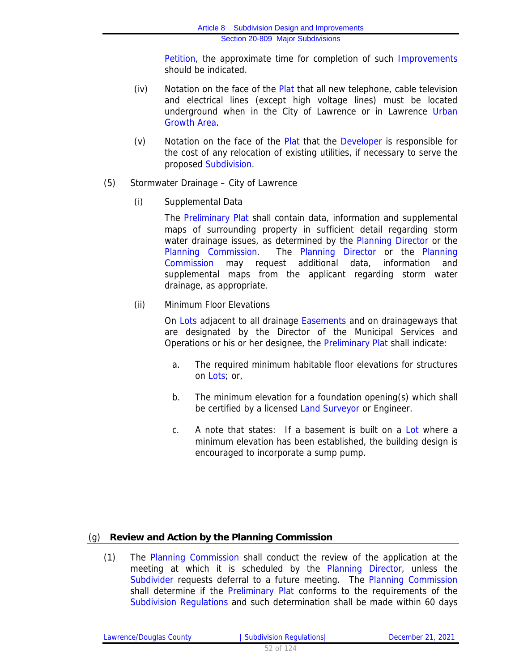Petition, the approximate time for completion of such Improvements should be indicated.

- (iv) Notation on the face of the Plat that all new telephone, cable television and electrical lines (except high voltage lines) must be located underground when in the City of Lawrence or in Lawrence Urban Growth Area.
- (v) Notation on the face of the Plat that the Developer is responsible for the cost of any relocation of existing utilities, if necessary to serve the proposed Subdivision.
- (5) Stormwater Drainage City of Lawrence
	- (i) Supplemental Data

The Preliminary Plat shall contain data, information and supplemental maps of surrounding property in sufficient detail regarding storm water drainage issues, as determined by the Planning Director or the Planning Commission. The Planning Director or the Planning Commission may request additional data, information and supplemental maps from the applicant regarding storm water drainage, as appropriate.

(ii) Minimum Floor Elevations

On Lots adjacent to all drainage Easements and on drainageways that are designated by the Director of the Municipal Services and Operations or his or her designee, the Preliminary Plat shall indicate:

- a. The required minimum habitable floor elevations for structures on Lots; or,
- b. The minimum elevation for a foundation opening(s) which shall be certified by a licensed Land Surveyor or Engineer.
- c. A note that states: If a basement is built on a Lot where a minimum elevation has been established, the building design is encouraged to incorporate a sump pump.

# (g) **Review and Action by the Planning Commission**

(1) The Planning Commission shall conduct the review of the application at the meeting at which it is scheduled by the Planning Director, unless the Subdivider requests deferral to a future meeting. The Planning Commission shall determine if the Preliminary Plat conforms to the requirements of the Subdivision Regulations and such determination shall be made within 60 days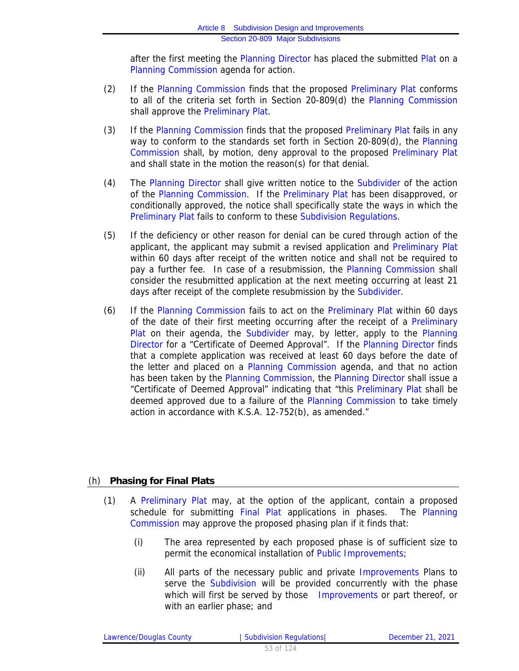after the first meeting the Planning Director has placed the submitted Plat on a Planning Commission agenda for action.

- (2) If the Planning Commission finds that the proposed Preliminary Plat conforms to all of the criteria set forth in Section 20-809(d) the Planning Commission shall approve the Preliminary Plat.
- (3) If the Planning Commission finds that the proposed Preliminary Plat fails in any way to conform to the standards set forth in Section 20-809(d), the Planning Commission shall, by motion, deny approval to the proposed Preliminary Plat and shall state in the motion the reason(s) for that denial.
- (4) The Planning Director shall give written notice to the Subdivider of the action of the Planning Commission. If the Preliminary Plat has been disapproved, or conditionally approved, the notice shall specifically state the ways in which the Preliminary Plat fails to conform to these Subdivision Regulations.
- (5) If the deficiency or other reason for denial can be cured through action of the applicant, the applicant may submit a revised application and Preliminary Plat within 60 days after receipt of the written notice and shall not be required to pay a further fee. In case of a resubmission, the Planning Commission shall consider the resubmitted application at the next meeting occurring at least 21 days after receipt of the complete resubmission by the Subdivider.
- (6) If the Planning Commission fails to act on the Preliminary Plat within 60 days of the date of their first meeting occurring after the receipt of a Preliminary Plat on their agenda, the Subdivider may, by letter, apply to the Planning Director for a "Certificate of Deemed Approval". If the Planning Director finds that a complete application was received at least 60 days before the date of the letter and placed on a Planning Commission agenda, and that no action has been taken by the Planning Commission, the Planning Director shall issue a "Certificate of Deemed Approval" indicating that "this Preliminary Plat shall be deemed approved due to a failure of the Planning Commission to take timely action in accordance with K.S.A. 12-752(b), as amended."

#### (h) **Phasing for Final Plats**

- (1) A Preliminary Plat may, at the option of the applicant, contain a proposed schedule for submitting Final Plat applications in phases. The Planning Commission may approve the proposed phasing plan if it finds that:
	- (i) The area represented by each proposed phase is of sufficient size to permit the economical installation of Public Improvements;
	- (ii) All parts of the necessary public and private Improvements Plans to serve the Subdivision will be provided concurrently with the phase which will first be served by those Improvements or part thereof, or with an earlier phase; and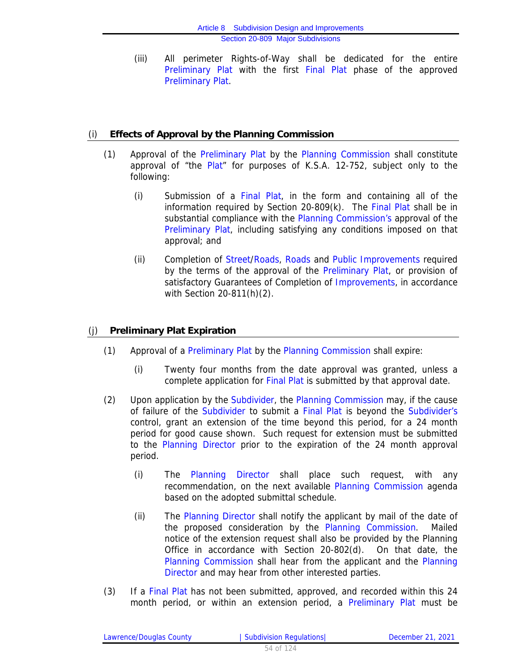(iii) All perimeter Rights-of-Way shall be dedicated for the entire Preliminary Plat with the first Final Plat phase of the approved Preliminary Plat.

# (i) **Effects of Approval by the Planning Commission**

- (1) Approval of the Preliminary Plat by the Planning Commission shall constitute approval of "the Plat" for purposes of K.S.A. 12-752, subject only to the following:
	- (i) Submission of a Final Plat, in the form and containing all of the information required by Section 20-809(k). The Final Plat shall be in substantial compliance with the Planning Commission's approval of the Preliminary Plat, including satisfying any conditions imposed on that approval; and
	- (ii) Completion of Street/Roads, Roads and Public Improvements required by the terms of the approval of the Preliminary Plat, or provision of satisfactory Guarantees of Completion of Improvements, in accordance with Section 20-811(h)(2).

# (j) **Preliminary Plat Expiration**

- (1) Approval of a Preliminary Plat by the Planning Commission shall expire:
	- (i) Twenty four months from the date approval was granted, unless a complete application for Final Plat is submitted by that approval date.
- (2) Upon application by the Subdivider, the Planning Commission may, if the cause of failure of the Subdivider to submit a Final Plat is beyond the Subdivider's control, grant an extension of the time beyond this period, for a 24 month period for good cause shown. Such request for extension must be submitted to the Planning Director prior to the expiration of the 24 month approval period.
	- (i) The Planning Director shall place such request, with any recommendation, on the next available Planning Commission agenda based on the adopted submittal schedule.
	- (ii) The Planning Director shall notify the applicant by mail of the date of the proposed consideration by the Planning Commission. Mailed notice of the extension request shall also be provided by the Planning Office in accordance with Section 20-802(d). On that date, the Planning Commission shall hear from the applicant and the Planning Director and may hear from other interested parties.
- (3) If a Final Plat has not been submitted, approved, and recorded within this 24 month period, or within an extension period, a Preliminary Plat must be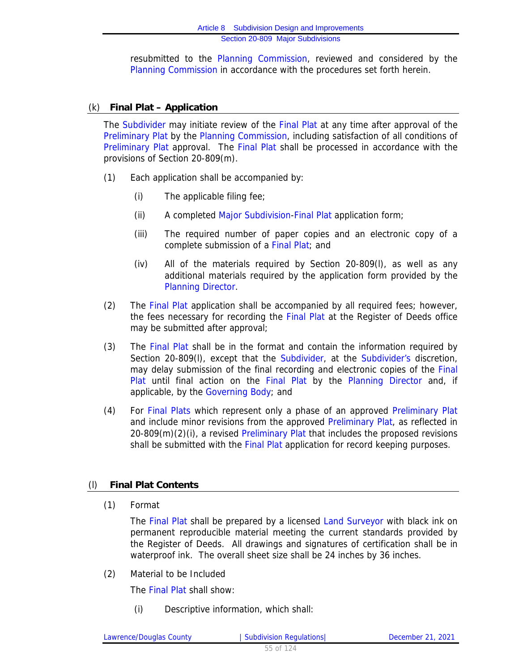resubmitted to the Planning Commission, reviewed and considered by the Planning Commission in accordance with the procedures set forth herein.

# (k) **Final Plat – Application**

The Subdivider may initiate review of the Final Plat at any time after approval of the Preliminary Plat by the Planning Commission, including satisfaction of all conditions of Preliminary Plat approval. The Final Plat shall be processed in accordance with the provisions of Section 20-809(m).

- (1) Each application shall be accompanied by:
	- (i) The applicable filing fee;
	- (ii) A completed Major Subdivision-Final Plat application form;
	- (iii) The required number of paper copies and an electronic copy of a complete submission of a Final Plat; and
	- (iv) All of the materials required by Section 20-809(l), as well as any additional materials required by the application form provided by the Planning Director.
- (2) The Final Plat application shall be accompanied by all required fees; however, the fees necessary for recording the Final Plat at the Register of Deeds office may be submitted after approval;
- (3) The Final Plat shall be in the format and contain the information required by Section 20-809(I), except that the Subdivider, at the Subdivider's discretion, may delay submission of the final recording and electronic copies of the Final Plat until final action on the Final Plat by the Planning Director and, if applicable, by the Governing Body; and
- (4) For Final Plats which represent only a phase of an approved Preliminary Plat and include minor revisions from the approved Preliminary Plat, as reflected in 20-809(m)(2)(i), a revised Preliminary Plat that includes the proposed revisions shall be submitted with the Final Plat application for record keeping purposes.

# (l) **Final Plat Contents**

(1) Format

The Final Plat shall be prepared by a licensed Land Surveyor with black ink on permanent reproducible material meeting the current standards provided by the Register of Deeds. All drawings and signatures of certification shall be in waterproof ink. The overall sheet size shall be 24 inches by 36 inches.

(2) Material to be Included

The Final Plat shall show:

(i) Descriptive information, which shall: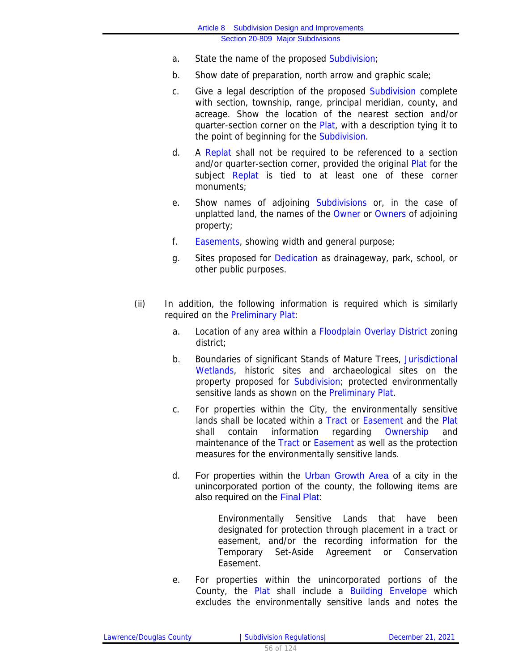- a. State the name of the proposed Subdivision;
- b. Show date of preparation, north arrow and graphic scale;
- c. Give a legal description of the proposed Subdivision complete with section, township, range, principal meridian, county, and acreage. Show the location of the nearest section and/or quarter-section corner on the Plat, with a description tying it to the point of beginning for the Subdivision.
- d. A Replat shall not be required to be referenced to a section and/or quarter-section corner, provided the original Plat for the subject Replat is tied to at least one of these corner monuments;
- e. Show names of adjoining Subdivisions or, in the case of unplatted land, the names of the Owner or Owners of adjoining property;
- f. Easements, showing width and general purpose;
- g. Sites proposed for Dedication as drainageway, park, school, or other public purposes.
- (ii) In addition, the following information is required which is similarly required on the Preliminary Plat:
	- a. Location of any area within a Floodplain Overlay District zoning district;
	- b. Boundaries of significant Stands of Mature Trees, Jurisdictional Wetlands, historic sites and archaeological sites on the property proposed for Subdivision; protected environmentally sensitive lands as shown on the Preliminary Plat.
	- c. For properties within the City, the environmentally sensitive lands shall be located within a Tract or Easement and the Plat shall contain information regarding Ownership and maintenance of the Tract or Easement as well as the protection measures for the environmentally sensitive lands.
	- d. For properties within the Urban Growth Area of a city in the unincorporated portion of the county, the following items are also required on the Final Plat:

Environmentally Sensitive Lands that have been designated for protection through placement in a tract or easement, and/or the recording information for the Temporary Set-Aside Agreement or Conservation Easement.

e. For properties within the unincorporated portions of the County, the Plat shall include a Building Envelope which excludes the environmentally sensitive lands and notes the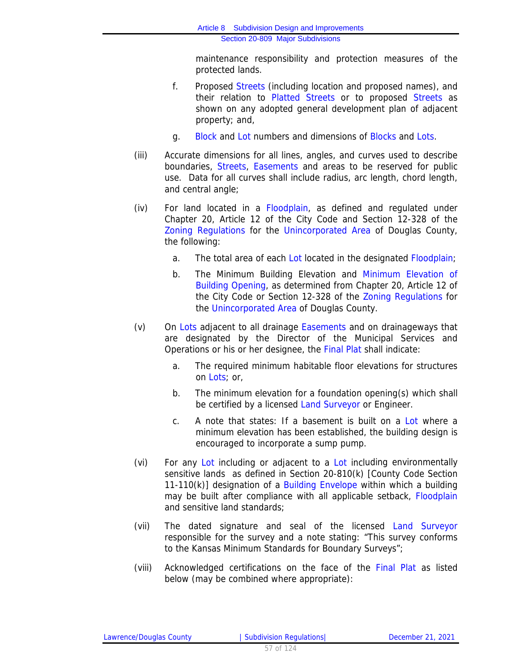maintenance responsibility and protection measures of the protected lands.

- f. Proposed Streets (including location and proposed names), and their relation to Platted Streets or to proposed Streets as shown on any adopted general development plan of adjacent property; and,
- g. Block and Lot numbers and dimensions of Blocks and Lots.
- (iii) Accurate dimensions for all lines, angles, and curves used to describe boundaries, Streets, Easements and areas to be reserved for public use. Data for all curves shall include radius, arc length, chord length, and central angle;
- (iv) For land located in a Floodplain, as defined and regulated under Chapter 20, Article 12 of the City Code and Section 12-328 of the Zoning Regulations for the Unincorporated Area of Douglas County, the following:
	- a. The total area of each Lot located in the designated Floodplain;
	- b. The Minimum Building Elevation and Minimum Elevation of Building Opening, as determined from Chapter 20, Article 12 of the City Code or Section 12-328 of the Zoning Regulations for the Unincorporated Area of Douglas County.
- (v) On Lots adjacent to all drainage Easements and on drainageways that are designated by the Director of the Municipal Services and Operations or his or her designee, the Final Plat shall indicate:
	- a. The required minimum habitable floor elevations for structures on Lots; or,
	- b. The minimum elevation for a foundation opening(s) which shall be certified by a licensed Land Surveyor or Engineer.
	- c. A note that states: If a basement is built on a Lot where a minimum elevation has been established, the building design is encouraged to incorporate a sump pump.
- (vi) For any Lot including or adjacent to a Lot including environmentally sensitive lands as defined in Section 20-810(k) [County Code Section 11-110 $(k)$ ] designation of a Building Envelope within which a building may be built after compliance with all applicable setback, Floodplain and sensitive land standards;
- (vii) The dated signature and seal of the licensed Land Surveyor responsible for the survey and a note stating: "This survey conforms to the Kansas Minimum Standards for Boundary Surveys";
- (viii) Acknowledged certifications on the face of the Final Plat as listed below (may be combined where appropriate):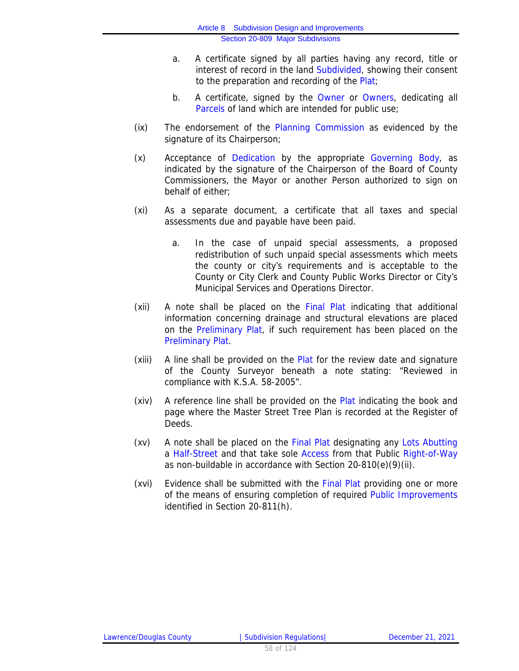- a. A certificate signed by all parties having any record, title or interest of record in the land Subdivided, showing their consent to the preparation and recording of the Plat;
- b. A certificate, signed by the Owner or Owners, dedicating all Parcels of land which are intended for public use;
- (ix) The endorsement of the Planning Commission as evidenced by the signature of its Chairperson;
- (x) Acceptance of Dedication by the appropriate Governing Body, as indicated by the signature of the Chairperson of the Board of County Commissioners, the Mayor or another Person authorized to sign on behalf of either;
- (xi) As a separate document, a certificate that all taxes and special assessments due and payable have been paid.
	- a. In the case of unpaid special assessments, a proposed redistribution of such unpaid special assessments which meets the county or city's requirements and is acceptable to the County or City Clerk and County Public Works Director or City's Municipal Services and Operations Director.
- (xii) A note shall be placed on the Final Plat indicating that additional information concerning drainage and structural elevations are placed on the Preliminary Plat, if such requirement has been placed on the Preliminary Plat.
- (xiii) A line shall be provided on the Plat for the review date and signature of the County Surveyor beneath a note stating: "Reviewed in compliance with K.S.A. 58-2005".
- (xiv) A reference line shall be provided on the Plat indicating the book and page where the Master Street Tree Plan is recorded at the Register of Deeds.
- (xv) A note shall be placed on the Final Plat designating any Lots Abutting a Half-Street and that take sole Access from that Public Right-of-Way as non-buildable in accordance with Section 20-810(e)(9)(ii).
- (xvi) Evidence shall be submitted with the Final Plat providing one or more of the means of ensuring completion of required Public Improvements identified in Section 20-811(h).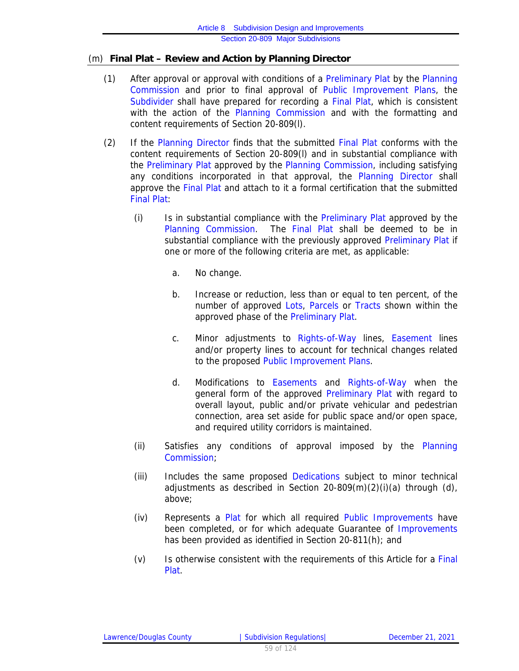## (m) **Final Plat – Review and Action by Planning Director**

- (1) After approval or approval with conditions of a Preliminary Plat by the Planning Commission and prior to final approval of Public Improvement Plans, the Subdivider shall have prepared for recording a Final Plat, which is consistent with the action of the Planning Commission and with the formatting and content requirements of Section 20-809(l).
- (2) If the Planning Director finds that the submitted Final Plat conforms with the content requirements of Section 20-809(l) and in substantial compliance with the Preliminary Plat approved by the Planning Commission, including satisfying any conditions incorporated in that approval, the Planning Director shall approve the Final Plat and attach to it a formal certification that the submitted Final Plat:
	- (i) Is in substantial compliance with the Preliminary Plat approved by the Planning Commission. The Final Plat shall be deemed to be in substantial compliance with the previously approved Preliminary Plat if one or more of the following criteria are met, as applicable:
		- a. No change.
		- b. Increase or reduction, less than or equal to ten percent, of the number of approved Lots, Parcels or Tracts shown within the approved phase of the Preliminary Plat.
		- c. Minor adjustments to Rights-of-Way lines, Easement lines and/or property lines to account for technical changes related to the proposed Public Improvement Plans.
		- d. Modifications to Easements and Rights-of-Way when the general form of the approved Preliminary Plat with regard to overall layout, public and/or private vehicular and pedestrian connection, area set aside for public space and/or open space, and required utility corridors is maintained.
	- (ii) Satisfies any conditions of approval imposed by the Planning Commission;
	- (iii) Includes the same proposed Dedications subject to minor technical adjustments as described in Section  $20-809(m)(2)(i)(a)$  through (d), above;
	- (iv) Represents a Plat for which all required Public Improvements have been completed, or for which adequate Guarantee of Improvements has been provided as identified in Section 20-811(h); and
	- (v) Is otherwise consistent with the requirements of this Article for a Final Plat.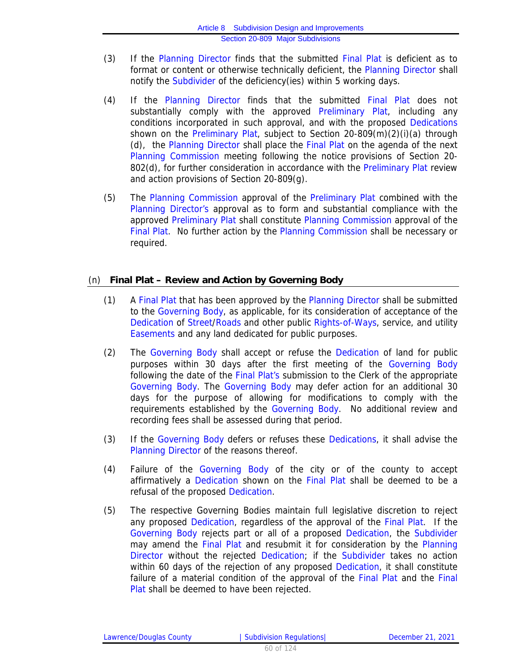- (3) If the Planning Director finds that the submitted Final Plat is deficient as to format or content or otherwise technically deficient, the Planning Director shall notify the Subdivider of the deficiency(ies) within 5 working days.
- (4) If the Planning Director finds that the submitted Final Plat does not substantially comply with the approved Preliminary Plat, including any conditions incorporated in such approval, and with the proposed Dedications shown on the Preliminary Plat, subject to Section  $20-809(m)(2)(i)(a)$  through (d), the Planning Director shall place the Final Plat on the agenda of the next Planning Commission meeting following the notice provisions of Section 20- 802(d), for further consideration in accordance with the Preliminary Plat review and action provisions of Section 20-809(g).
- (5) The Planning Commission approval of the Preliminary Plat combined with the Planning Director's approval as to form and substantial compliance with the approved Preliminary Plat shall constitute Planning Commission approval of the Final Plat. No further action by the Planning Commission shall be necessary or required.

## (n) **Final Plat – Review and Action by Governing Body**

- (1) A Final Plat that has been approved by the Planning Director shall be submitted to the Governing Body, as applicable, for its consideration of acceptance of the Dedication of Street/Roads and other public Rights-of-Ways, service, and utility Easements and any land dedicated for public purposes.
- (2) The Governing Body shall accept or refuse the Dedication of land for public purposes within 30 days after the first meeting of the Governing Body following the date of the Final Plat's submission to the Clerk of the appropriate Governing Body. The Governing Body may defer action for an additional 30 days for the purpose of allowing for modifications to comply with the requirements established by the Governing Body. No additional review and recording fees shall be assessed during that period.
- (3) If the Governing Body defers or refuses these Dedications, it shall advise the Planning Director of the reasons thereof.
- (4) Failure of the Governing Body of the city or of the county to accept affirmatively a Dedication shown on the Final Plat shall be deemed to be a refusal of the proposed Dedication.
- (5) The respective Governing Bodies maintain full legislative discretion to reject any proposed Dedication, regardless of the approval of the Final Plat. If the Governing Body rejects part or all of a proposed Dedication, the Subdivider may amend the Final Plat and resubmit it for consideration by the Planning Director without the rejected Dedication; if the Subdivider takes no action within 60 days of the rejection of any proposed Dedication, it shall constitute failure of a material condition of the approval of the Final Plat and the Final Plat shall be deemed to have been rejected.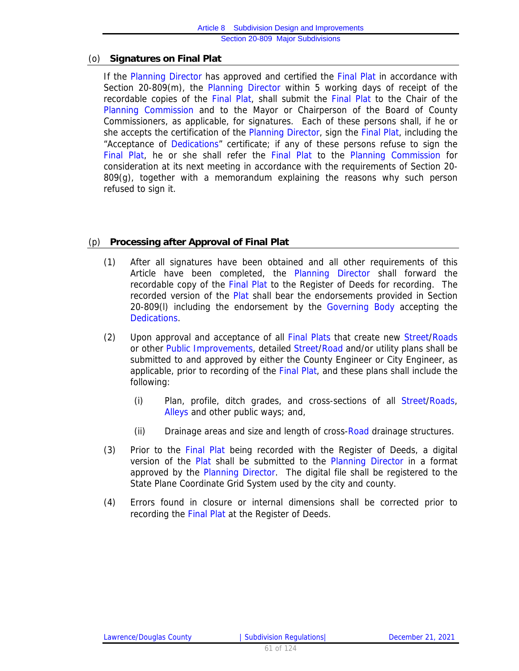### (o) **Signatures on Final Plat**

If the Planning Director has approved and certified the Final Plat in accordance with Section 20-809(m), the Planning Director within 5 working days of receipt of the recordable copies of the Final Plat, shall submit the Final Plat to the Chair of the Planning Commission and to the Mayor or Chairperson of the Board of County Commissioners, as applicable, for signatures. Each of these persons shall, if he or she accepts the certification of the Planning Director, sign the Final Plat, including the "Acceptance of Dedications" certificate; if any of these persons refuse to sign the Final Plat, he or she shall refer the Final Plat to the Planning Commission for consideration at its next meeting in accordance with the requirements of Section 20- 809(g), together with a memorandum explaining the reasons why such person refused to sign it.

## (p) **Processing after Approval of Final Plat**

- (1) After all signatures have been obtained and all other requirements of this Article have been completed, the Planning Director shall forward the recordable copy of the Final Plat to the Register of Deeds for recording. The recorded version of the Plat shall bear the endorsements provided in Section 20-809(l) including the endorsement by the Governing Body accepting the Dedications.
- (2) Upon approval and acceptance of all Final Plats that create new Street/Roads or other Public Improvements, detailed Street/Road and/or utility plans shall be submitted to and approved by either the County Engineer or City Engineer, as applicable, prior to recording of the Final Plat, and these plans shall include the following:
	- (i) Plan, profile, ditch grades, and cross-sections of all Street/Roads, Alleys and other public ways; and,
	- (ii) Drainage areas and size and length of cross-Road drainage structures.
- (3) Prior to the Final Plat being recorded with the Register of Deeds, a digital version of the Plat shall be submitted to the Planning Director in a format approved by the Planning Director. The digital file shall be registered to the State Plane Coordinate Grid System used by the city and county.
- (4) Errors found in closure or internal dimensions shall be corrected prior to recording the Final Plat at the Register of Deeds.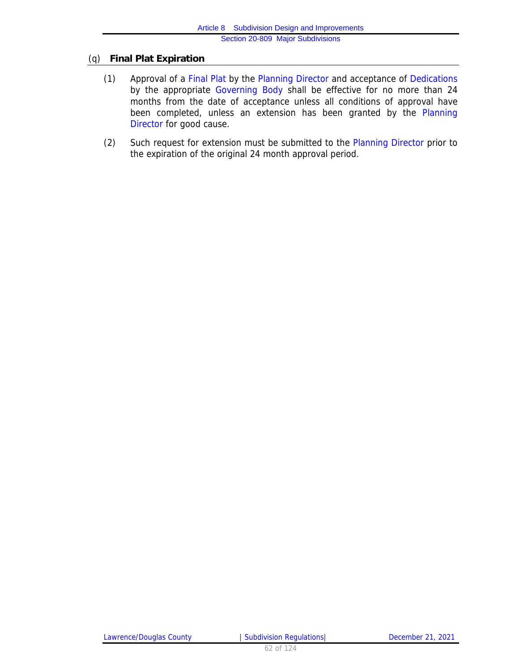## (q) **Final Plat Expiration**

- (1) Approval of a Final Plat by the Planning Director and acceptance of Dedications by the appropriate Governing Body shall be effective for no more than 24 months from the date of acceptance unless all conditions of approval have been completed, unless an extension has been granted by the Planning Director for good cause.
- (2) Such request for extension must be submitted to the Planning Director prior to the expiration of the original 24 month approval period.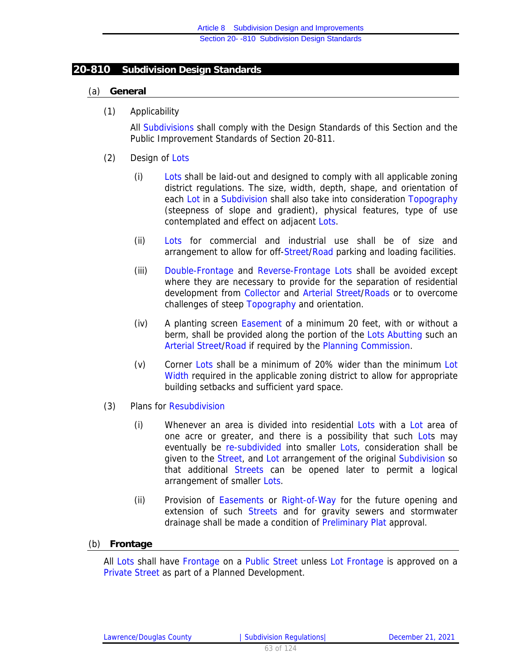### **20-810 Subdivision Design Standards**

#### (a) **General**

(1) Applicability

All Subdivisions shall comply with the Design Standards of this Section and the Public Improvement Standards of Section 20-811.

- (2) Design of Lots
	- (i) Lots shall be laid-out and designed to comply with all applicable zoning district regulations. The size, width, depth, shape, and orientation of each Lot in a Subdivision shall also take into consideration Topography (steepness of slope and gradient), physical features, type of use contemplated and effect on adjacent Lots.
	- (ii) Lots for commercial and industrial use shall be of size and arrangement to allow for off-Street/Road parking and loading facilities.
	- (iii) Double-Frontage and Reverse-Frontage Lots shall be avoided except where they are necessary to provide for the separation of residential development from Collector and Arterial Street/Roads or to overcome challenges of steep Topography and orientation.
	- (iv) A planting screen Easement of a minimum 20 feet, with or without a berm, shall be provided along the portion of the Lots Abutting such an Arterial Street/Road if required by the Planning Commission.
	- (v) Corner Lots shall be a minimum of 20% wider than the minimum Lot Width required in the applicable zoning district to allow for appropriate building setbacks and sufficient yard space.
- (3) Plans for Resubdivision
	- (i) Whenever an area is divided into residential Lots with a Lot area of one acre or greater, and there is a possibility that such Lots may eventually be re-subdivided into smaller Lots, consideration shall be given to the Street, and Lot arrangement of the original Subdivision so that additional Streets can be opened later to permit a logical arrangement of smaller Lots.
	- (ii) Provision of Easements or Right-of-Way for the future opening and extension of such Streets and for gravity sewers and stormwater drainage shall be made a condition of Preliminary Plat approval.

#### (b) **Frontage**

All Lots shall have Frontage on a Public Street unless Lot Frontage is approved on a Private Street as part of a Planned Development.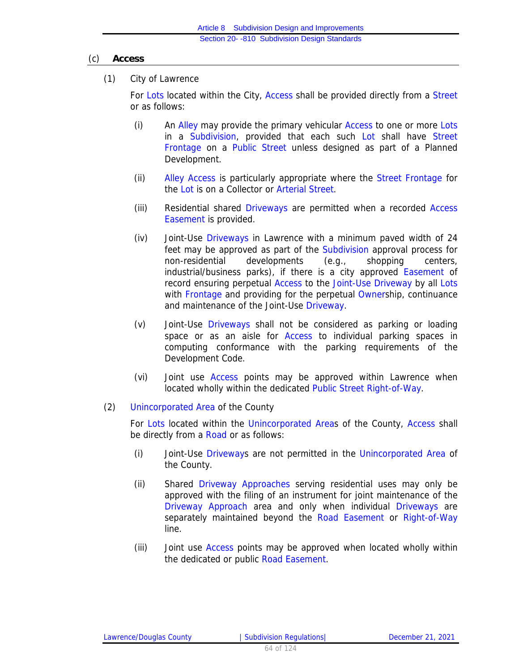#### (c) **Access**

(1) City of Lawrence

For Lots located within the City, Access shall be provided directly from a Street or as follows:

- (i) An Alley may provide the primary vehicular Access to one or more Lots in a Subdivision, provided that each such Lot shall have Street Frontage on a Public Street unless designed as part of a Planned Development.
- (ii) Alley Access is particularly appropriate where the Street Frontage for the Lot is on a Collector or Arterial Street.
- (iii) Residential shared Driveways are permitted when a recorded Access Easement is provided.
- (iv) Joint-Use Driveways in Lawrence with a minimum paved width of 24 feet may be approved as part of the Subdivision approval process for non-residential developments (e.g., shopping centers, industrial/business parks), if there is a city approved Easement of record ensuring perpetual Access to the Joint-Use Driveway by all Lots with Frontage and providing for the perpetual Ownership, continuance and maintenance of the Joint-Use Driveway.
- (v) Joint-Use Driveways shall not be considered as parking or loading space or as an aisle for Access to individual parking spaces in computing conformance with the parking requirements of the Development Code.
- (vi) Joint use Access points may be approved within Lawrence when located wholly within the dedicated Public Street Right-of-Way.
- (2) Unincorporated Area of the County

For Lots located within the Unincorporated Areas of the County, Access shall be directly from a Road or as follows:

- (i) Joint-Use Driveways are not permitted in the Unincorporated Area of the County.
- (ii) Shared Driveway Approaches serving residential uses may only be approved with the filing of an instrument for joint maintenance of the Driveway Approach area and only when individual Driveways are separately maintained beyond the Road Easement or Right-of-Way line.
- (iii) Joint use Access points may be approved when located wholly within the dedicated or public Road Easement.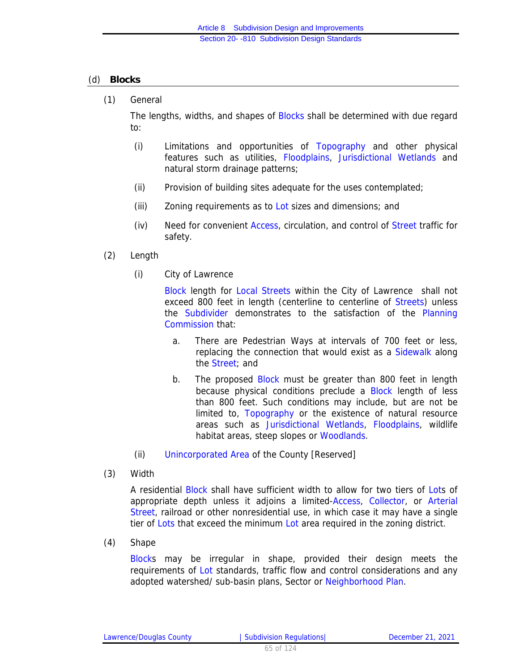#### (d) **Blocks**

### (1) General

The lengths, widths, and shapes of Blocks shall be determined with due regard to:

- (i) Limitations and opportunities of Topography and other physical features such as utilities, Floodplains, Jurisdictional Wetlands and natural storm drainage patterns;
- (ii) Provision of building sites adequate for the uses contemplated;
- (iii) Zoning requirements as to Lot sizes and dimensions; and
- (iv) Need for convenient Access, circulation, and control of Street traffic for safety.
- (2) Length
	- (i) City of Lawrence

Block length for Local Streets within the City of Lawrence shall not exceed 800 feet in length (centerline to centerline of Streets) unless the Subdivider demonstrates to the satisfaction of the Planning Commission that:

- a. There are Pedestrian Ways at intervals of 700 feet or less, replacing the connection that would exist as a Sidewalk along the Street; and
- b. The proposed Block must be greater than 800 feet in length because physical conditions preclude a Block length of less than 800 feet. Such conditions may include, but are not be limited to, Topography or the existence of natural resource areas such as Jurisdictional Wetlands, Floodplains, wildlife habitat areas, steep slopes or Woodlands.
- (ii) Unincorporated Area of the County [Reserved]
- (3) Width

A residential Block shall have sufficient width to allow for two tiers of Lots of appropriate depth unless it adjoins a limited-Access, Collector, or Arterial Street, railroad or other nonresidential use, in which case it may have a single tier of Lots that exceed the minimum Lot area required in the zoning district.

(4) Shape

Blocks may be irregular in shape, provided their design meets the requirements of Lot standards, traffic flow and control considerations and any adopted watershed/ sub-basin plans, Sector or Neighborhood Plan.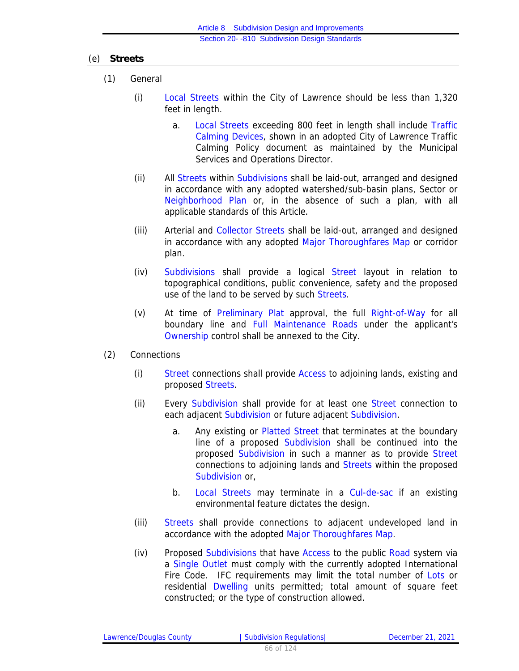### (e) **Streets**

## (1) General

- (i) Local Streets within the City of Lawrence should be less than 1,320 feet in length.
	- a. Local Streets exceeding 800 feet in length shall include Traffic Calming Devices, shown in an adopted City of Lawrence Traffic Calming Policy document as maintained by the Municipal Services and Operations Director.
- (ii) All Streets within Subdivisions shall be laid-out, arranged and designed in accordance with any adopted watershed/sub-basin plans, Sector or Neighborhood Plan or, in the absence of such a plan, with all applicable standards of this Article.
- (iii) Arterial and Collector Streets shall be laid-out, arranged and designed in accordance with any adopted Major Thoroughfares Map or corridor plan.
- (iv) Subdivisions shall provide a logical Street layout in relation to topographical conditions, public convenience, safety and the proposed use of the land to be served by such Streets.
- (v) At time of Preliminary Plat approval, the full Right-of-Way for all boundary line and Full Maintenance Roads under the applicant's Ownership control shall be annexed to the City.
- (2) Connections
	- (i) Street connections shall provide Access to adjoining lands, existing and proposed Streets.
	- (ii) Every Subdivision shall provide for at least one Street connection to each adjacent Subdivision or future adjacent Subdivision.
		- a. Any existing or Platted Street that terminates at the boundary line of a proposed Subdivision shall be continued into the proposed Subdivision in such a manner as to provide Street connections to adjoining lands and Streets within the proposed Subdivision or,
		- b. Local Streets may terminate in a Cul-de-sac if an existing environmental feature dictates the design.
	- (iii) Streets shall provide connections to adjacent undeveloped land in accordance with the adopted Major Thoroughfares Map.
	- (iv) Proposed Subdivisions that have Access to the public Road system via a Single Outlet must comply with the currently adopted International Fire Code. IFC requirements may limit the total number of Lots or residential Dwelling units permitted; total amount of square feet constructed; or the type of construction allowed.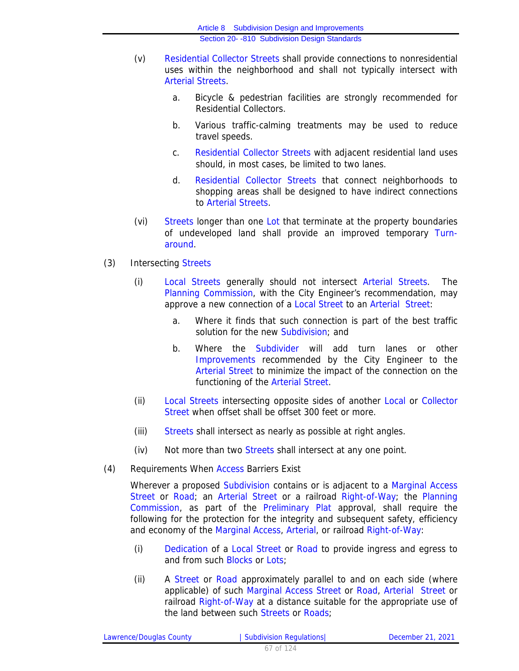- (v) Residential Collector Streets shall provide connections to nonresidential uses within the neighborhood and shall not typically intersect with Arterial Streets.
	- a. Bicycle & pedestrian facilities are strongly recommended for Residential Collectors.
	- b. Various traffic-calming treatments may be used to reduce travel speeds.
	- c. Residential Collector Streets with adjacent residential land uses should, in most cases, be limited to two lanes.
	- d. Residential Collector Streets that connect neighborhoods to shopping areas shall be designed to have indirect connections to Arterial Streets.
- (vi) Streets longer than one Lot that terminate at the property boundaries of undeveloped land shall provide an improved temporary Turnaround.
- (3) Intersecting Streets
	- (i) Local Streets generally should not intersect Arterial Streets. The Planning Commission, with the City Engineer's recommendation, may approve a new connection of a Local Street to an Arterial Street:
		- a. Where it finds that such connection is part of the best traffic solution for the new Subdivision; and
		- b. Where the Subdivider will add turn lanes or other Improvements recommended by the City Engineer to the Arterial Street to minimize the impact of the connection on the functioning of the Arterial Street.
	- (ii) Local Streets intersecting opposite sides of another Local or Collector Street when offset shall be offset 300 feet or more.
	- (iii) Streets shall intersect as nearly as possible at right angles.
	- $(iv)$  Not more than two Streets shall intersect at any one point.
- (4) Requirements When Access Barriers Exist

Wherever a proposed Subdivision contains or is adjacent to a Marginal Access Street or Road; an Arterial Street or a railroad Right-of-Way; the Planning Commission, as part of the Preliminary Plat approval, shall require the following for the protection for the integrity and subsequent safety, efficiency and economy of the Marginal Access, Arterial, or railroad Right-of-Way:

- (i) Dedication of a Local Street or Road to provide ingress and egress to and from such Blocks or Lots;
- (ii) A Street or Road approximately parallel to and on each side (where applicable) of such Marginal Access Street or Road, Arterial Street or railroad Right-of-Way at a distance suitable for the appropriate use of the land between such Streets or Roads;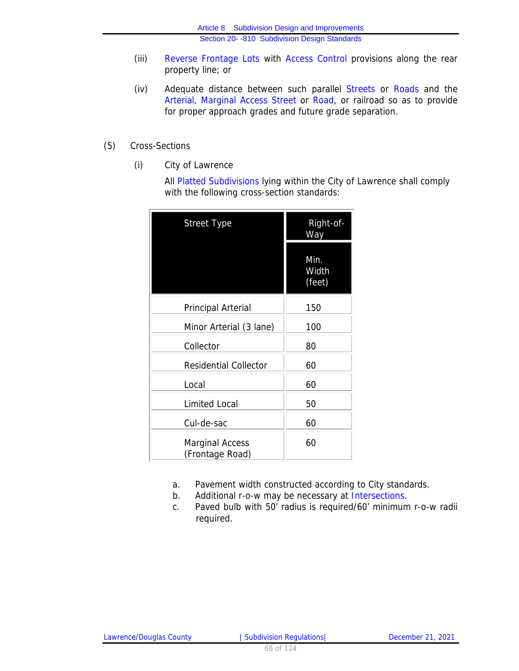- (iii) Reverse Frontage Lots with Access Control provisions along the rear property line; or
- (iv) Adequate distance between such parallel Streets or Roads and the Arterial, Marginal Access Street or Road, or railroad so as to provide for proper approach grades and future grade separation.
- (5) Cross-Sections
	- (i) City of Lawrence

All Platted Subdivisions lying within the City of Lawrence shall comply with the following cross-section standards:

| <b>Street Type</b>                        | Right-of-<br>Way        |
|-------------------------------------------|-------------------------|
|                                           | Min.<br>Width<br>(feet) |
| Principal Arterial                        | 150                     |
| Minor Arterial (3 lane)                   | 100                     |
| Collector                                 | 80                      |
| <b>Residential Collector</b>              | 60                      |
| Local                                     | 60                      |
| <b>Limited Local</b>                      | 50                      |
| Cul-de-sac                                | 60                      |
| <b>Marginal Access</b><br>(Frontage Road) | 60                      |

- a. Pavement width constructed according to City standards.
- b. Additional r-o-w may be necessary at Intersections.
- c. Paved bulb with 50' radius is required/60' minimum r-o-w radii required.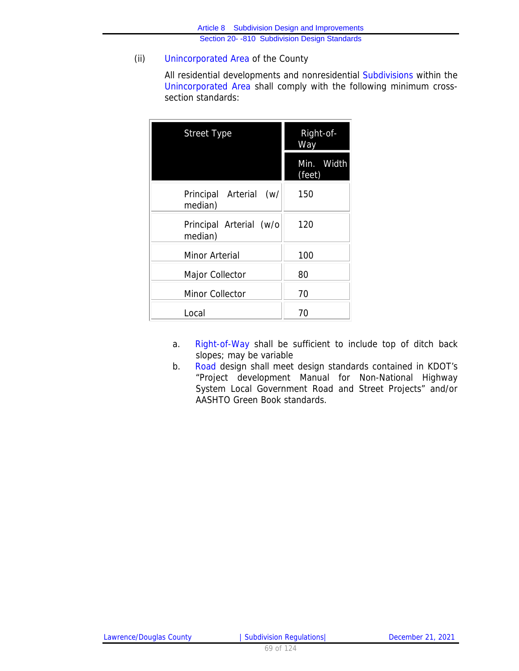Section 20- -810 Subdivision Design Standards

# (ii) Unincorporated Area of the County

All residential developments and nonresidential Subdivisions within the Unincorporated Area shall comply with the following minimum crosssection standards:

| <b>Street Type</b>                 | Right-of-<br>Way     |
|------------------------------------|----------------------|
|                                    | Min. Width<br>(feet) |
| Principal Arterial (w/<br>median)  | 150                  |
| Principal Arterial (w/o<br>median) | 120                  |
| Minor Arterial                     | 100                  |
| <b>Major Collector</b>             | 80                   |
| <b>Minor Collector</b>             | 70                   |
| Local                              | 70                   |

- a. Right-of-Way shall be sufficient to include top of ditch back slopes; may be variable
- b. Road design shall meet design standards contained in KDOT's "Project development Manual for Non-National Highway System Local Government Road and Street Projects" and/or AASHTO Green Book standards.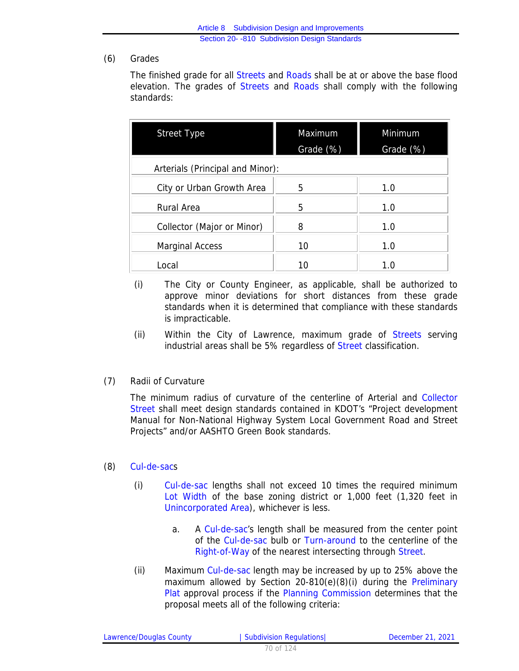### (6) Grades

The finished grade for all Streets and Roads shall be at or above the base flood elevation. The grades of Streets and Roads shall comply with the following standards:

| <b>Street Type</b>               | Maximum<br>Grade (%) | Minimum<br>Grade (%) |
|----------------------------------|----------------------|----------------------|
| Arterials (Principal and Minor): |                      |                      |
| City or Urban Growth Area        | 5                    | 1.0                  |
| <b>Rural Area</b>                | 5                    | 1.0                  |
| Collector (Major or Minor)       | 8                    | 1.0                  |
| <b>Marginal Access</b>           | 10                   | 1.0                  |
| Local                            | 10                   | 1.0                  |

(i) The City or County Engineer, as applicable, shall be authorized to approve minor deviations for short distances from these grade standards when it is determined that compliance with these standards is impracticable.

- (ii) Within the City of Lawrence, maximum grade of Streets serving industrial areas shall be 5% regardless of Street classification.
- (7) Radii of Curvature

The minimum radius of curvature of the centerline of Arterial and Collector Street shall meet design standards contained in KDOT's "Project development Manual for Non-National Highway System Local Government Road and Street Projects" and/or AASHTO Green Book standards.

### (8) Cul-de-sacs

- (i) Cul-de-sac lengths shall not exceed 10 times the required minimum Lot Width of the base zoning district or 1,000 feet (1,320 feet in Unincorporated Area), whichever is less.
	- a. A Cul-de-sac's length shall be measured from the center point of the Cul-de-sac bulb or Turn-around to the centerline of the Right-of-Way of the nearest intersecting through Street.
- (ii) Maximum Cul-de-sac length may be increased by up to 25% above the maximum allowed by Section 20-810(e)(8)(i) during the Preliminary Plat approval process if the Planning Commission determines that the proposal meets all of the following criteria: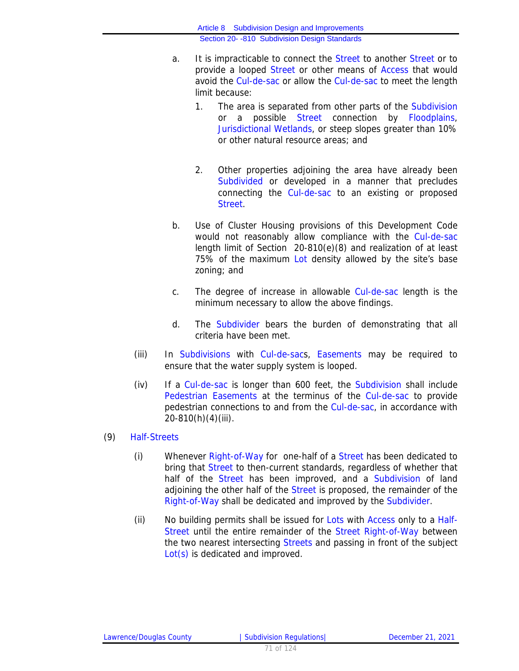- a. It is impracticable to connect the Street to another Street or to provide a looped Street or other means of Access that would avoid the Cul-de-sac or allow the Cul-de-sac to meet the length limit because:
	- 1. The area is separated from other parts of the Subdivision or a possible Street connection by Floodplains, Jurisdictional Wetlands, or steep slopes greater than 10% or other natural resource areas; and
	- 2. Other properties adjoining the area have already been Subdivided or developed in a manner that precludes connecting the Cul-de-sac to an existing or proposed Street.
- b. Use of Cluster Housing provisions of this Development Code would not reasonably allow compliance with the Cul-de-sac length limit of Section 20-810(e)(8) and realization of at least 75% of the maximum Lot density allowed by the site's base zoning; and
- c. The degree of increase in allowable Cul-de-sac length is the minimum necessary to allow the above findings.
- d. The Subdivider bears the burden of demonstrating that all criteria have been met.
- (iii) In Subdivisions with Cul-de-sacs, Easements may be required to ensure that the water supply system is looped.
- (iv) If a Cul-de-sac is longer than 600 feet, the Subdivision shall include Pedestrian Easements at the terminus of the Cul-de-sac to provide pedestrian connections to and from the Cul-de-sac, in accordance with 20-810(h)(4)(iii).
- (9) Half-Streets
	- (i) Whenever Right-of-Way for one-half of a Street has been dedicated to bring that Street to then-current standards, regardless of whether that half of the Street has been improved, and a Subdivision of land adjoining the other half of the Street is proposed, the remainder of the Right-of-Way shall be dedicated and improved by the Subdivider.
	- (ii) No building permits shall be issued for Lots with Access only to a Half-Street until the entire remainder of the Street Right-of-Way between the two nearest intersecting Streets and passing in front of the subject Lot(s) is dedicated and improved.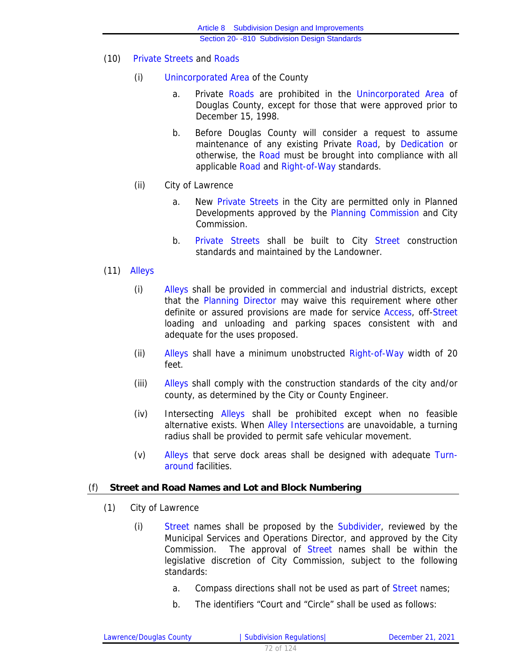Section 20- -810 Subdivision Design Standards

- (10) Private Streets and Roads
	- (i) Unincorporated Area of the County
		- a. Private Roads are prohibited in the Unincorporated Area of Douglas County, except for those that were approved prior to December 15, 1998.
		- b. Before Douglas County will consider a request to assume maintenance of any existing Private Road, by Dedication or otherwise, the Road must be brought into compliance with all applicable Road and Right-of-Way standards.
	- (ii) City of Lawrence
		- a. New Private Streets in the City are permitted only in Planned Developments approved by the Planning Commission and City Commission.
		- b. Private Streets shall be built to City Street construction standards and maintained by the Landowner.

## (11) Alleys

- (i) Alleys shall be provided in commercial and industrial districts, except that the Planning Director may waive this requirement where other definite or assured provisions are made for service Access, off-Street loading and unloading and parking spaces consistent with and adequate for the uses proposed.
- (ii) Alleys shall have a minimum unobstructed Right-of-Way width of 20 feet.
- (iii) Alleys shall comply with the construction standards of the city and/or county, as determined by the City or County Engineer.
- (iv) Intersecting Alleys shall be prohibited except when no feasible alternative exists. When Alley Intersections are unavoidable, a turning radius shall be provided to permit safe vehicular movement.
- (v) Alleys that serve dock areas shall be designed with adequate Turnaround facilities.

### (f) **Street and Road Names and Lot and Block Numbering**

- (1) City of Lawrence
	- (i) Street names shall be proposed by the Subdivider, reviewed by the Municipal Services and Operations Director, and approved by the City Commission. The approval of Street names shall be within the legislative discretion of City Commission, subject to the following standards:
		- a. Compass directions shall not be used as part of Street names;
		- b. The identifiers "Court and "Circle" shall be used as follows: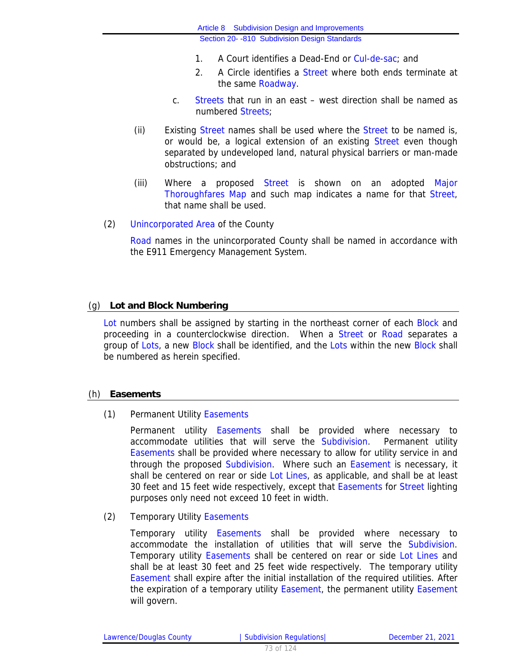- 1. A Court identifies a Dead-End or Cul-de-sac; and
- 2. A Circle identifies a Street where both ends terminate at the same Roadway.
- c. Streets that run in an east west direction shall be named as numbered Streets;
- (ii) Existing Street names shall be used where the Street to be named is, or would be, a logical extension of an existing Street even though separated by undeveloped land, natural physical barriers or man-made obstructions; and
- (iii) Where a proposed Street is shown on an adopted Major Thoroughfares Map and such map indicates a name for that Street, that name shall be used.
- (2) Unincorporated Area of the County

Road names in the unincorporated County shall be named in accordance with the E911 Emergency Management System.

### (g) **Lot and Block Numbering**

Lot numbers shall be assigned by starting in the northeast corner of each Block and proceeding in a counterclockwise direction. When a Street or Road separates a group of Lots, a new Block shall be identified, and the Lots within the new Block shall be numbered as herein specified.

#### (h) **Easements**

(1) Permanent Utility Easements

Permanent utility Easements shall be provided where necessary to accommodate utilities that will serve the Subdivision. Permanent utility Easements shall be provided where necessary to allow for utility service in and through the proposed Subdivision. Where such an Easement is necessary, it shall be centered on rear or side Lot Lines, as applicable, and shall be at least 30 feet and 15 feet wide respectively, except that Easements for Street lighting purposes only need not exceed 10 feet in width.

(2) Temporary Utility Easements

Temporary utility Easements shall be provided where necessary to accommodate the installation of utilities that will serve the Subdivision. Temporary utility Easements shall be centered on rear or side Lot Lines and shall be at least 30 feet and 25 feet wide respectively. The temporary utility Easement shall expire after the initial installation of the required utilities. After the expiration of a temporary utility Easement, the permanent utility Easement will govern.

Lawrence/Douglas County | Subdivision Regulations| December 21, 2021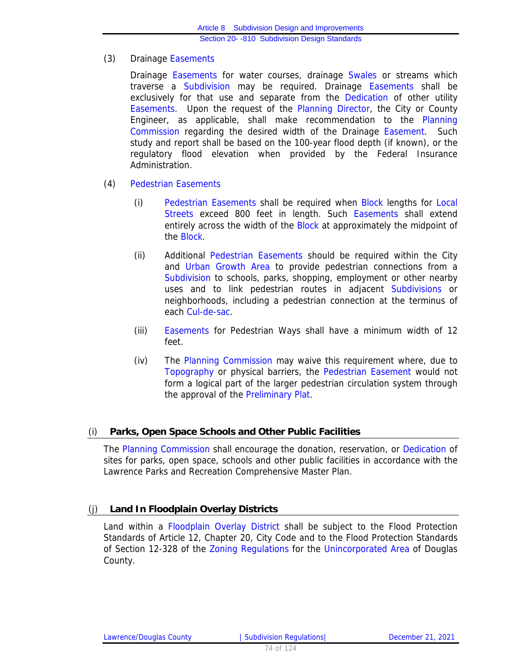(3) Drainage Easements

Drainage Easements for water courses, drainage Swales or streams which traverse a Subdivision may be required. Drainage Easements shall be exclusively for that use and separate from the Dedication of other utility Easements. Upon the request of the Planning Director, the City or County Engineer, as applicable, shall make recommendation to the Planning Commission regarding the desired width of the Drainage Easement. Such study and report shall be based on the 100-year flood depth (if known), or the regulatory flood elevation when provided by the Federal Insurance Administration.

- (4) Pedestrian Easements
	- (i) Pedestrian Easements shall be required when Block lengths for Local Streets exceed 800 feet in length. Such Easements shall extend entirely across the width of the **Block** at approximately the midpoint of the Block.
	- (ii) Additional Pedestrian Easements should be required within the City and Urban Growth Area to provide pedestrian connections from a Subdivision to schools, parks, shopping, employment or other nearby uses and to link pedestrian routes in adjacent Subdivisions or neighborhoods, including a pedestrian connection at the terminus of each Cul-de-sac.
	- (iii) Easements for Pedestrian Ways shall have a minimum width of 12 feet.
	- (iv) The Planning Commission may waive this requirement where, due to Topography or physical barriers, the Pedestrian Easement would not form a logical part of the larger pedestrian circulation system through the approval of the Preliminary Plat.

# (i) **Parks, Open Space Schools and Other Public Facilities**

The Planning Commission shall encourage the donation, reservation, or Dedication of sites for parks, open space, schools and other public facilities in accordance with the Lawrence Parks and Recreation Comprehensive Master Plan.

# (j) **Land In Floodplain Overlay Districts**

Land within a Floodplain Overlay District shall be subject to the Flood Protection Standards of Article 12, Chapter 20, City Code and to the Flood Protection Standards of Section 12-328 of the Zoning Regulations for the Unincorporated Area of Douglas County.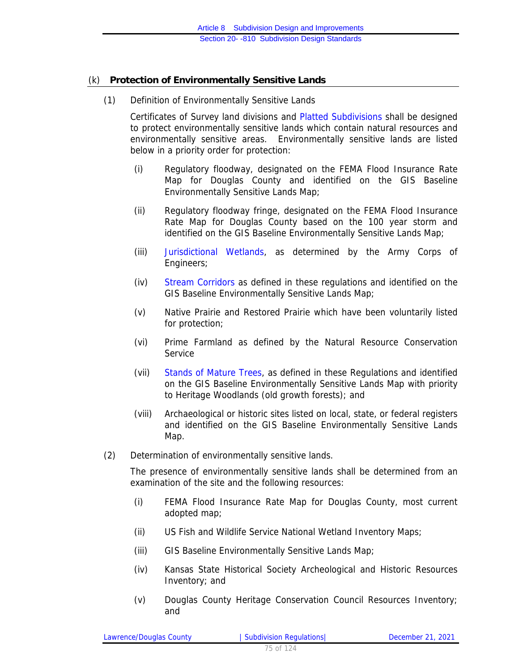### (k) **Protection of Environmentally Sensitive Lands**

(1) Definition of Environmentally Sensitive Lands

Certificates of Survey land divisions and Platted Subdivisions shall be designed to protect environmentally sensitive lands which contain natural resources and environmentally sensitive areas. Environmentally sensitive lands are listed below in a priority order for protection:

- (i) Regulatory floodway, designated on the FEMA Flood Insurance Rate Map for Douglas County and identified on the GIS Baseline Environmentally Sensitive Lands Map;
- (ii) Regulatory floodway fringe, designated on the FEMA Flood Insurance Rate Map for Douglas County based on the 100 year storm and identified on the GIS Baseline Environmentally Sensitive Lands Map;
- (iii) Jurisdictional Wetlands, as determined by the Army Corps of Engineers;
- (iv) Stream Corridors as defined in these regulations and identified on the GIS Baseline Environmentally Sensitive Lands Map;
- (v) Native Prairie and Restored Prairie which have been voluntarily listed for protection;
- (vi) Prime Farmland as defined by the Natural Resource Conservation Service
- (vii) Stands of Mature Trees, as defined in these Regulations and identified on the GIS Baseline Environmentally Sensitive Lands Map with priority to Heritage Woodlands (old growth forests); and
- (viii) Archaeological or historic sites listed on local, state, or federal registers and identified on the GIS Baseline Environmentally Sensitive Lands Map.
- (2) Determination of environmentally sensitive lands.

The presence of environmentally sensitive lands shall be determined from an examination of the site and the following resources:

- (i) FEMA Flood Insurance Rate Map for Douglas County, most current adopted map;
- (ii) US Fish and Wildlife Service National Wetland Inventory Maps;
- (iii) GIS Baseline Environmentally Sensitive Lands Map;
- (iv) Kansas State Historical Society Archeological and Historic Resources Inventory; and
- (v) Douglas County Heritage Conservation Council Resources Inventory; and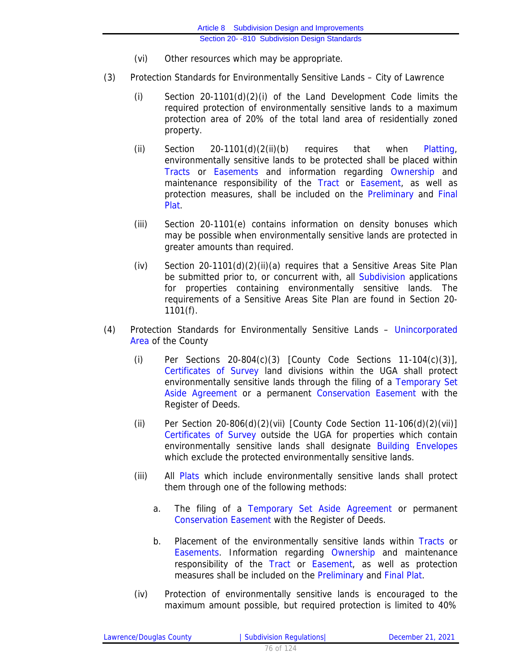- (vi) Other resources which may be appropriate.
- (3) Protection Standards for Environmentally Sensitive Lands City of Lawrence
	- (i) Section 20-1101(d)(2)(i) of the Land Development Code limits the required protection of environmentally sensitive lands to a maximum protection area of 20% of the total land area of residentially zoned property.
	- (ii) Section 20-1101(d)(2(ii)(b) requires that when Platting, environmentally sensitive lands to be protected shall be placed within Tracts or Easements and information regarding Ownership and maintenance responsibility of the Tract or Easement, as well as protection measures, shall be included on the Preliminary and Final Plat.
	- (iii) Section 20-1101(e) contains information on density bonuses which may be possible when environmentally sensitive lands are protected in greater amounts than required.
	- (iv) Section 20-1101(d)(2)(ii)(a) requires that a Sensitive Areas Site Plan be submitted prior to, or concurrent with, all Subdivision applications for properties containing environmentally sensitive lands. The requirements of a Sensitive Areas Site Plan are found in Section 20-  $1101(f)$ .
- (4) Protection Standards for Environmentally Sensitive Lands Unincorporated Area of the County
	- (i) Per Sections  $20-804(c)(3)$  [County Code Sections 11-104 $(c)(3)$ ], Certificates of Survey land divisions within the UGA shall protect environmentally sensitive lands through the filing of a Temporary Set Aside Agreement or a permanent Conservation Easement with the Register of Deeds.
	- (ii) Per Section 20-806(d)(2)(vii) [County Code Section 11-106(d)(2)(vii)] Certificates of Survey outside the UGA for properties which contain environmentally sensitive lands shall designate Building Envelopes which exclude the protected environmentally sensitive lands.
	- (iii) All Plats which include environmentally sensitive lands shall protect them through one of the following methods:
		- a. The filing of a Temporary Set Aside Agreement or permanent Conservation Easement with the Register of Deeds.
		- b. Placement of the environmentally sensitive lands within Tracts or Easements. Information regarding Ownership and maintenance responsibility of the Tract or Easement, as well as protection measures shall be included on the Preliminary and Final Plat.
	- (iv) Protection of environmentally sensitive lands is encouraged to the maximum amount possible, but required protection is limited to 40%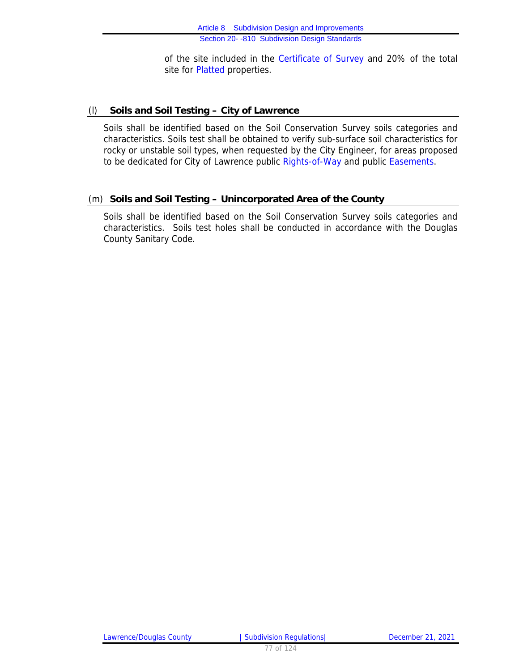of the site included in the Certificate of Survey and 20% of the total site for Platted properties.

## (l) **Soils and Soil Testing – City of Lawrence**

Soils shall be identified based on the Soil Conservation Survey soils categories and characteristics. Soils test shall be obtained to verify sub-surface soil characteristics for rocky or unstable soil types, when requested by the City Engineer, for areas proposed to be dedicated for City of Lawrence public Rights-of-Way and public Easements.

## (m) **Soils and Soil Testing – Unincorporated Area of the County**

Soils shall be identified based on the Soil Conservation Survey soils categories and characteristics. Soils test holes shall be conducted in accordance with the Douglas County Sanitary Code.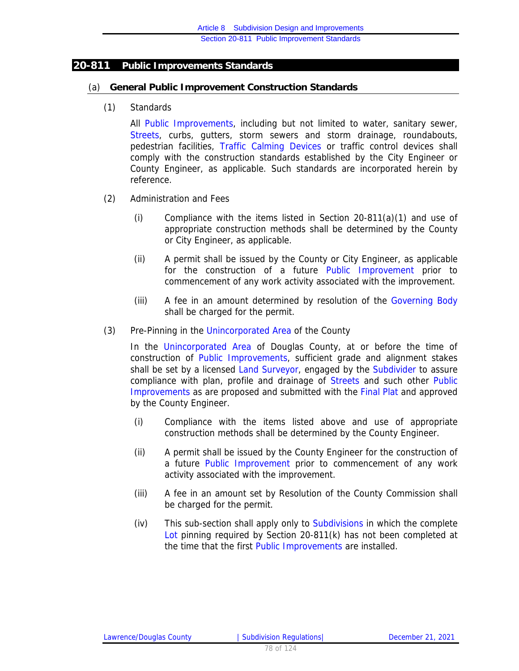Section 20-811 Public Improvement Standards

#### **20-811 Public Improvements Standards**

#### (a) **General Public Improvement Construction Standards**

(1) Standards

All Public Improvements, including but not limited to water, sanitary sewer, Streets, curbs, gutters, storm sewers and storm drainage, roundabouts, pedestrian facilities, Traffic Calming Devices or traffic control devices shall comply with the construction standards established by the City Engineer or County Engineer, as applicable. Such standards are incorporated herein by reference.

- (2) Administration and Fees
	- (i) Compliance with the items listed in Section  $20-811(a)(1)$  and use of appropriate construction methods shall be determined by the County or City Engineer, as applicable.
	- (ii) A permit shall be issued by the County or City Engineer, as applicable for the construction of a future Public Improvement prior to commencement of any work activity associated with the improvement.
	- (iii) A fee in an amount determined by resolution of the Governing Body shall be charged for the permit.
- (3) Pre-Pinning in the Unincorporated Area of the County

In the Unincorporated Area of Douglas County, at or before the time of construction of Public Improvements, sufficient grade and alignment stakes shall be set by a licensed Land Surveyor, engaged by the Subdivider to assure compliance with plan, profile and drainage of Streets and such other Public Improvements as are proposed and submitted with the Final Plat and approved by the County Engineer.

- (i) Compliance with the items listed above and use of appropriate construction methods shall be determined by the County Engineer.
- (ii) A permit shall be issued by the County Engineer for the construction of a future Public Improvement prior to commencement of any work activity associated with the improvement.
- (iii) A fee in an amount set by Resolution of the County Commission shall be charged for the permit.
- (iv) This sub-section shall apply only to Subdivisions in which the complete Lot pinning required by Section 20-811(k) has not been completed at the time that the first Public Improvements are installed.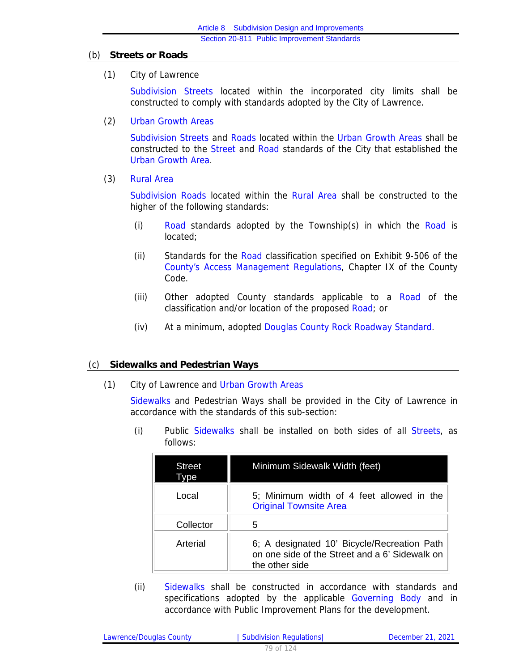#### (b) **Streets or Roads**

#### (1) City of Lawrence

Subdivision Streets located within the incorporated city limits shall be constructed to comply with standards adopted by the City of Lawrence.

(2) Urban Growth Areas

Subdivision Streets and Roads located within the Urban Growth Areas shall be constructed to the Street and Road standards of the City that established the Urban Growth Area.

(3) Rural Area

Subdivision Roads located within the Rural Area shall be constructed to the higher of the following standards:

- $(i)$  Road standards adopted by the Township(s) in which the Road is located;
- (ii) Standards for the Road classification specified on Exhibit 9-506 of the County's Access Management Regulations, Chapter IX of the County Code.
- (iii) Other adopted County standards applicable to a Road of the classification and/or location of the proposed Road; or
- (iv) At a minimum, adopted Douglas County Rock Roadway Standard.

### (c) **Sidewalks and Pedestrian Ways**

(1) City of Lawrence and Urban Growth Areas

Sidewalks and Pedestrian Ways shall be provided in the City of Lawrence in accordance with the standards of this sub-section:

(i) Public Sidewalks shall be installed on both sides of all Streets, as follows:

| <b>Street</b><br><b>T</b> vpe | Minimum Sidewalk Width (feet)                                                                                   |
|-------------------------------|-----------------------------------------------------------------------------------------------------------------|
| Local                         | 5; Minimum width of 4 feet allowed in the<br><b>Original Townsite Area</b>                                      |
| Collector                     | 5                                                                                                               |
| Arterial                      | 6; A designated 10' Bicycle/Recreation Path<br>on one side of the Street and a 6' Sidewalk on<br>the other side |

(ii) Sidewalks shall be constructed in accordance with standards and specifications adopted by the applicable Governing Body and in accordance with Public Improvement Plans for the development.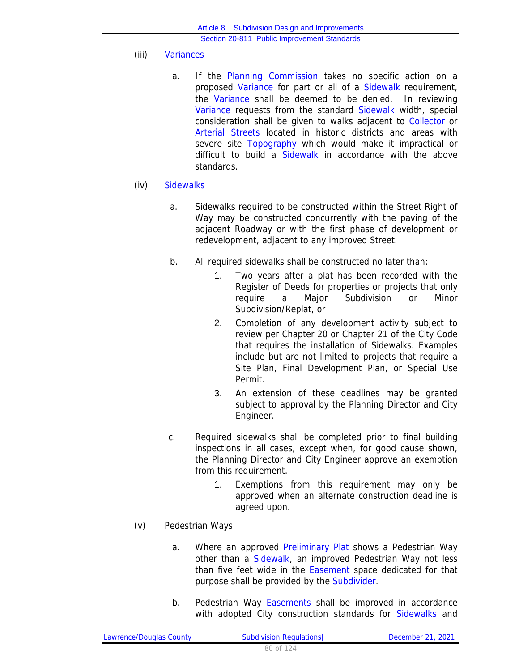Section 20-811 Public Improvement Standards

- (iii) Variances
	- a. If the Planning Commission takes no specific action on a proposed Variance for part or all of a Sidewalk requirement, the Variance shall be deemed to be denied. In reviewing Variance requests from the standard Sidewalk width, special consideration shall be given to walks adjacent to Collector or Arterial Streets located in historic districts and areas with severe site Topography which would make it impractical or difficult to build a Sidewalk in accordance with the above standards.
- (iv) Sidewalks
	- a. Sidewalks required to be constructed within the Street Right of Way may be constructed concurrently with the paving of the adjacent Roadway or with the first phase of development or redevelopment, adjacent to any improved Street.
	- b. All required sidewalks shall be constructed no later than:
		- 1. Two years after a plat has been recorded with the Register of Deeds for properties or projects that only require a Major Subdivision or Minor Subdivision/Replat, or
		- 2. Completion of any development activity subject to review per Chapter 20 or Chapter 21 of the City Code that requires the installation of Sidewalks. Examples include but are not limited to projects that require a Site Plan, Final Development Plan, or Special Use Permit.
		- 3. An extension of these deadlines may be granted subject to approval by the Planning Director and City Engineer.
	- c. Required sidewalks shall be completed prior to final building inspections in all cases, except when, for good cause shown, the Planning Director and City Engineer approve an exemption from this requirement.
		- 1. Exemptions from this requirement may only be approved when an alternate construction deadline is agreed upon.
- (v) Pedestrian Ways
	- a. Where an approved Preliminary Plat shows a Pedestrian Way other than a Sidewalk, an improved Pedestrian Way not less than five feet wide in the Easement space dedicated for that purpose shall be provided by the Subdivider.
	- b. Pedestrian Way Easements shall be improved in accordance with adopted City construction standards for Sidewalks and

Lawrence/Douglas County | Subdivision Regulations| December 21, 2021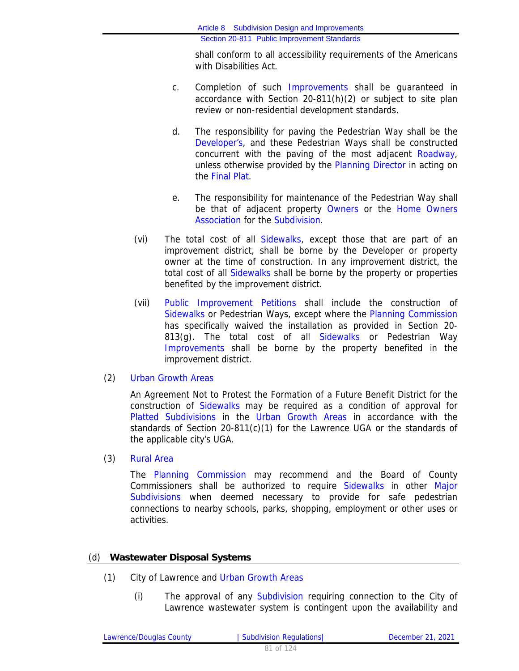shall conform to all accessibility requirements of the Americans with Disabilities Act.

- c. Completion of such Improvements shall be guaranteed in accordance with Section 20-811(h)(2) or subject to site plan review or non-residential development standards.
- d. The responsibility for paving the Pedestrian Way shall be the Developer's, and these Pedestrian Ways shall be constructed concurrent with the paving of the most adjacent Roadway, unless otherwise provided by the Planning Director in acting on the Final Plat.
- e. The responsibility for maintenance of the Pedestrian Way shall be that of adjacent property Owners or the Home Owners Association for the Subdivision.
- (vi) The total cost of all Sidewalks, except those that are part of an improvement district, shall be borne by the Developer or property owner at the time of construction. In any improvement district, the total cost of all Sidewalks shall be borne by the property or properties benefited by the improvement district.
- (vii) Public Improvement Petitions shall include the construction of Sidewalks or Pedestrian Ways, except where the Planning Commission has specifically waived the installation as provided in Section 20- 813(g). The total cost of all Sidewalks or Pedestrian Way Improvements shall be borne by the property benefited in the improvement district.
- (2) Urban Growth Areas

An Agreement Not to Protest the Formation of a Future Benefit District for the construction of Sidewalks may be required as a condition of approval for Platted Subdivisions in the Urban Growth Areas in accordance with the standards of Section 20-811(c)(1) for the Lawrence UGA or the standards of the applicable city's UGA.

(3) Rural Area

The Planning Commission may recommend and the Board of County Commissioners shall be authorized to require Sidewalks in other Major Subdivisions when deemed necessary to provide for safe pedestrian connections to nearby schools, parks, shopping, employment or other uses or activities.

# (d) **Wastewater Disposal Systems**

- (1) City of Lawrence and Urban Growth Areas
	- (i) The approval of any Subdivision requiring connection to the City of Lawrence wastewater system is contingent upon the availability and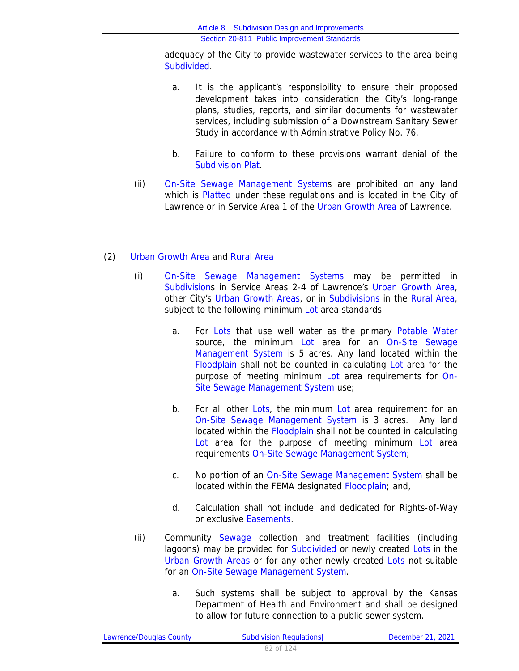adequacy of the City to provide wastewater services to the area being Subdivided.

- a. It is the applicant's responsibility to ensure their proposed development takes into consideration the City's long-range plans, studies, reports, and similar documents for wastewater services, including submission of a Downstream Sanitary Sewer Study in accordance with Administrative Policy No. 76.
- b. Failure to conform to these provisions warrant denial of the Subdivision Plat.
- (ii) On-Site Sewage Management Systems are prohibited on any land which is Platted under these regulations and is located in the City of Lawrence or in Service Area 1 of the Urban Growth Area of Lawrence.

# (2) Urban Growth Area and Rural Area

- (i) On-Site Sewage Management Systems may be permitted in Subdivisions in Service Areas 2-4 of Lawrence's Urban Growth Area, other City's Urban Growth Areas, or in Subdivisions in the Rural Area, subject to the following minimum Lot area standards:
	- a. For Lots that use well water as the primary Potable Water source, the minimum Lot area for an On-Site Sewage Management System is 5 acres. Any land located within the Floodplain shall not be counted in calculating Lot area for the purpose of meeting minimum Lot area requirements for On-Site Sewage Management System use;
	- b. For all other Lots, the minimum Lot area requirement for an On-Site Sewage Management System is 3 acres. Any land located within the Floodplain shall not be counted in calculating Lot area for the purpose of meeting minimum Lot area requirements On-Site Sewage Management System;
	- c. No portion of an On-Site Sewage Management System shall be located within the FEMA designated Floodplain; and,
	- d. Calculation shall not include land dedicated for Rights-of-Way or exclusive Easements.
- (ii) Community Sewage collection and treatment facilities (including lagoons) may be provided for Subdivided or newly created Lots in the Urban Growth Areas or for any other newly created Lots not suitable for an On-Site Sewage Management System.
	- a. Such systems shall be subject to approval by the Kansas Department of Health and Environment and shall be designed to allow for future connection to a public sewer system.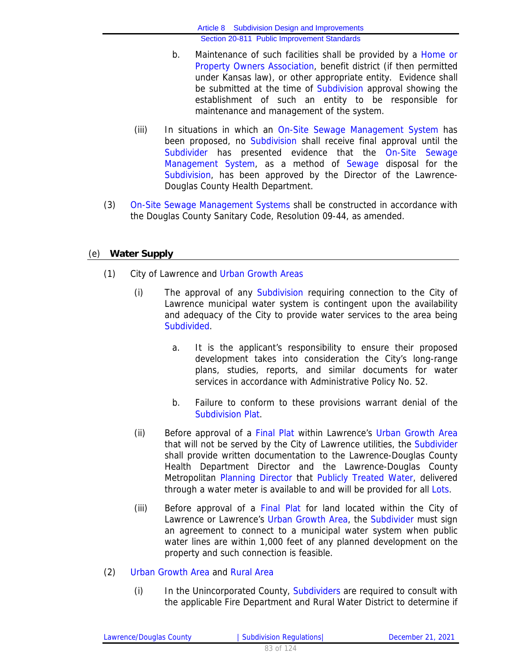- b. Maintenance of such facilities shall be provided by a Home or Property Owners Association, benefit district (if then permitted under Kansas law), or other appropriate entity. Evidence shall be submitted at the time of Subdivision approval showing the establishment of such an entity to be responsible for maintenance and management of the system.
- (iii) In situations in which an On-Site Sewage Management System has been proposed, no Subdivision shall receive final approval until the Subdivider has presented evidence that the On-Site Sewage Management System, as a method of Sewage disposal for the Subdivision, has been approved by the Director of the Lawrence-Douglas County Health Department.
- (3) On-Site Sewage Management Systems shall be constructed in accordance with the Douglas County Sanitary Code, Resolution 09-44, as amended.

### (e) **Water Supply**

- (1) City of Lawrence and Urban Growth Areas
	- (i) The approval of any Subdivision requiring connection to the City of Lawrence municipal water system is contingent upon the availability and adequacy of the City to provide water services to the area being Subdivided.
		- a. It is the applicant's responsibility to ensure their proposed development takes into consideration the City's long-range plans, studies, reports, and similar documents for water services in accordance with Administrative Policy No. 52.
		- b. Failure to conform to these provisions warrant denial of the Subdivision Plat.
	- (ii) Before approval of a Final Plat within Lawrence's Urban Growth Area that will not be served by the City of Lawrence utilities, the Subdivider shall provide written documentation to the Lawrence-Douglas County Health Department Director and the Lawrence-Douglas County Metropolitan Planning Director that Publicly Treated Water, delivered through a water meter is available to and will be provided for all Lots.
	- (iii) Before approval of a Final Plat for land located within the City of Lawrence or Lawrence's Urban Growth Area, the Subdivider must sign an agreement to connect to a municipal water system when public water lines are within 1,000 feet of any planned development on the property and such connection is feasible.

### (2) Urban Growth Area and Rural Area

(i) In the Unincorporated County, Subdividers are required to consult with the applicable Fire Department and Rural Water District to determine if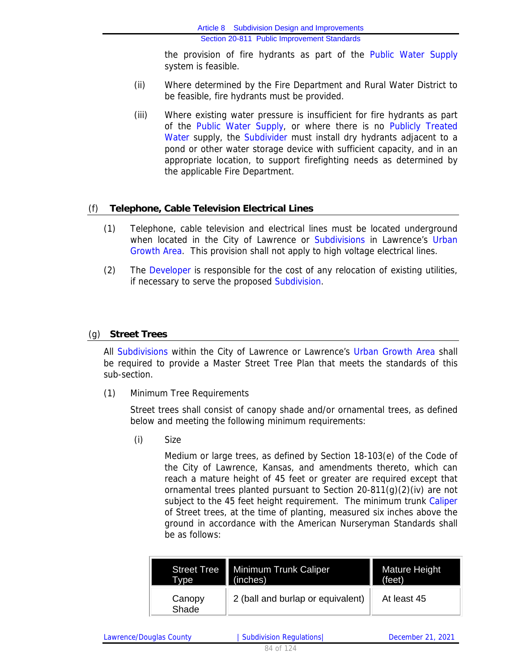the provision of fire hydrants as part of the Public Water Supply system is feasible.

- (ii) Where determined by the Fire Department and Rural Water District to be feasible, fire hydrants must be provided.
- (iii) Where existing water pressure is insufficient for fire hydrants as part of the Public Water Supply, or where there is no Publicly Treated Water supply, the Subdivider must install dry hydrants adjacent to a pond or other water storage device with sufficient capacity, and in an appropriate location, to support firefighting needs as determined by the applicable Fire Department.

## (f) **Telephone, Cable Television Electrical Lines**

- (1) Telephone, cable television and electrical lines must be located underground when located in the City of Lawrence or Subdivisions in Lawrence's Urban Growth Area. This provision shall not apply to high voltage electrical lines.
- (2) The Developer is responsible for the cost of any relocation of existing utilities, if necessary to serve the proposed Subdivision.

### (g) **Street Trees**

All Subdivisions within the City of Lawrence or Lawrence's Urban Growth Area shall be required to provide a Master Street Tree Plan that meets the standards of this sub-section.

(1) Minimum Tree Requirements

Street trees shall consist of canopy shade and/or ornamental trees, as defined below and meeting the following minimum requirements:

(i) Size

Medium or large trees, as defined by Section 18-103(e) of the Code of the City of Lawrence, Kansas, and amendments thereto, which can reach a mature height of 45 feet or greater are required except that ornamental trees planted pursuant to Section 20-811(g)(2)(iv) are not subject to the 45 feet height requirement. The minimum trunk Caliper of Street trees, at the time of planting, measured six inches above the ground in accordance with the American Nurseryman Standards shall be as follows:

| <b>Street Tree</b> | <b>Minimum Trunk Caliper</b>      | <b>Mature Height</b> |
|--------------------|-----------------------------------|----------------------|
| Tvpe               | (inches)                          | (feet)               |
| Canopy<br>Shade    | 2 (ball and burlap or equivalent) | At least 45          |

| December 21, 2021<br>  Subdivision Regulations <br>Lawrence/Douglas County |  |
|----------------------------------------------------------------------------|--|
|----------------------------------------------------------------------------|--|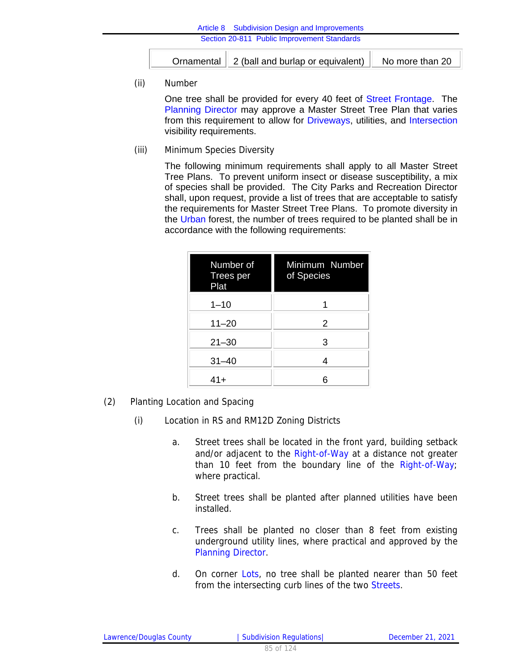Section 20-811 Public Improvement Standards

|  | Ornamental $  $ 2 (ball and burlap or equivalent) $  $ | No more than 20 |
|--|--------------------------------------------------------|-----------------|
|--|--------------------------------------------------------|-----------------|

(ii) Number

One tree shall be provided for every 40 feet of Street Frontage. The Planning Director may approve a Master Street Tree Plan that varies from this requirement to allow for Driveways, utilities, and Intersection visibility requirements.

(iii) Minimum Species Diversity

The following minimum requirements shall apply to all Master Street Tree Plans. To prevent uniform insect or disease susceptibility, a mix of species shall be provided. The City Parks and Recreation Director shall, upon request, provide a list of trees that are acceptable to satisfy the requirements for Master Street Tree Plans. To promote diversity in the Urban forest, the number of trees required to be planted shall be in accordance with the following requirements:

| Number of<br><b>Trees per</b><br>Plat | Minimum Number<br>of Species |
|---------------------------------------|------------------------------|
| $1 - 10$                              | 1                            |
| $11 - 20$                             | 2                            |
| $21 - 30$                             | 3                            |
| $31 - 40$                             | 4                            |
| $41+$                                 | 6                            |

- (2) Planting Location and Spacing
	- (i) Location in RS and RM12D Zoning Districts
		- a. Street trees shall be located in the front yard, building setback and/or adjacent to the Right-of-Way at a distance not greater than 10 feet from the boundary line of the Right-of-Way; where practical.
		- b. Street trees shall be planted after planned utilities have been installed.
		- c. Trees shall be planted no closer than 8 feet from existing underground utility lines, where practical and approved by the Planning Director.
		- d. On corner Lots, no tree shall be planted nearer than 50 feet from the intersecting curb lines of the two Streets.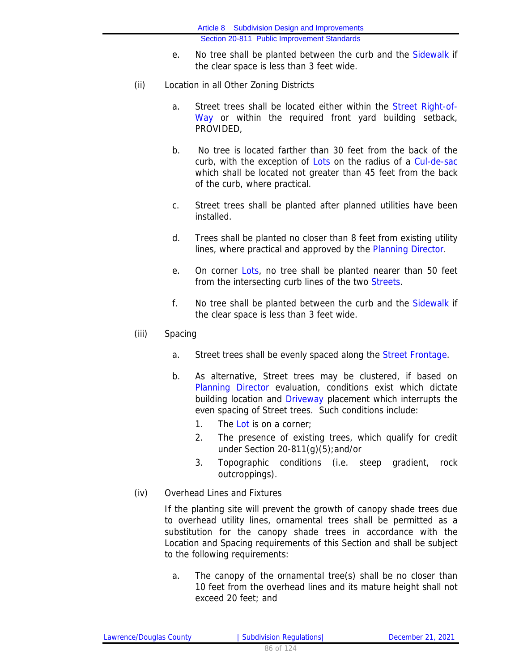- e. No tree shall be planted between the curb and the Sidewalk if the clear space is less than 3 feet wide.
- (ii) Location in all Other Zoning Districts
	- a. Street trees shall be located either within the Street Right-of-Way or within the required front yard building setback, PROVIDED,
	- b. No tree is located farther than 30 feet from the back of the curb, with the exception of Lots on the radius of a Cul-de-sac which shall be located not greater than 45 feet from the back of the curb, where practical.
	- c. Street trees shall be planted after planned utilities have been installed.
	- d. Trees shall be planted no closer than 8 feet from existing utility lines, where practical and approved by the Planning Director.
	- e. On corner Lots, no tree shall be planted nearer than 50 feet from the intersecting curb lines of the two Streets.
	- f. No tree shall be planted between the curb and the Sidewalk if the clear space is less than 3 feet wide.

### (iii) Spacing

- a. Street trees shall be evenly spaced along the Street Frontage.
- b. As alternative, Street trees may be clustered, if based on Planning Director evaluation, conditions exist which dictate building location and Driveway placement which interrupts the even spacing of Street trees. Such conditions include:
	- 1. The Lot is on a corner;
	- 2. The presence of existing trees, which qualify for credit under Section 20-811(g)(5);and/or
	- 3. Topographic conditions (i.e. steep gradient, rock outcroppings).
- (iv) Overhead Lines and Fixtures

If the planting site will prevent the growth of canopy shade trees due to overhead utility lines, ornamental trees shall be permitted as a substitution for the canopy shade trees in accordance with the Location and Spacing requirements of this Section and shall be subject to the following requirements:

a. The canopy of the ornamental tree(s) shall be no closer than 10 feet from the overhead lines and its mature height shall not exceed 20 feet; and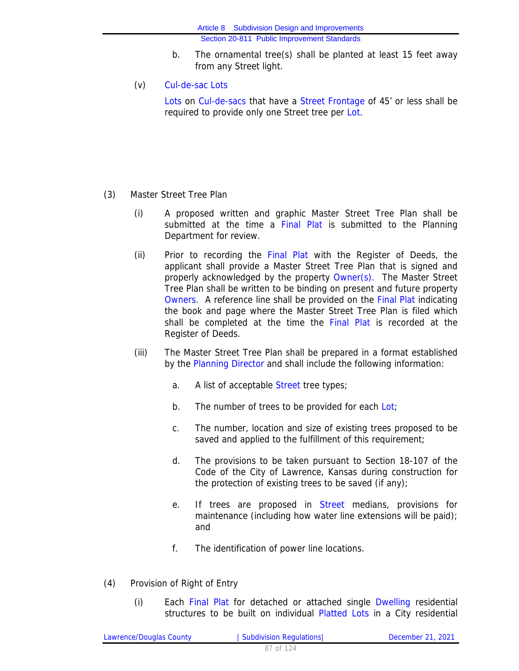- b. The ornamental tree(s) shall be planted at least 15 feet away from any Street light.
- (v) Cul-de-sac Lots

Lots on Cul-de-sacs that have a Street Frontage of 45' or less shall be required to provide only one Street tree per Lot.

- (3) Master Street Tree Plan
	- (i) A proposed written and graphic Master Street Tree Plan shall be submitted at the time a Final Plat is submitted to the Planning Department for review.
	- (ii) Prior to recording the Final Plat with the Register of Deeds, the applicant shall provide a Master Street Tree Plan that is signed and properly acknowledged by the property Owner(s). The Master Street Tree Plan shall be written to be binding on present and future property Owners. A reference line shall be provided on the Final Plat indicating the book and page where the Master Street Tree Plan is filed which shall be completed at the time the Final Plat is recorded at the Register of Deeds.
	- (iii) The Master Street Tree Plan shall be prepared in a format established by the Planning Director and shall include the following information:
		- a. A list of acceptable Street tree types;
		- b. The number of trees to be provided for each Lot;
		- c. The number, location and size of existing trees proposed to be saved and applied to the fulfillment of this requirement;
		- d. The provisions to be taken pursuant to Section 18-107 of the Code of the City of Lawrence, Kansas during construction for the protection of existing trees to be saved (if any);
		- e. If trees are proposed in Street medians, provisions for maintenance (including how water line extensions will be paid); and
		- f. The identification of power line locations.
- (4) Provision of Right of Entry
	- (i) Each Final Plat for detached or attached single Dwelling residential structures to be built on individual Platted Lots in a City residential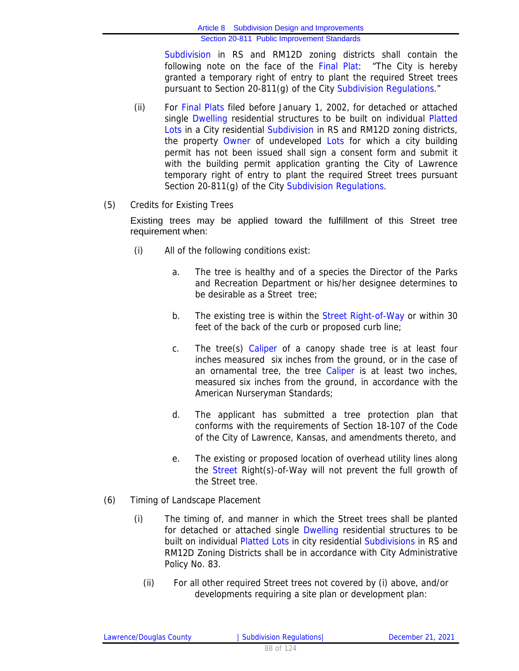Subdivision in RS and RM12D zoning districts shall contain the following note on the face of the Final Plat: "The City is hereby granted a temporary right of entry to plant the required Street trees pursuant to Section 20-811(g) of the City Subdivision Regulations."

(ii) For Final Plats filed before January 1, 2002, for detached or attached single Dwelling residential structures to be built on individual Platted Lots in a City residential Subdivision in RS and RM12D zoning districts, the property Owner of undeveloped Lots for which a city building permit has not been issued shall sign a consent form and submit it with the building permit application granting the City of Lawrence temporary right of entry to plant the required Street trees pursuant Section 20-811(g) of the City Subdivision Regulations.

## (5) Credits for Existing Trees

Existing trees may be applied toward the fulfillment of this Street tree requirement when:

- (i) All of the following conditions exist:
	- a. The tree is healthy and of a species the Director of the Parks and Recreation Department or his/her designee determines to be desirable as a Street tree;
	- b. The existing tree is within the Street Right-of-Way or within 30 feet of the back of the curb or proposed curb line;
	- c. The tree(s) Caliper of a canopy shade tree is at least four inches measured six inches from the ground, or in the case of an ornamental tree, the tree Caliper is at least two inches, measured six inches from the ground, in accordance with the American Nurseryman Standards;
	- d. The applicant has submitted a tree protection plan that conforms with the requirements of Section 18-107 of the Code of the City of Lawrence, Kansas, and amendments thereto, and
	- e. The existing or proposed location of overhead utility lines along the Street Right(s)-of-Way will not prevent the full growth of the Street tree.
- (6) Timing of Landscape Placement
	- (i) The timing of, and manner in which the Street trees shall be planted for detached or attached single Dwelling residential structures to be built on individual Platted Lots in city residential Subdivisions in RS and RM12D Zoning Districts shall be in accordance with City Administrative Policy No. 83.
		- (ii) For all other required Street trees not covered by (i) above, and/or developments requiring a site plan or development plan: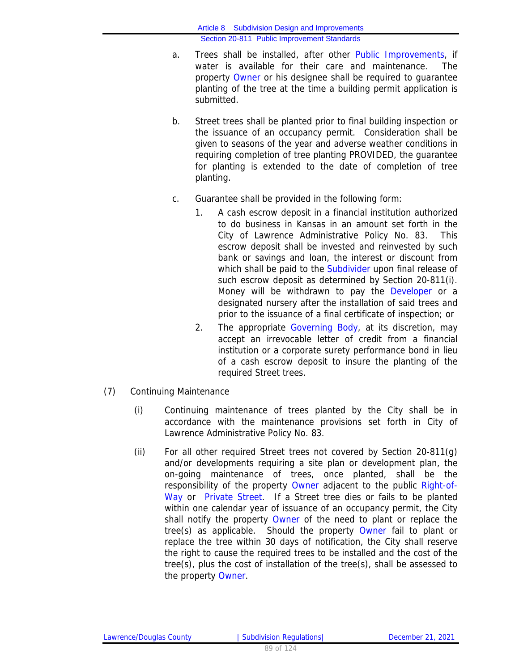- a. Trees shall be installed, after other Public Improvements, if water is available for their care and maintenance. The property Owner or his designee shall be required to guarantee planting of the tree at the time a building permit application is submitted.
- b. Street trees shall be planted prior to final building inspection or the issuance of an occupancy permit. Consideration shall be given to seasons of the year and adverse weather conditions in requiring completion of tree planting PROVIDED, the guarantee for planting is extended to the date of completion of tree planting.
- c. Guarantee shall be provided in the following form:
	- 1. A cash escrow deposit in a financial institution authorized to do business in Kansas in an amount set forth in the City of Lawrence Administrative Policy No. 83. This escrow deposit shall be invested and reinvested by such bank or savings and loan, the interest or discount from which shall be paid to the Subdivider upon final release of such escrow deposit as determined by Section 20-811(i). Money will be withdrawn to pay the Developer or a designated nursery after the installation of said trees and prior to the issuance of a final certificate of inspection; or
	- 2. The appropriate Governing Body, at its discretion, may accept an irrevocable letter of credit from a financial institution or a corporate surety performance bond in lieu of a cash escrow deposit to insure the planting of the required Street trees.
- (7) Continuing Maintenance
	- (i) Continuing maintenance of trees planted by the City shall be in accordance with the maintenance provisions set forth in City of Lawrence Administrative Policy No. 83.
	- (ii) For all other required Street trees not covered by Section 20-811(g) and/or developments requiring a site plan or development plan, the on-going maintenance of trees, once planted, shall be the responsibility of the property Owner adjacent to the public Right-of-Way or Private Street. If a Street tree dies or fails to be planted within one calendar year of issuance of an occupancy permit, the City shall notify the property Owner of the need to plant or replace the tree(s) as applicable. Should the property Owner fail to plant or replace the tree within 30 days of notification, the City shall reserve the right to cause the required trees to be installed and the cost of the tree(s), plus the cost of installation of the tree(s), shall be assessed to the property Owner.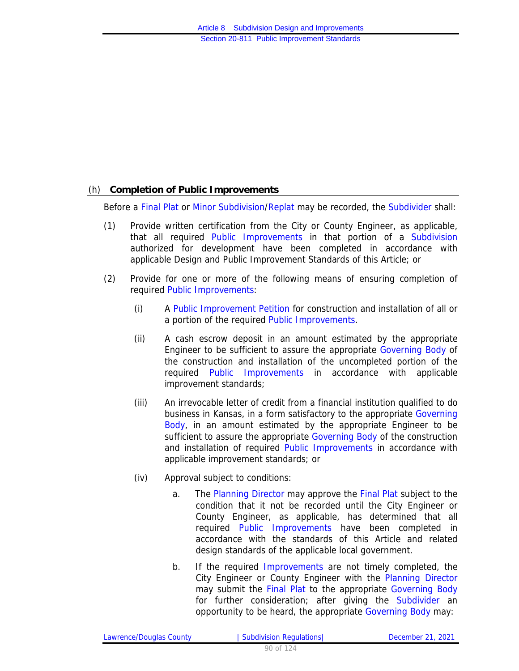# (h) **Completion of Public Improvements**

Before a Final Plat or Minor Subdivision/Replat may be recorded, the Subdivider shall:

- (1) Provide written certification from the City or County Engineer, as applicable, that all required Public Improvements in that portion of a Subdivision authorized for development have been completed in accordance with applicable Design and Public Improvement Standards of this Article; or
- (2) Provide for one or more of the following means of ensuring completion of required Public Improvements:
	- (i) A Public Improvement Petition for construction and installation of all or a portion of the required Public Improvements.
	- (ii) A cash escrow deposit in an amount estimated by the appropriate Engineer to be sufficient to assure the appropriate Governing Body of the construction and installation of the uncompleted portion of the required Public Improvements in accordance with applicable improvement standards;
	- (iii) An irrevocable letter of credit from a financial institution qualified to do business in Kansas, in a form satisfactory to the appropriate Governing Body, in an amount estimated by the appropriate Engineer to be sufficient to assure the appropriate Governing Body of the construction and installation of required Public Improvements in accordance with applicable improvement standards; or
	- (iv) Approval subject to conditions:
		- a. The Planning Director may approve the Final Plat subject to the condition that it not be recorded until the City Engineer or County Engineer, as applicable, has determined that all required Public Improvements have been completed in accordance with the standards of this Article and related design standards of the applicable local government.
		- b. If the required Improvements are not timely completed, the City Engineer or County Engineer with the Planning Director may submit the Final Plat to the appropriate Governing Body for further consideration; after giving the Subdivider an opportunity to be heard, the appropriate Governing Body may: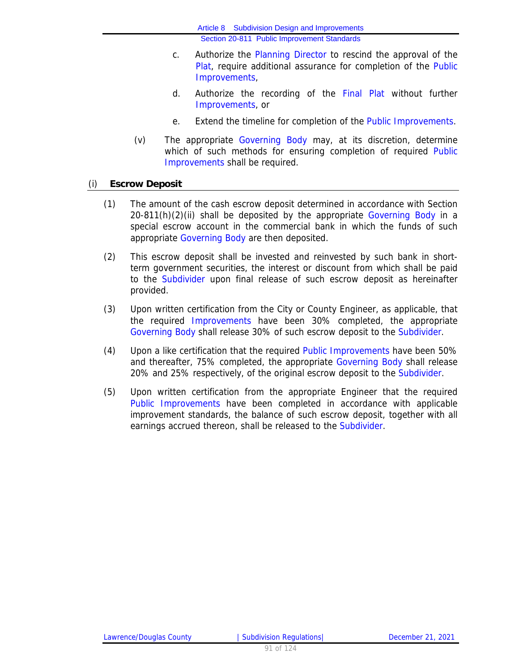- c. Authorize the Planning Director to rescind the approval of the Plat, require additional assurance for completion of the Public Improvements,
- d. Authorize the recording of the Final Plat without further Improvements, or
- e. Extend the timeline for completion of the Public Improvements.
- (v) The appropriate Governing Body may, at its discretion, determine which of such methods for ensuring completion of required Public Improvements shall be required.

### (i) **Escrow Deposit**

- (1) The amount of the cash escrow deposit determined in accordance with Section  $20-811(h)(2)(ii)$  shall be deposited by the appropriate Governing Body in a special escrow account in the commercial bank in which the funds of such appropriate Governing Body are then deposited.
- (2) This escrow deposit shall be invested and reinvested by such bank in shortterm government securities, the interest or discount from which shall be paid to the Subdivider upon final release of such escrow deposit as hereinafter provided.
- (3) Upon written certification from the City or County Engineer, as applicable, that the required Improvements have been 30% completed, the appropriate Governing Body shall release 30% of such escrow deposit to the Subdivider.
- (4) Upon a like certification that the required Public Improvements have been 50% and thereafter, 75% completed, the appropriate Governing Body shall release 20% and 25% respectively, of the original escrow deposit to the Subdivider.
- (5) Upon written certification from the appropriate Engineer that the required Public Improvements have been completed in accordance with applicable improvement standards, the balance of such escrow deposit, together with all earnings accrued thereon, shall be released to the Subdivider.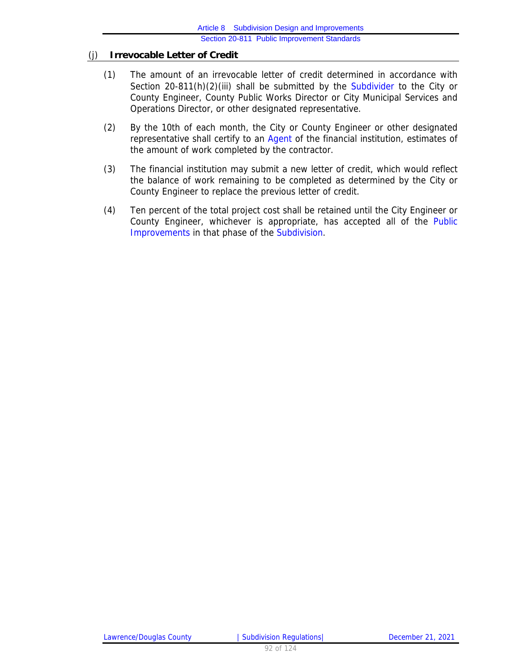### (j) **Irrevocable Letter of Credit**

- (1) The amount of an irrevocable letter of credit determined in accordance with Section 20-811(h)(2)(iii) shall be submitted by the Subdivider to the City or County Engineer, County Public Works Director or City Municipal Services and Operations Director, or other designated representative.
- (2) By the 10th of each month, the City or County Engineer or other designated representative shall certify to an Agent of the financial institution, estimates of the amount of work completed by the contractor.
- (3) The financial institution may submit a new letter of credit, which would reflect the balance of work remaining to be completed as determined by the City or County Engineer to replace the previous letter of credit.
- (4) Ten percent of the total project cost shall be retained until the City Engineer or County Engineer, whichever is appropriate, has accepted all of the Public Improvements in that phase of the Subdivision.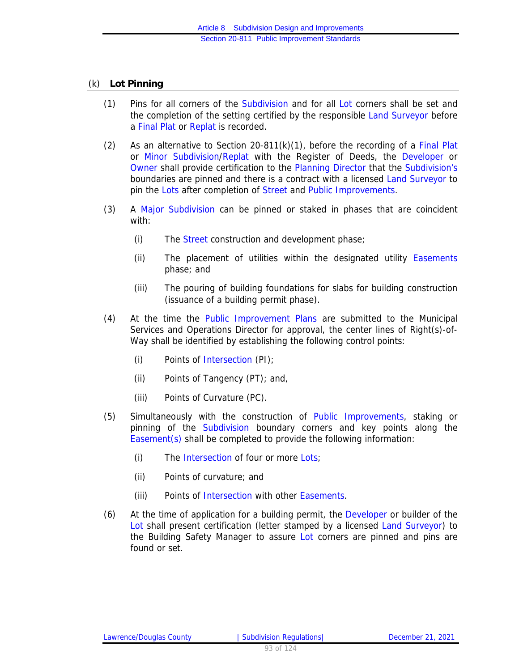#### (k) **Lot Pinning**

- (1) Pins for all corners of the Subdivision and for all Lot corners shall be set and the completion of the setting certified by the responsible Land Surveyor before a Final Plat or Replat is recorded.
- (2) As an alternative to Section  $20-811(k)(1)$ , before the recording of a Final Plat or Minor Subdivision/Replat with the Register of Deeds, the Developer or Owner shall provide certification to the Planning Director that the Subdivision's boundaries are pinned and there is a contract with a licensed Land Surveyor to pin the Lots after completion of Street and Public Improvements.
- (3) A Major Subdivision can be pinned or staked in phases that are coincident with:
	- (i) The Street construction and development phase;
	- (ii) The placement of utilities within the designated utility Easements phase; and
	- (iii) The pouring of building foundations for slabs for building construction (issuance of a building permit phase).
- (4) At the time the Public Improvement Plans are submitted to the Municipal Services and Operations Director for approval, the center lines of Right(s)-of-Way shall be identified by establishing the following control points:
	- (i) Points of Intersection (PI);
	- (ii) Points of Tangency (PT); and,
	- (iii) Points of Curvature (PC).
- (5) Simultaneously with the construction of Public Improvements, staking or pinning of the Subdivision boundary corners and key points along the Easement(s) shall be completed to provide the following information:
	- (i) The Intersection of four or more Lots;
	- (ii) Points of curvature; and
	- (iii) Points of Intersection with other Easements.
- (6) At the time of application for a building permit, the Developer or builder of the Lot shall present certification (letter stamped by a licensed Land Surveyor) to the Building Safety Manager to assure Lot corners are pinned and pins are found or set.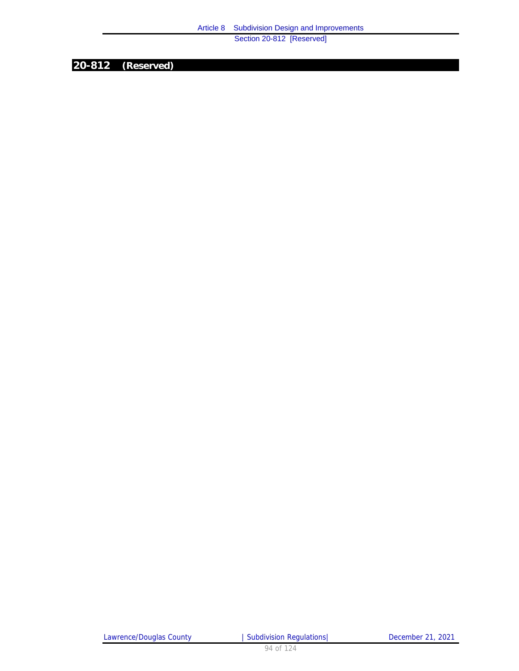Section 20-812 [Reserved]

**20-812 (Reserved)** 

Lawrence/Douglas County | Subdivision Regulations| December 21, 2021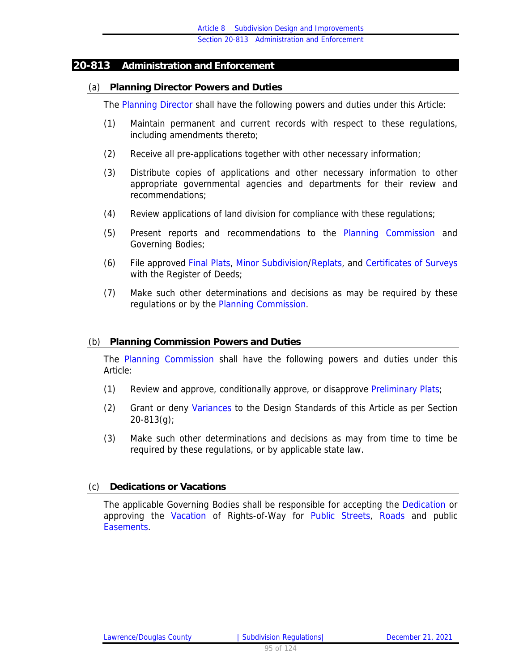### **20-813 Administration and Enforcement**

#### (a) **Planning Director Powers and Duties**

The Planning Director shall have the following powers and duties under this Article:

- (1) Maintain permanent and current records with respect to these regulations, including amendments thereto;
- (2) Receive all pre-applications together with other necessary information;
- (3) Distribute copies of applications and other necessary information to other appropriate governmental agencies and departments for their review and recommendations;
- (4) Review applications of land division for compliance with these regulations;
- (5) Present reports and recommendations to the Planning Commission and Governing Bodies;
- (6) File approved Final Plats, Minor Subdivision/Replats, and Certificates of Surveys with the Register of Deeds;
- (7) Make such other determinations and decisions as may be required by these regulations or by the Planning Commission.

#### (b) **Planning Commission Powers and Duties**

The Planning Commission shall have the following powers and duties under this Article:

- (1) Review and approve, conditionally approve, or disapprove Preliminary Plats;
- (2) Grant or deny Variances to the Design Standards of this Article as per Section 20-813(g);
- (3) Make such other determinations and decisions as may from time to time be required by these regulations, or by applicable state law.

#### (c) **Dedications or Vacations**

The applicable Governing Bodies shall be responsible for accepting the Dedication or approving the Vacation of Rights-of-Way for Public Streets, Roads and public **Easements**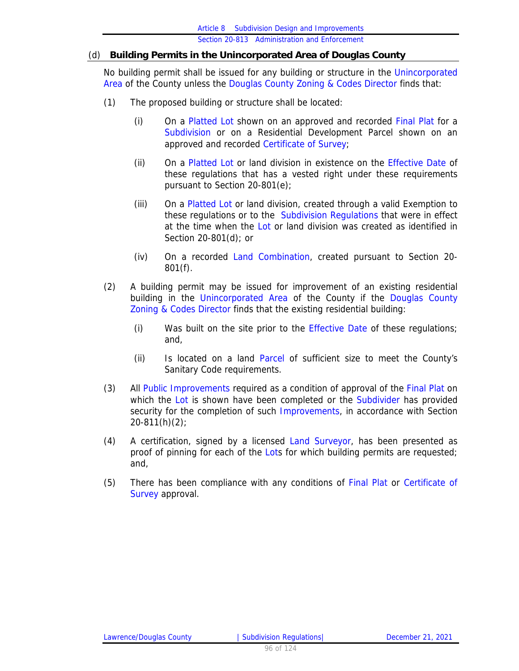#### (d) **Building Permits in the Unincorporated Area of Douglas County**

No building permit shall be issued for any building or structure in the Unincorporated Area of the County unless the Douglas County Zoning & Codes Director finds that:

- (1) The proposed building or structure shall be located:
	- (i) On a Platted Lot shown on an approved and recorded Final Plat for a Subdivision or on a Residential Development Parcel shown on an approved and recorded Certificate of Survey;
	- (ii) On a Platted Lot or land division in existence on the Effective Date of these regulations that has a vested right under these requirements pursuant to Section 20-801(e);
	- (iii) On a Platted Lot or land division, created through a valid Exemption to these regulations or to the Subdivision Regulations that were in effect at the time when the Lot or land division was created as identified in Section 20-801(d); or
	- (iv) On a recorded Land Combination, created pursuant to Section 20- 801(f).
- (2) A building permit may be issued for improvement of an existing residential building in the Unincorporated Area of the County if the Douglas County Zoning & Codes Director finds that the existing residential building:
	- (i) Was built on the site prior to the Effective Date of these regulations; and,
	- (ii) Is located on a land Parcel of sufficient size to meet the County's Sanitary Code requirements.
- (3) All Public Improvements required as a condition of approval of the Final Plat on which the Lot is shown have been completed or the Subdivider has provided security for the completion of such Improvements, in accordance with Section  $20 - 811(h)(2)$ ;
- (4) A certification, signed by a licensed Land Surveyor, has been presented as proof of pinning for each of the Lots for which building permits are requested; and,
- (5) There has been compliance with any conditions of Final Plat or Certificate of Survey approval.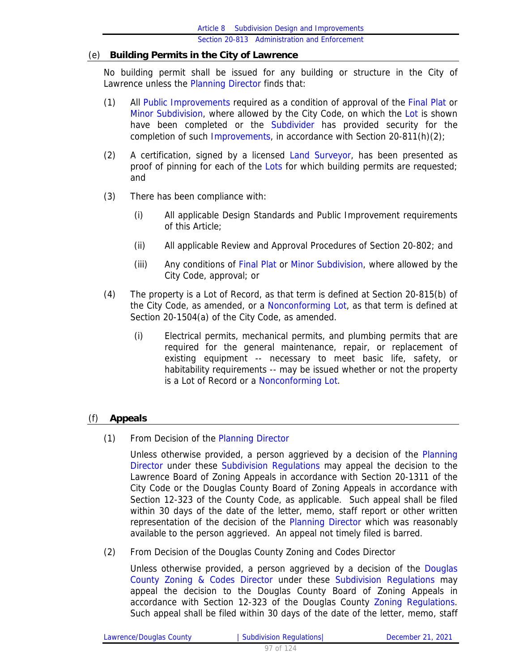#### (e) **Building Permits in the City of Lawrence**

No building permit shall be issued for any building or structure in the City of Lawrence unless the Planning Director finds that:

- (1) All Public Improvements required as a condition of approval of the Final Plat or Minor Subdivision, where allowed by the City Code, on which the Lot is shown have been completed or the Subdivider has provided security for the completion of such Improvements, in accordance with Section 20-811(h)(2);
- (2) A certification, signed by a licensed Land Surveyor, has been presented as proof of pinning for each of the Lots for which building permits are requested; and
- (3) There has been compliance with:
	- (i) All applicable Design Standards and Public Improvement requirements of this Article;
	- (ii) All applicable Review and Approval Procedures of Section 20-802; and
	- (iii) Any conditions of Final Plat or Minor Subdivision, where allowed by the City Code, approval; or
- (4) The property is a Lot of Record, as that term is defined at Section 20-815(b) of the City Code, as amended, or a Nonconforming Lot, as that term is defined at Section 20-1504(a) of the City Code, as amended.
	- (i) Electrical permits, mechanical permits, and plumbing permits that are required for the general maintenance, repair, or replacement of existing equipment -- necessary to meet basic life, safety, or habitability requirements -- may be issued whether or not the property is a Lot of Record or a Nonconforming Lot.

# (f) **Appeals**

# (1) From Decision of the Planning Director

Unless otherwise provided, a person aggrieved by a decision of the Planning Director under these Subdivision Regulations may appeal the decision to the Lawrence Board of Zoning Appeals in accordance with Section 20-1311 of the City Code or the Douglas County Board of Zoning Appeals in accordance with Section 12-323 of the County Code, as applicable. Such appeal shall be filed within 30 days of the date of the letter, memo, staff report or other written representation of the decision of the Planning Director which was reasonably available to the person aggrieved. An appeal not timely filed is barred.

(2) From Decision of the Douglas County Zoning and Codes Director

Unless otherwise provided, a person aggrieved by a decision of the Douglas County Zoning & Codes Director under these Subdivision Regulations may appeal the decision to the Douglas County Board of Zoning Appeals in accordance with Section 12-323 of the Douglas County Zoning Regulations. Such appeal shall be filed within 30 days of the date of the letter, memo, staff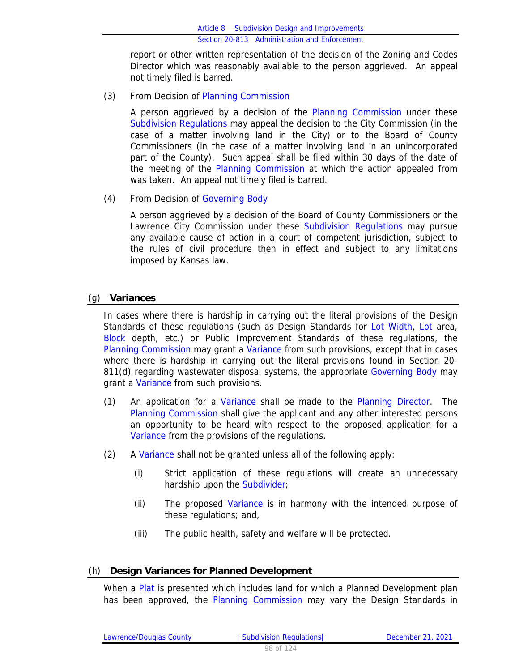report or other written representation of the decision of the Zoning and Codes Director which was reasonably available to the person aggrieved. An appeal not timely filed is barred.

(3) From Decision of Planning Commission

A person aggrieved by a decision of the Planning Commission under these Subdivision Regulations may appeal the decision to the City Commission (in the case of a matter involving land in the City) or to the Board of County Commissioners (in the case of a matter involving land in an unincorporated part of the County). Such appeal shall be filed within 30 days of the date of the meeting of the Planning Commission at which the action appealed from was taken. An appeal not timely filed is barred.

### (4) From Decision of Governing Body

A person aggrieved by a decision of the Board of County Commissioners or the Lawrence City Commission under these Subdivision Regulations may pursue any available cause of action in a court of competent jurisdiction, subject to the rules of civil procedure then in effect and subject to any limitations imposed by Kansas law.

### (g) **Variances**

In cases where there is hardship in carrying out the literal provisions of the Design Standards of these regulations (such as Design Standards for Lot Width, Lot area, Block depth, etc.) or Public Improvement Standards of these regulations, the Planning Commission may grant a Variance from such provisions, except that in cases where there is hardship in carrying out the literal provisions found in Section 20- 811(d) regarding wastewater disposal systems, the appropriate Governing Body may grant a Variance from such provisions.

- (1) An application for a Variance shall be made to the Planning Director. The Planning Commission shall give the applicant and any other interested persons an opportunity to be heard with respect to the proposed application for a Variance from the provisions of the regulations.
- (2) A Variance shall not be granted unless all of the following apply:
	- (i) Strict application of these regulations will create an unnecessary hardship upon the Subdivider;
	- (ii) The proposed Variance is in harmony with the intended purpose of these regulations; and,
	- (iii) The public health, safety and welfare will be protected.

#### (h) **Design Variances for Planned Development**

When a Plat is presented which includes land for which a Planned Development plan has been approved, the Planning Commission may vary the Design Standards in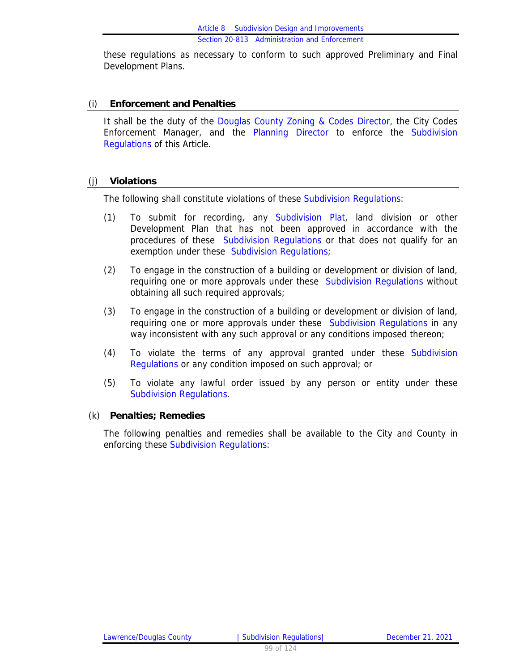these regulations as necessary to conform to such approved Preliminary and Final Development Plans.

### (i) **Enforcement and Penalties**

It shall be the duty of the Douglas County Zoning & Codes Director, the City Codes Enforcement Manager, and the Planning Director to enforce the Subdivision Regulations of this Article.

### (j) **Violations**

The following shall constitute violations of these Subdivision Regulations:

- (1) To submit for recording, any Subdivision Plat, land division or other Development Plan that has not been approved in accordance with the procedures of these Subdivision Regulations or that does not qualify for an exemption under these Subdivision Regulations;
- (2) To engage in the construction of a building or development or division of land, requiring one or more approvals under these Subdivision Regulations without obtaining all such required approvals;
- (3) To engage in the construction of a building or development or division of land, requiring one or more approvals under these Subdivision Regulations in any way inconsistent with any such approval or any conditions imposed thereon;
- (4) To violate the terms of any approval granted under these Subdivision Regulations or any condition imposed on such approval; or
- (5) To violate any lawful order issued by any person or entity under these Subdivision Regulations.

#### (k) **Penalties; Remedies**

The following penalties and remedies shall be available to the City and County in enforcing these Subdivision Regulations: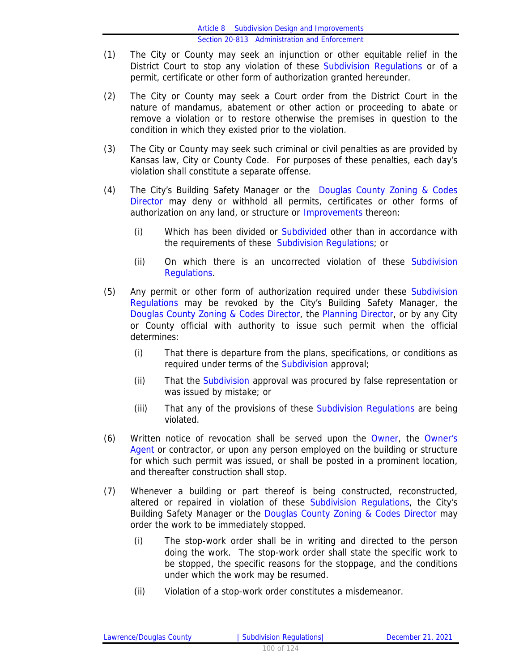- (1) The City or County may seek an injunction or other equitable relief in the District Court to stop any violation of these Subdivision Regulations or of a permit, certificate or other form of authorization granted hereunder.
- (2) The City or County may seek a Court order from the District Court in the nature of mandamus, abatement or other action or proceeding to abate or remove a violation or to restore otherwise the premises in question to the condition in which they existed prior to the violation.
- (3) The City or County may seek such criminal or civil penalties as are provided by Kansas law, City or County Code. For purposes of these penalties, each day's violation shall constitute a separate offense.
- (4) The City's Building Safety Manager or the Douglas County Zoning & Codes Director may deny or withhold all permits, certificates or other forms of authorization on any land, or structure or Improvements thereon:
	- (i) Which has been divided or Subdivided other than in accordance with the requirements of these Subdivision Regulations; or
	- (ii) On which there is an uncorrected violation of these Subdivision Regulations.
- (5) Any permit or other form of authorization required under these Subdivision Regulations may be revoked by the City's Building Safety Manager, the Douglas County Zoning & Codes Director, the Planning Director, or by any City or County official with authority to issue such permit when the official determines:
	- (i) That there is departure from the plans, specifications, or conditions as required under terms of the Subdivision approval;
	- (ii) That the Subdivision approval was procured by false representation or was issued by mistake; or
	- (iii) That any of the provisions of these Subdivision Regulations are being violated.
- (6) Written notice of revocation shall be served upon the Owner, the Owner's Agent or contractor, or upon any person employed on the building or structure for which such permit was issued, or shall be posted in a prominent location, and thereafter construction shall stop.
- (7) Whenever a building or part thereof is being constructed, reconstructed, altered or repaired in violation of these Subdivision Regulations, the City's Building Safety Manager or the Douglas County Zoning & Codes Director may order the work to be immediately stopped.
	- (i) The stop-work order shall be in writing and directed to the person doing the work. The stop-work order shall state the specific work to be stopped, the specific reasons for the stoppage, and the conditions under which the work may be resumed.
	- (ii) Violation of a stop-work order constitutes a misdemeanor.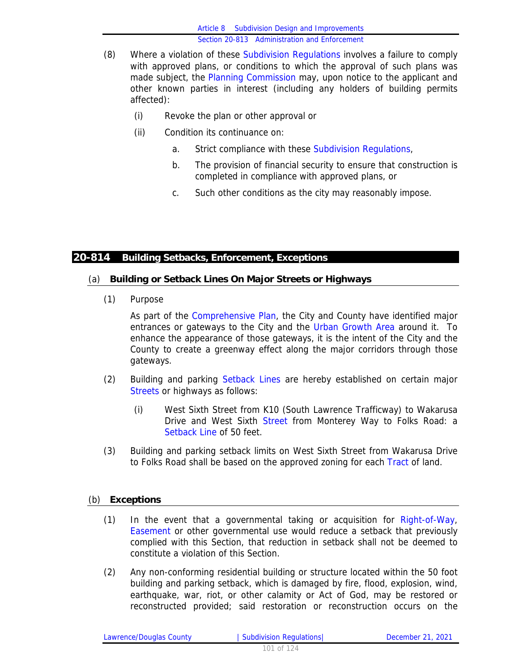- (8) Where a violation of these Subdivision Regulations involves a failure to comply with approved plans, or conditions to which the approval of such plans was made subject, the Planning Commission may, upon notice to the applicant and other known parties in interest (including any holders of building permits affected):
	- (i) Revoke the plan or other approval or
	- (ii) Condition its continuance on:
		- a. Strict compliance with these Subdivision Regulations,
		- b. The provision of financial security to ensure that construction is completed in compliance with approved plans, or
		- c. Such other conditions as the city may reasonably impose.

# **20-814 Building Setbacks, Enforcement, Exceptions**

### (a) **Building or Setback Lines On Major Streets or Highways**

(1) Purpose

As part of the Comprehensive Plan, the City and County have identified major entrances or gateways to the City and the Urban Growth Area around it. To enhance the appearance of those gateways, it is the intent of the City and the County to create a greenway effect along the major corridors through those gateways.

- (2) Building and parking Setback Lines are hereby established on certain major Streets or highways as follows:
	- (i) West Sixth Street from K10 (South Lawrence Trafficway) to Wakarusa Drive and West Sixth Street from Monterey Way to Folks Road: a Setback Line of 50 feet.
- (3) Building and parking setback limits on West Sixth Street from Wakarusa Drive to Folks Road shall be based on the approved zoning for each Tract of land.

### (b) **Exceptions**

- (1) In the event that a governmental taking or acquisition for Right-of-Way, Easement or other governmental use would reduce a setback that previously complied with this Section, that reduction in setback shall not be deemed to constitute a violation of this Section.
- (2) Any non-conforming residential building or structure located within the 50 foot building and parking setback, which is damaged by fire, flood, explosion, wind, earthquake, war, riot, or other calamity or Act of God, may be restored or reconstructed provided; said restoration or reconstruction occurs on the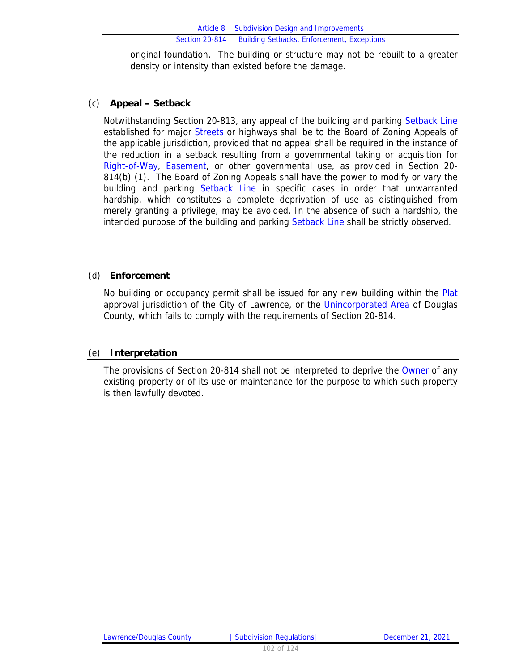Section 20-814 Building Setbacks, Enforcement, Exceptions

original foundation. The building or structure may not be rebuilt to a greater density or intensity than existed before the damage.

#### (c) **Appeal – Setback**

Notwithstanding Section 20-813, any appeal of the building and parking Setback Line established for major Streets or highways shall be to the Board of Zoning Appeals of the applicable jurisdiction, provided that no appeal shall be required in the instance of the reduction in a setback resulting from a governmental taking or acquisition for Right-of-Way, Easement, or other governmental use, as provided in Section 20- 814(b) (1). The Board of Zoning Appeals shall have the power to modify or vary the building and parking Setback Line in specific cases in order that unwarranted hardship, which constitutes a complete deprivation of use as distinguished from merely granting a privilege, may be avoided. In the absence of such a hardship, the intended purpose of the building and parking Setback Line shall be strictly observed.

#### (d) **Enforcement**

No building or occupancy permit shall be issued for any new building within the Plat approval jurisdiction of the City of Lawrence, or the Unincorporated Area of Douglas County, which fails to comply with the requirements of Section 20-814.

### (e) **Interpretation**

The provisions of Section 20-814 shall not be interpreted to deprive the Owner of any existing property or of its use or maintenance for the purpose to which such property is then lawfully devoted.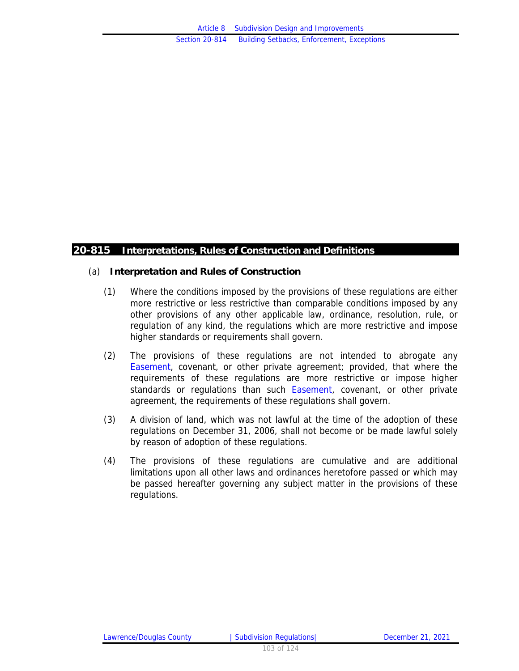## **20-815 Interpretations, Rules of Construction and Definitions**

#### (a) **Interpretation and Rules of Construction**

- (1) Where the conditions imposed by the provisions of these regulations are either more restrictive or less restrictive than comparable conditions imposed by any other provisions of any other applicable law, ordinance, resolution, rule, or regulation of any kind, the regulations which are more restrictive and impose higher standards or requirements shall govern.
- (2) The provisions of these regulations are not intended to abrogate any Easement, covenant, or other private agreement; provided, that where the requirements of these regulations are more restrictive or impose higher standards or regulations than such Easement, covenant, or other private agreement, the requirements of these regulations shall govern.
- (3) A division of land, which was not lawful at the time of the adoption of these regulations on December 31, 2006, shall not become or be made lawful solely by reason of adoption of these regulations.
- (4) The provisions of these regulations are cumulative and are additional limitations upon all other laws and ordinances heretofore passed or which may be passed hereafter governing any subject matter in the provisions of these regulations.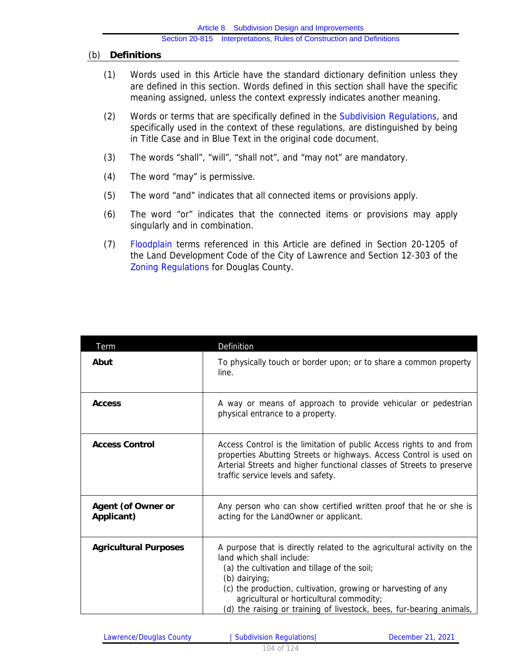## Section 20-815 Interpretations, Rules of Construction and Definitions

# (b) **Definitions**

- (1) Words used in this Article have the standard dictionary definition unless they are defined in this section. Words defined in this section shall have the specific meaning assigned, unless the context expressly indicates another meaning.
- (2) Words or terms that are specifically defined in the Subdivision Regulations, and specifically used in the context of these regulations, are distinguished by being in Title Case and in Blue Text in the original code document.
- (3) The words "shall", "will", "shall not", and "may not" are mandatory.
- (4) The word "may" is permissive.
- (5) The word "and" indicates that all connected items or provisions apply.
- (6) The word "or" indicates that the connected items or provisions may apply singularly and in combination.
- (7) Floodplain terms referenced in this Article are defined in Section 20-1205 of the Land Development Code of the City of Lawrence and Section 12-303 of the Zoning Regulations for Douglas County.

| Term                                    | Definition                                                                                                                                                                                                                                                                                                                                                |
|-----------------------------------------|-----------------------------------------------------------------------------------------------------------------------------------------------------------------------------------------------------------------------------------------------------------------------------------------------------------------------------------------------------------|
| Abut                                    | To physically touch or border upon; or to share a common property<br>line.                                                                                                                                                                                                                                                                                |
| <b>Access</b>                           | A way or means of approach to provide vehicular or pedestrian<br>physical entrance to a property.                                                                                                                                                                                                                                                         |
| <b>Access Control</b>                   | Access Control is the limitation of public Access rights to and from<br>properties Abutting Streets or highways. Access Control is used on<br>Arterial Streets and higher functional classes of Streets to preserve<br>traffic service levels and safety.                                                                                                 |
| <b>Agent (of Owner or</b><br>Applicant) | Any person who can show certified written proof that he or she is<br>acting for the LandOwner or applicant.                                                                                                                                                                                                                                               |
| <b>Agricultural Purposes</b>            | A purpose that is directly related to the agricultural activity on the<br>land which shall include:<br>(a) the cultivation and tillage of the soil;<br>(b) dairying;<br>(c) the production, cultivation, growing or harvesting of any<br>agricultural or horticultural commodity;<br>(d) the raising or training of livestock, bees, fur-bearing animals, |

| Lawrence/Douglas County | Subdivision Regulations | December 21, 2021 |
|-------------------------|-------------------------|-------------------|
|                         |                         |                   |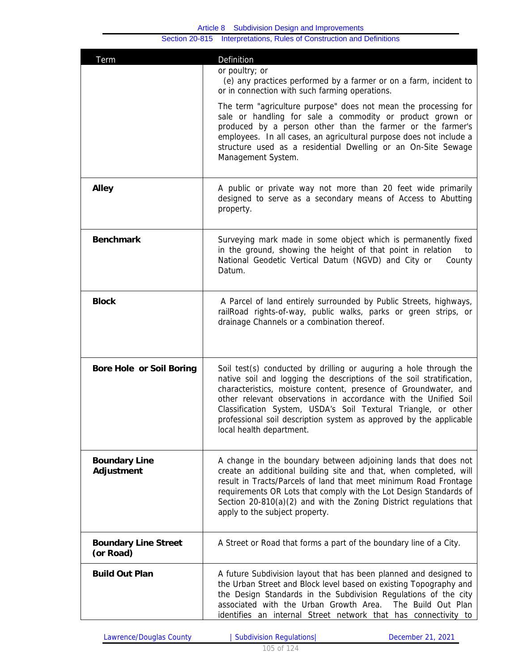| Term                                     | Definition                                                                                                                                                                                                                                                                                                                                                                                                                                          |  |
|------------------------------------------|-----------------------------------------------------------------------------------------------------------------------------------------------------------------------------------------------------------------------------------------------------------------------------------------------------------------------------------------------------------------------------------------------------------------------------------------------------|--|
|                                          | or poultry; or<br>(e) any practices performed by a farmer or on a farm, incident to<br>or in connection with such farming operations.                                                                                                                                                                                                                                                                                                               |  |
|                                          | The term "agriculture purpose" does not mean the processing for<br>sale or handling for sale a commodity or product grown or<br>produced by a person other than the farmer or the farmer's<br>employees. In all cases, an agricultural purpose does not include a<br>structure used as a residential Dwelling or an On-Site Sewage<br>Management System.                                                                                            |  |
| <b>Alley</b>                             | A public or private way not more than 20 feet wide primarily<br>designed to serve as a secondary means of Access to Abutting<br>property.                                                                                                                                                                                                                                                                                                           |  |
| <b>Benchmark</b>                         | Surveying mark made in some object which is permanently fixed<br>in the ground, showing the height of that point in relation<br>to<br>National Geodetic Vertical Datum (NGVD) and City or<br>County<br>Datum.                                                                                                                                                                                                                                       |  |
| <b>Block</b>                             | A Parcel of land entirely surrounded by Public Streets, highways,<br>railRoad rights-of-way, public walks, parks or green strips, or<br>drainage Channels or a combination thereof.                                                                                                                                                                                                                                                                 |  |
| <b>Bore Hole or Soil Boring</b>          | Soil test(s) conducted by drilling or auguring a hole through the<br>native soil and logging the descriptions of the soil stratification,<br>characteristics, moisture content, presence of Groundwater, and<br>other relevant observations in accordance with the Unified Soil<br>Classification System, USDA's Soil Textural Triangle, or other<br>professional soil description system as approved by the applicable<br>local health department. |  |
| <b>Boundary Line</b><br>Adjustment       | A change in the boundary between adjoining lands that does not<br>create an additional building site and that, when completed, will<br>result in Tracts/Parcels of land that meet minimum Road Frontage<br>requirements OR Lots that comply with the Lot Design Standards of<br>Section 20-810(a)(2) and with the Zoning District regulations that<br>apply to the subject property.                                                                |  |
| <b>Boundary Line Street</b><br>(or Road) | A Street or Road that forms a part of the boundary line of a City.                                                                                                                                                                                                                                                                                                                                                                                  |  |
| <b>Build Out Plan</b>                    | A future Subdivision layout that has been planned and designed to<br>the Urban Street and Block level based on existing Topography and<br>the Design Standards in the Subdivision Regulations of the city<br>associated with the Urban Growth Area. The Build Out Plan<br>identifies an internal Street network that has connectivity to                                                                                                            |  |

| Lawrence/Douglas County | Subdivision Regulations | December 21, 2021 |
|-------------------------|-------------------------|-------------------|
|                         | $105 \times 104$        |                   |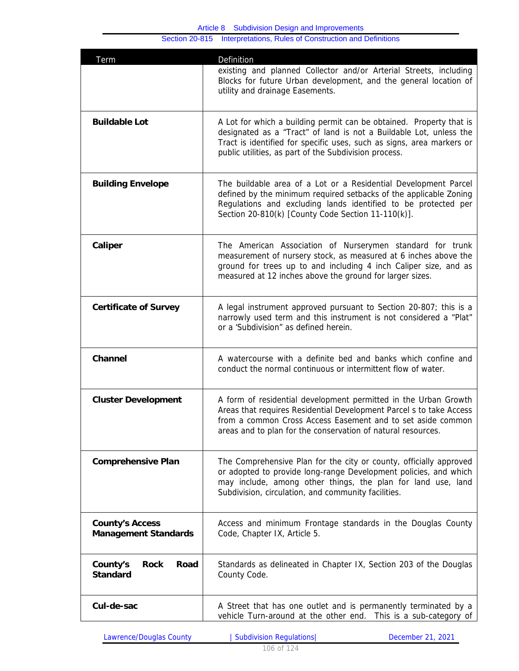| Term                                                  | Definition                                                                                                                                                                                                                                                                  |
|-------------------------------------------------------|-----------------------------------------------------------------------------------------------------------------------------------------------------------------------------------------------------------------------------------------------------------------------------|
|                                                       | existing and planned Collector and/or Arterial Streets, including<br>Blocks for future Urban development, and the general location of<br>utility and drainage Easements.                                                                                                    |
| <b>Buildable Lot</b>                                  | A Lot for which a building permit can be obtained. Property that is<br>designated as a "Tract" of land is not a Buildable Lot, unless the<br>Tract is identified for specific uses, such as signs, area markers or<br>public utilities, as part of the Subdivision process. |
| <b>Building Envelope</b>                              | The buildable area of a Lot or a Residential Development Parcel<br>defined by the minimum required setbacks of the applicable Zoning<br>Regulations and excluding lands identified to be protected per<br>Section 20-810(k) [County Code Section 11-110(k)].                |
| Caliper                                               | The American Association of Nurserymen standard for trunk<br>measurement of nursery stock, as measured at 6 inches above the<br>ground for trees up to and including 4 inch Caliper size, and as<br>measured at 12 inches above the ground for larger sizes.                |
| <b>Certificate of Survey</b>                          | A legal instrument approved pursuant to Section 20-807; this is a<br>narrowly used term and this instrument is not considered a "Plat"<br>or a 'Subdivision" as defined herein.                                                                                             |
| Channel                                               | A watercourse with a definite bed and banks which confine and<br>conduct the normal continuous or intermittent flow of water.                                                                                                                                               |
| <b>Cluster Development</b>                            | A form of residential development permitted in the Urban Growth<br>Areas that requires Residential Development Parcel s to take Access<br>from a common Cross Access Easement and to set aside common<br>areas and to plan for the conservation of natural resources.       |
| <b>Comprehensive Plan</b>                             | The Comprehensive Plan for the city or county, officially approved<br>or adopted to provide long-range Development policies, and which<br>may include, among other things, the plan for land use, land<br>Subdivision, circulation, and community facilities.               |
| <b>County's Access</b><br><b>Management Standards</b> | Access and minimum Frontage standards in the Douglas County<br>Code, Chapter IX, Article 5.                                                                                                                                                                                 |
| <b>Rock</b><br>County's<br>Road<br><b>Standard</b>    | Standards as delineated in Chapter IX, Section 203 of the Douglas<br>County Code.                                                                                                                                                                                           |
| Cul-de-sac                                            | A Street that has one outlet and is permanently terminated by a<br>vehicle Turn-around at the other end. This is a sub-category of                                                                                                                                          |

| Lawrence/Douglas County | Subdivision Regulations | December 21, 2021 |
|-------------------------|-------------------------|-------------------|
|                         | 106 of 121              |                   |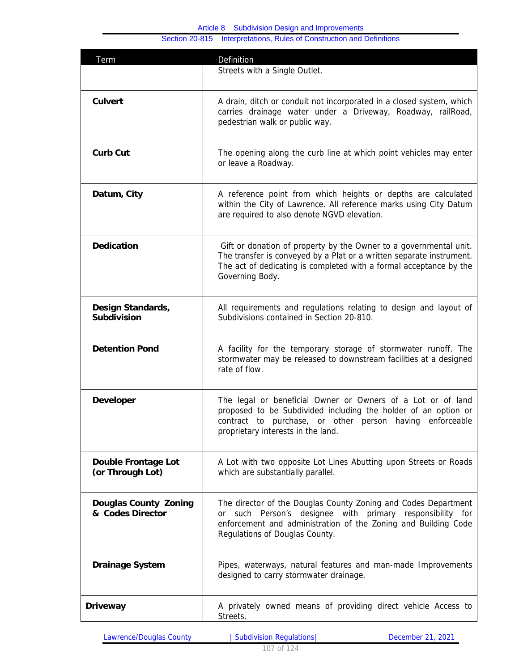| Term                                             | Definition                                                                                                                                                                                                                         |
|--------------------------------------------------|------------------------------------------------------------------------------------------------------------------------------------------------------------------------------------------------------------------------------------|
|                                                  | Streets with a Single Outlet.                                                                                                                                                                                                      |
| <b>Culvert</b>                                   | A drain, ditch or conduit not incorporated in a closed system, which<br>carries drainage water under a Driveway, Roadway, railRoad,<br>pedestrian walk or public way.                                                              |
| <b>Curb Cut</b>                                  | The opening along the curb line at which point vehicles may enter<br>or leave a Roadway.                                                                                                                                           |
| Datum, City                                      | A reference point from which heights or depths are calculated<br>within the City of Lawrence. All reference marks using City Datum<br>are required to also denote NGVD elevation.                                                  |
| <b>Dedication</b>                                | Gift or donation of property by the Owner to a governmental unit.<br>The transfer is conveyed by a Plat or a written separate instrument.<br>The act of dedicating is completed with a formal acceptance by the<br>Governing Body. |
| Design Standards,<br><b>Subdivision</b>          | All requirements and regulations relating to design and layout of<br>Subdivisions contained in Section 20-810.                                                                                                                     |
| <b>Detention Pond</b>                            | A facility for the temporary storage of stormwater runoff. The<br>stormwater may be released to downstream facilities at a designed<br>rate of flow.                                                                               |
| <b>Developer</b>                                 | The legal or beneficial Owner or Owners of a Lot or of land<br>proposed to be Subdivided including the holder of an option or<br>contract to purchase, or other person having enforceable<br>proprietary interests in the land.    |
| <b>Double Frontage Lot</b><br>(or Through Lot)   | A Lot with two opposite Lot Lines Abutting upon Streets or Roads<br>which are substantially parallel.                                                                                                                              |
| <b>Douglas County Zoning</b><br>& Codes Director | The director of the Douglas County Zoning and Codes Department<br>or such Person's designee with primary responsibility for<br>enforcement and administration of the Zoning and Building Code<br>Regulations of Douglas County.    |
| <b>Drainage System</b>                           | Pipes, waterways, natural features and man-made Improvements<br>designed to carry stormwater drainage.                                                                                                                             |
| <b>Driveway</b>                                  | A privately owned means of providing direct vehicle Access to<br>Streets.                                                                                                                                                          |

| Lawrence/Douglas County | Subdivision Regulations | December 21, 2021 |
|-------------------------|-------------------------|-------------------|
|                         | $107 - 56101$           |                   |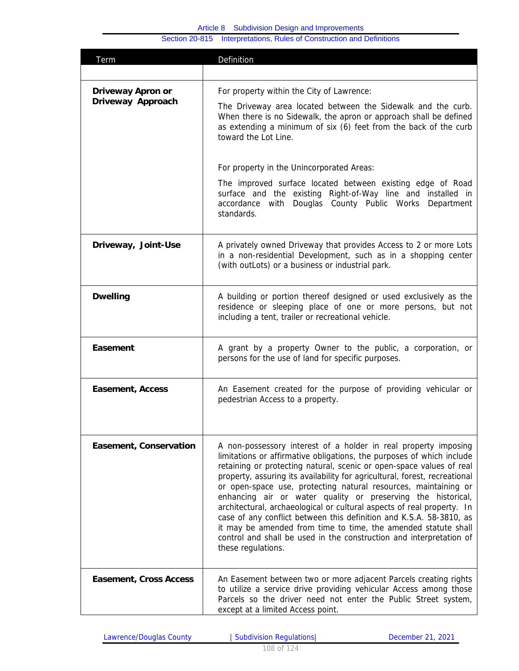| Term                          | Definition                                                                                                                                                                                                                                                                                                                                                                                                                                                                                                                                                                                                                                                                                                                                        |  |  |
|-------------------------------|---------------------------------------------------------------------------------------------------------------------------------------------------------------------------------------------------------------------------------------------------------------------------------------------------------------------------------------------------------------------------------------------------------------------------------------------------------------------------------------------------------------------------------------------------------------------------------------------------------------------------------------------------------------------------------------------------------------------------------------------------|--|--|
|                               |                                                                                                                                                                                                                                                                                                                                                                                                                                                                                                                                                                                                                                                                                                                                                   |  |  |
| Driveway Apron or             | For property within the City of Lawrence:                                                                                                                                                                                                                                                                                                                                                                                                                                                                                                                                                                                                                                                                                                         |  |  |
| Driveway Approach             | The Driveway area located between the Sidewalk and the curb.<br>When there is no Sidewalk, the apron or approach shall be defined<br>as extending a minimum of six (6) feet from the back of the curb<br>toward the Lot Line.                                                                                                                                                                                                                                                                                                                                                                                                                                                                                                                     |  |  |
|                               | For property in the Unincorporated Areas:                                                                                                                                                                                                                                                                                                                                                                                                                                                                                                                                                                                                                                                                                                         |  |  |
|                               | The improved surface located between existing edge of Road                                                                                                                                                                                                                                                                                                                                                                                                                                                                                                                                                                                                                                                                                        |  |  |
|                               | surface and the existing Right-of-Way line and installed in<br>accordance with Douglas County Public Works Department<br>standards.                                                                                                                                                                                                                                                                                                                                                                                                                                                                                                                                                                                                               |  |  |
| Driveway, Joint-Use           | A privately owned Driveway that provides Access to 2 or more Lots<br>in a non-residential Development, such as in a shopping center<br>(with outLots) or a business or industrial park.                                                                                                                                                                                                                                                                                                                                                                                                                                                                                                                                                           |  |  |
| <b>Dwelling</b>               | A building or portion thereof designed or used exclusively as the<br>residence or sleeping place of one or more persons, but not<br>including a tent, trailer or recreational vehicle.                                                                                                                                                                                                                                                                                                                                                                                                                                                                                                                                                            |  |  |
| Easement                      | A grant by a property Owner to the public, a corporation, or<br>persons for the use of land for specific purposes.                                                                                                                                                                                                                                                                                                                                                                                                                                                                                                                                                                                                                                |  |  |
| <b>Easement, Access</b>       | An Easement created for the purpose of providing vehicular or<br>pedestrian Access to a property.                                                                                                                                                                                                                                                                                                                                                                                                                                                                                                                                                                                                                                                 |  |  |
| <b>Easement, Conservation</b> | A non-possessory interest of a holder in real property imposing<br>limitations or affirmative obligations, the purposes of which include<br>retaining or protecting natural, scenic or open-space values of real<br>property, assuring its availability for agricultural, forest, recreational<br>or open-space use, protecting natural resources, maintaining or<br>enhancing air or water quality or preserving the historical,<br>architectural, archaeological or cultural aspects of real property. In<br>case of any conflict between this definition and K.S.A. 58-3810, as<br>it may be amended from time to time, the amended statute shall<br>control and shall be used in the construction and interpretation of<br>these regulations. |  |  |
| <b>Easement, Cross Access</b> | An Easement between two or more adjacent Parcels creating rights<br>to utilize a service drive providing vehicular Access among those<br>Parcels so the driver need not enter the Public Street system,<br>except at a limited Access point.                                                                                                                                                                                                                                                                                                                                                                                                                                                                                                      |  |  |

| Lawrence/Douglas County | Subdivision Regulations | December 21, 2021 |
|-------------------------|-------------------------|-------------------|
|                         | 108 of 124              |                   |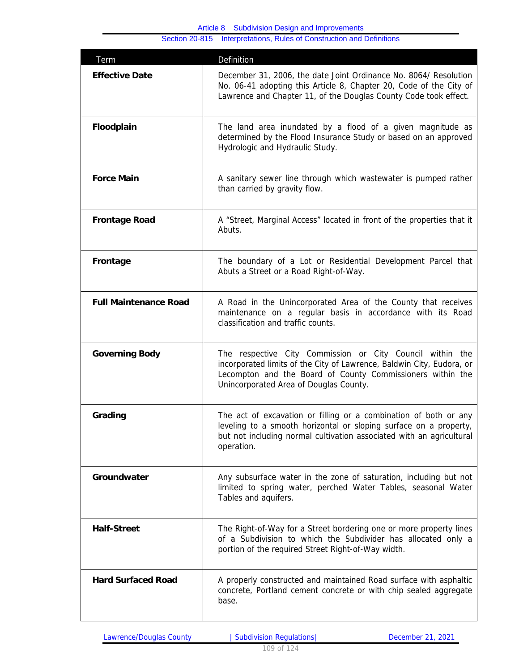| Term                         | Definition                                                                                                                                                                                                                                 |
|------------------------------|--------------------------------------------------------------------------------------------------------------------------------------------------------------------------------------------------------------------------------------------|
| <b>Effective Date</b>        | December 31, 2006, the date Joint Ordinance No. 8064/ Resolution<br>No. 06-41 adopting this Article 8, Chapter 20, Code of the City of<br>Lawrence and Chapter 11, of the Douglas County Code took effect.                                 |
| Floodplain                   | The land area inundated by a flood of a given magnitude as<br>determined by the Flood Insurance Study or based on an approved<br>Hydrologic and Hydraulic Study.                                                                           |
| <b>Force Main</b>            | A sanitary sewer line through which wastewater is pumped rather<br>than carried by gravity flow.                                                                                                                                           |
| <b>Frontage Road</b>         | A "Street, Marginal Access" located in front of the properties that it<br>Abuts.                                                                                                                                                           |
| Frontage                     | The boundary of a Lot or Residential Development Parcel that<br>Abuts a Street or a Road Right-of-Way.                                                                                                                                     |
| <b>Full Maintenance Road</b> | A Road in the Unincorporated Area of the County that receives<br>maintenance on a regular basis in accordance with its Road<br>classification and traffic counts.                                                                          |
| <b>Governing Body</b>        | The respective City Commission or City Council within the<br>incorporated limits of the City of Lawrence, Baldwin City, Eudora, or<br>Lecompton and the Board of County Commissioners within the<br>Unincorporated Area of Douglas County. |
| Grading                      | The act of excavation or filling or a combination of both or any<br>leveling to a smooth horizontal or sloping surface on a property,<br>but not including normal cultivation associated with an agricultural<br>operation.                |
| Groundwater                  | Any subsurface water in the zone of saturation, including but not<br>limited to spring water, perched Water Tables, seasonal Water<br>Tables and aquifers.                                                                                 |
| <b>Half-Street</b>           | The Right-of-Way for a Street bordering one or more property lines<br>of a Subdivision to which the Subdivider has allocated only a<br>portion of the required Street Right-of-Way width.                                                  |
| <b>Hard Surfaced Road</b>    | A properly constructed and maintained Road surface with asphaltic<br>concrete, Portland cement concrete or with chip sealed aggregate<br>base.                                                                                             |

| Lawrence/Douglas County | Subdivision Regulations | December 21, 2021 |
|-------------------------|-------------------------|-------------------|
|                         | 109 of 124              |                   |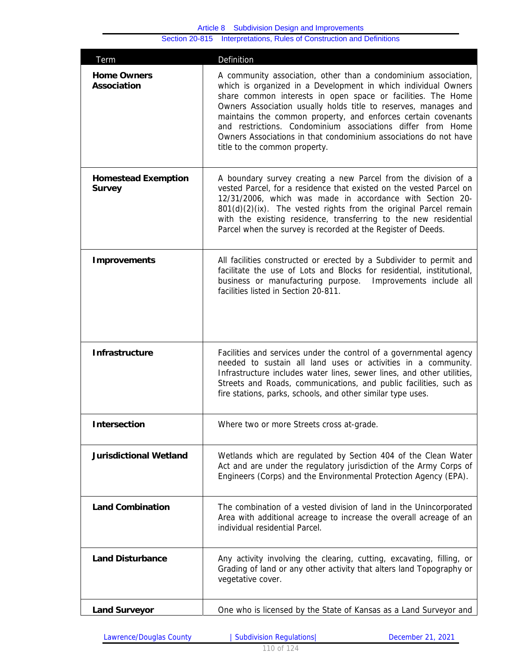| Term                                        | Definition                                                                                                                                                                                                                                                                                                                                                                                                                                                                                               |
|---------------------------------------------|----------------------------------------------------------------------------------------------------------------------------------------------------------------------------------------------------------------------------------------------------------------------------------------------------------------------------------------------------------------------------------------------------------------------------------------------------------------------------------------------------------|
| <b>Home Owners</b><br><b>Association</b>    | A community association, other than a condominium association,<br>which is organized in a Development in which individual Owners<br>share common interests in open space or facilities. The Home<br>Owners Association usually holds title to reserves, manages and<br>maintains the common property, and enforces certain covenants<br>and restrictions. Condominium associations differ from Home<br>Owners Associations in that condominium associations do not have<br>title to the common property. |
| <b>Homestead Exemption</b><br><b>Survey</b> | A boundary survey creating a new Parcel from the division of a<br>vested Parcel, for a residence that existed on the vested Parcel on<br>12/31/2006, which was made in accordance with Section 20-<br>801(d)(2)(ix). The vested rights from the original Parcel remain<br>with the existing residence, transferring to the new residential<br>Parcel when the survey is recorded at the Register of Deeds.                                                                                               |
| <b>Improvements</b>                         | All facilities constructed or erected by a Subdivider to permit and<br>facilitate the use of Lots and Blocks for residential, institutional,<br>business or manufacturing purpose. Improvements include all<br>facilities listed in Section 20-811.                                                                                                                                                                                                                                                      |
| <b>Infrastructure</b>                       | Facilities and services under the control of a governmental agency<br>needed to sustain all land uses or activities in a community.<br>Infrastructure includes water lines, sewer lines, and other utilities,<br>Streets and Roads, communications, and public facilities, such as<br>fire stations, parks, schools, and other similar type uses.                                                                                                                                                        |
| <b>Intersection</b>                         | Where two or more Streets cross at-grade.                                                                                                                                                                                                                                                                                                                                                                                                                                                                |
| <b>Jurisdictional Wetland</b>               | Wetlands which are regulated by Section 404 of the Clean Water<br>Act and are under the regulatory jurisdiction of the Army Corps of<br>Engineers (Corps) and the Environmental Protection Agency (EPA).                                                                                                                                                                                                                                                                                                 |
| <b>Land Combination</b>                     | The combination of a vested division of land in the Unincorporated<br>Area with additional acreage to increase the overall acreage of an<br>individual residential Parcel.                                                                                                                                                                                                                                                                                                                               |
| <b>Land Disturbance</b>                     | Any activity involving the clearing, cutting, excavating, filling, or<br>Grading of land or any other activity that alters land Topography or<br>vegetative cover.                                                                                                                                                                                                                                                                                                                                       |
| <b>Land Surveyor</b>                        | One who is licensed by the State of Kansas as a Land Surveyor and                                                                                                                                                                                                                                                                                                                                                                                                                                        |

| Lawrence/Douglas County | Subdivision Regulations | December 21, 2021 |
|-------------------------|-------------------------|-------------------|
|                         | .                       |                   |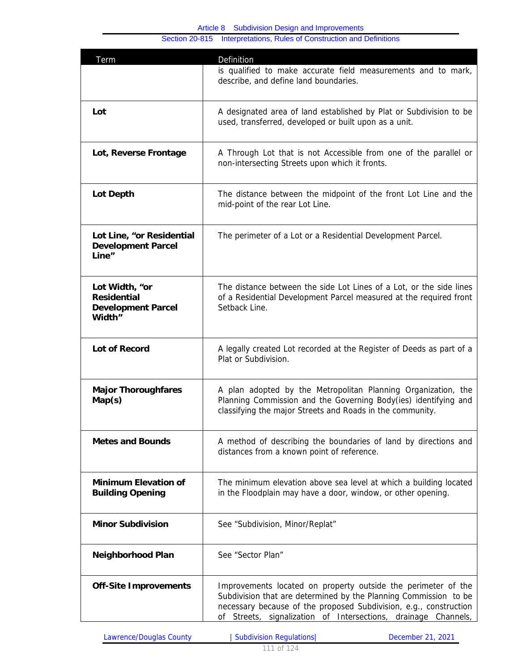| Term                                                                        | Definition                                                                                                                                                                                                                                                               |
|-----------------------------------------------------------------------------|--------------------------------------------------------------------------------------------------------------------------------------------------------------------------------------------------------------------------------------------------------------------------|
|                                                                             | is qualified to make accurate field measurements and to mark,<br>describe, and define land boundaries.                                                                                                                                                                   |
| Lot                                                                         | A designated area of land established by Plat or Subdivision to be<br>used, transferred, developed or built upon as a unit.                                                                                                                                              |
| Lot, Reverse Frontage                                                       | A Through Lot that is not Accessible from one of the parallel or<br>non-intersecting Streets upon which it fronts.                                                                                                                                                       |
| Lot Depth                                                                   | The distance between the midpoint of the front Lot Line and the<br>mid-point of the rear Lot Line.                                                                                                                                                                       |
| Lot Line, "or Residential<br><b>Development Parcel</b><br>Line"             | The perimeter of a Lot or a Residential Development Parcel.                                                                                                                                                                                                              |
| Lot Width, "or<br><b>Residential</b><br><b>Development Parcel</b><br>Width" | The distance between the side Lot Lines of a Lot, or the side lines<br>of a Residential Development Parcel measured at the required front<br>Setback Line.                                                                                                               |
| <b>Lot of Record</b>                                                        | A legally created Lot recorded at the Register of Deeds as part of a<br>Plat or Subdivision.                                                                                                                                                                             |
| <b>Major Thoroughfares</b><br>Map(s)                                        | A plan adopted by the Metropolitan Planning Organization, the<br>Planning Commission and the Governing Body(ies) identifying and<br>classifying the major Streets and Roads in the community.                                                                            |
| <b>Metes and Bounds</b>                                                     | A method of describing the boundaries of land by directions and<br>distances from a known point of reference.                                                                                                                                                            |
| <b>Minimum Elevation of</b><br><b>Building Opening</b>                      | The minimum elevation above sea level at which a building located<br>in the Floodplain may have a door, window, or other opening.                                                                                                                                        |
| <b>Minor Subdivision</b>                                                    | See "Subdivision, Minor/Replat"                                                                                                                                                                                                                                          |
| <b>Neighborhood Plan</b>                                                    | See "Sector Plan"                                                                                                                                                                                                                                                        |
| <b>Off-Site Improvements</b>                                                | Improvements located on property outside the perimeter of the<br>Subdivision that are determined by the Planning Commission to be<br>necessary because of the proposed Subdivision, e.g., construction<br>of Streets, signalization of Intersections, drainage Channels, |

| Lawrence/Douglas County | Subdivision Regulations | December 21, 2021 |
|-------------------------|-------------------------|-------------------|
|                         | 111.05101               |                   |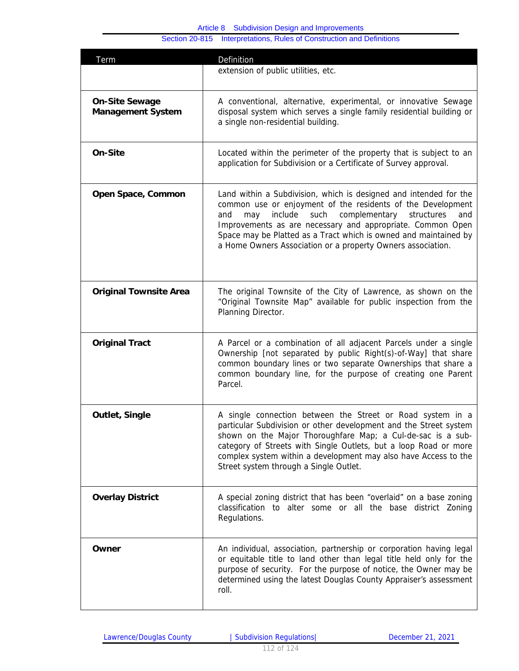| Term                                              | Definition                                                                                                                                                                                                                                                                                                                                                                                               |
|---------------------------------------------------|----------------------------------------------------------------------------------------------------------------------------------------------------------------------------------------------------------------------------------------------------------------------------------------------------------------------------------------------------------------------------------------------------------|
|                                                   | extension of public utilities, etc.                                                                                                                                                                                                                                                                                                                                                                      |
| <b>On-Site Sewage</b><br><b>Management System</b> | A conventional, alternative, experimental, or innovative Sewage<br>disposal system which serves a single family residential building or<br>a single non-residential building.                                                                                                                                                                                                                            |
| <b>On-Site</b>                                    | Located within the perimeter of the property that is subject to an<br>application for Subdivision or a Certificate of Survey approval.                                                                                                                                                                                                                                                                   |
| Open Space, Common                                | Land within a Subdivision, which is designed and intended for the<br>common use or enjoyment of the residents of the Development<br>include<br>complementary<br>and<br>may<br>such<br>structures<br>and<br>Improvements as are necessary and appropriate. Common Open<br>Space may be Platted as a Tract which is owned and maintained by<br>a Home Owners Association or a property Owners association. |
| <b>Original Townsite Area</b>                     | The original Townsite of the City of Lawrence, as shown on the<br>"Original Townsite Map" available for public inspection from the<br>Planning Director.                                                                                                                                                                                                                                                 |
| <b>Original Tract</b>                             | A Parcel or a combination of all adjacent Parcels under a single<br>Ownership [not separated by public Right(s)-of-Way] that share<br>common boundary lines or two separate Ownerships that share a<br>common boundary line, for the purpose of creating one Parent<br>Parcel.                                                                                                                           |
| Outlet, Single                                    | A single connection between the Street or Road system in a<br>particular Subdivision or other development and the Street system<br>shown on the Major Thoroughfare Map; a Cul-de-sac is a sub-<br>category of Streets with Single Outlets, but a loop Road or more<br>complex system within a development may also have Access to the<br>Street system through a Single Outlet.                          |
| <b>Overlay District</b>                           | A special zoning district that has been "overlaid" on a base zoning<br>classification to alter some or all the base district Zoning<br>Regulations.                                                                                                                                                                                                                                                      |
| Owner                                             | An individual, association, partnership or corporation having legal<br>or equitable title to land other than legal title held only for the<br>purpose of security. For the purpose of notice, the Owner may be<br>determined using the latest Douglas County Appraiser's assessment<br>roll.                                                                                                             |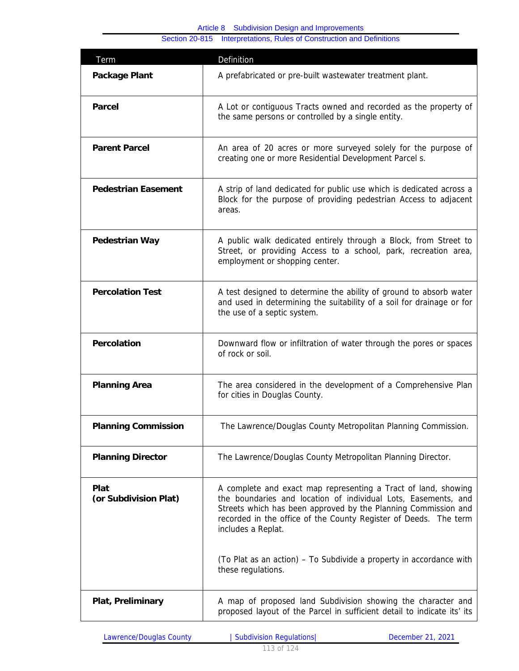| Term                          | Definition                                                                                                                                                                                                                                                                                   |
|-------------------------------|----------------------------------------------------------------------------------------------------------------------------------------------------------------------------------------------------------------------------------------------------------------------------------------------|
| <b>Package Plant</b>          | A prefabricated or pre-built wastewater treatment plant.                                                                                                                                                                                                                                     |
| <b>Parcel</b>                 | A Lot or contiguous Tracts owned and recorded as the property of<br>the same persons or controlled by a single entity.                                                                                                                                                                       |
| <b>Parent Parcel</b>          | An area of 20 acres or more surveyed solely for the purpose of<br>creating one or more Residential Development Parcel s.                                                                                                                                                                     |
| <b>Pedestrian Easement</b>    | A strip of land dedicated for public use which is dedicated across a<br>Block for the purpose of providing pedestrian Access to adjacent<br>areas.                                                                                                                                           |
| <b>Pedestrian Way</b>         | A public walk dedicated entirely through a Block, from Street to<br>Street, or providing Access to a school, park, recreation area,<br>employment or shopping center.                                                                                                                        |
| <b>Percolation Test</b>       | A test designed to determine the ability of ground to absorb water<br>and used in determining the suitability of a soil for drainage or for<br>the use of a septic system.                                                                                                                   |
| Percolation                   | Downward flow or infiltration of water through the pores or spaces<br>of rock or soil.                                                                                                                                                                                                       |
| <b>Planning Area</b>          | The area considered in the development of a Comprehensive Plan<br>for cities in Douglas County.                                                                                                                                                                                              |
| <b>Planning Commission</b>    | The Lawrence/Douglas County Metropolitan Planning Commission.                                                                                                                                                                                                                                |
| <b>Planning Director</b>      | The Lawrence/Douglas County Metropolitan Planning Director.                                                                                                                                                                                                                                  |
| Plat<br>(or Subdivision Plat) | A complete and exact map representing a Tract of land, showing<br>the boundaries and location of individual Lots, Easements, and<br>Streets which has been approved by the Planning Commission and<br>recorded in the office of the County Register of Deeds. The term<br>includes a Replat. |
|                               | (To Plat as an action) – To Subdivide a property in accordance with<br>these regulations.                                                                                                                                                                                                    |
| Plat, Preliminary             | A map of proposed land Subdivision showing the character and<br>proposed layout of the Parcel in sufficient detail to indicate its' its                                                                                                                                                      |

| Lawrence/Douglas County | Subdivision Regulations | December 21, 2021 |
|-------------------------|-------------------------|-------------------|
|                         | 113 of 124              |                   |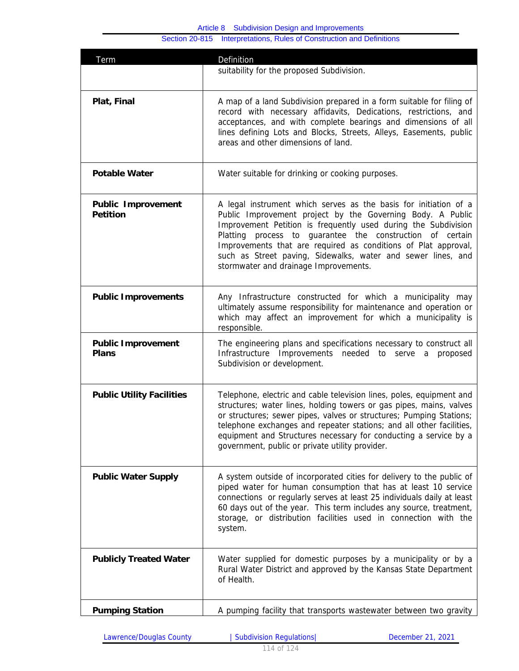| Term                                         | Definition                                                                                                                                                                                                                                                                                                                                                                                                                               |
|----------------------------------------------|------------------------------------------------------------------------------------------------------------------------------------------------------------------------------------------------------------------------------------------------------------------------------------------------------------------------------------------------------------------------------------------------------------------------------------------|
|                                              | suitability for the proposed Subdivision.                                                                                                                                                                                                                                                                                                                                                                                                |
| Plat, Final                                  | A map of a land Subdivision prepared in a form suitable for filing of<br>record with necessary affidavits, Dedications, restrictions, and<br>acceptances, and with complete bearings and dimensions of all<br>lines defining Lots and Blocks, Streets, Alleys, Easements, public<br>areas and other dimensions of land.                                                                                                                  |
| <b>Potable Water</b>                         | Water suitable for drinking or cooking purposes.                                                                                                                                                                                                                                                                                                                                                                                         |
| <b>Public Improvement</b><br><b>Petition</b> | A legal instrument which serves as the basis for initiation of a<br>Public Improvement project by the Governing Body. A Public<br>Improvement Petition is frequently used during the Subdivision<br>Platting process to guarantee the construction of certain<br>Improvements that are required as conditions of Plat approval,<br>such as Street paving, Sidewalks, water and sewer lines, and<br>stormwater and drainage Improvements. |
| <b>Public Improvements</b>                   | Any Infrastructure constructed for which a municipality may<br>ultimately assume responsibility for maintenance and operation or<br>which may affect an improvement for which a municipality is<br>responsible.                                                                                                                                                                                                                          |
| <b>Public Improvement</b><br><b>Plans</b>    | The engineering plans and specifications necessary to construct all<br>Infrastructure Improvements needed to serve a proposed<br>Subdivision or development.                                                                                                                                                                                                                                                                             |
| <b>Public Utility Facilities</b>             | Telephone, electric and cable television lines, poles, equipment and<br>structures; water lines, holding towers or gas pipes, mains, valves<br>or structures; sewer pipes, valves or structures; Pumping Stations;<br>telephone exchanges and repeater stations; and all other facilities,<br>equipment and Structures necessary for conducting a service by a<br>government, public or private utility provider.                        |
| <b>Public Water Supply</b>                   | A system outside of incorporated cities for delivery to the public of<br>piped water for human consumption that has at least 10 service<br>connections or regularly serves at least 25 individuals daily at least<br>60 days out of the year. This term includes any source, treatment,<br>storage, or distribution facilities used in connection with the<br>system.                                                                    |
| <b>Publicly Treated Water</b>                | Water supplied for domestic purposes by a municipality or by a<br>Rural Water District and approved by the Kansas State Department<br>of Health.                                                                                                                                                                                                                                                                                         |
| <b>Pumping Station</b>                       | A pumping facility that transports wastewater between two gravity                                                                                                                                                                                                                                                                                                                                                                        |

| Lawrence/Douglas County | Subdivision Regulations | December 21, 2021 |
|-------------------------|-------------------------|-------------------|
|-------------------------|-------------------------|-------------------|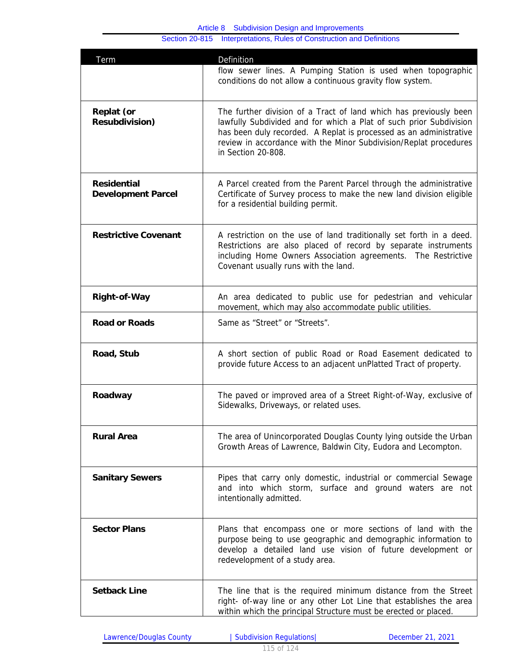| Term                                            | Definition                                                                                                                                                                                                                                                                                               |
|-------------------------------------------------|----------------------------------------------------------------------------------------------------------------------------------------------------------------------------------------------------------------------------------------------------------------------------------------------------------|
|                                                 | flow sewer lines. A Pumping Station is used when topographic<br>conditions do not allow a continuous gravity flow system.                                                                                                                                                                                |
| <b>Replat (or</b><br><b>Resubdivision)</b>      | The further division of a Tract of land which has previously been<br>lawfully Subdivided and for which a Plat of such prior Subdivision<br>has been duly recorded. A Replat is processed as an administrative<br>review in accordance with the Minor Subdivision/Replat procedures<br>in Section 20-808. |
| <b>Residential</b><br><b>Development Parcel</b> | A Parcel created from the Parent Parcel through the administrative<br>Certificate of Survey process to make the new land division eligible<br>for a residential building permit.                                                                                                                         |
| <b>Restrictive Covenant</b>                     | A restriction on the use of land traditionally set forth in a deed.<br>Restrictions are also placed of record by separate instruments<br>including Home Owners Association agreements. The Restrictive<br>Covenant usually runs with the land.                                                           |
| Right-of-Way                                    | An area dedicated to public use for pedestrian and vehicular<br>movement, which may also accommodate public utilities.                                                                                                                                                                                   |
| <b>Road or Roads</b>                            | Same as "Street" or "Streets".                                                                                                                                                                                                                                                                           |
| Road, Stub                                      | A short section of public Road or Road Easement dedicated to<br>provide future Access to an adjacent unPlatted Tract of property.                                                                                                                                                                        |
| Roadway                                         | The paved or improved area of a Street Right-of-Way, exclusive of<br>Sidewalks, Driveways, or related uses.                                                                                                                                                                                              |
| <b>Rural Area</b>                               | The area of Unincorporated Douglas County lying outside the Urban<br>Growth Areas of Lawrence, Baldwin City, Eudora and Lecompton.                                                                                                                                                                       |
| <b>Sanitary Sewers</b>                          | Pipes that carry only domestic, industrial or commercial Sewage<br>and into which storm, surface and ground waters are not<br>intentionally admitted.                                                                                                                                                    |
| <b>Sector Plans</b>                             | Plans that encompass one or more sections of land with the<br>purpose being to use geographic and demographic information to<br>develop a detailed land use vision of future development or<br>redevelopment of a study area.                                                                            |
| <b>Setback Line</b>                             | The line that is the required minimum distance from the Street<br>right- of-way line or any other Lot Line that establishes the area<br>within which the principal Structure must be erected or placed.                                                                                                  |

| Lawrence/Douglas County | Subdivision Regulations | December 21, 2021 |
|-------------------------|-------------------------|-------------------|
|                         | $115$ of $124$          |                   |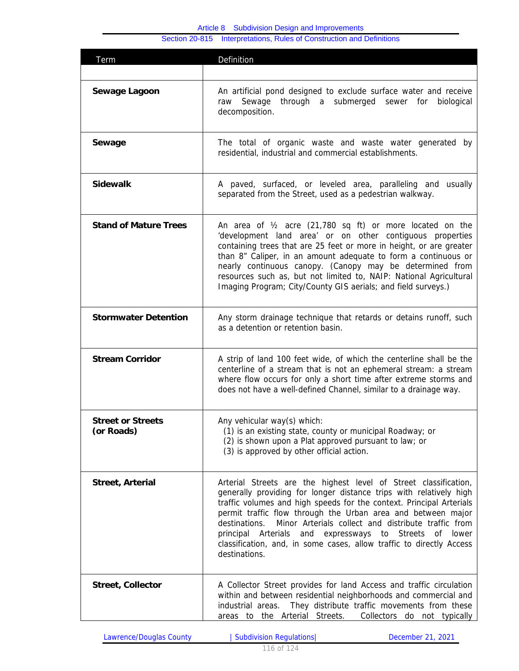| Term                                   | Definition                                                                                                                                                                                                                                                                                                                                                                                                                                                                                                                    |
|----------------------------------------|-------------------------------------------------------------------------------------------------------------------------------------------------------------------------------------------------------------------------------------------------------------------------------------------------------------------------------------------------------------------------------------------------------------------------------------------------------------------------------------------------------------------------------|
|                                        |                                                                                                                                                                                                                                                                                                                                                                                                                                                                                                                               |
| Sewage Lagoon                          | An artificial pond designed to exclude surface water and receive<br>Sewage through a submerged sewer for biological<br>raw<br>decomposition.                                                                                                                                                                                                                                                                                                                                                                                  |
| Sewage                                 | The total of organic waste and waste water generated by<br>residential, industrial and commercial establishments.                                                                                                                                                                                                                                                                                                                                                                                                             |
| <b>Sidewalk</b>                        | A paved, surfaced, or leveled area, paralleling and usually<br>separated from the Street, used as a pedestrian walkway.                                                                                                                                                                                                                                                                                                                                                                                                       |
| <b>Stand of Mature Trees</b>           | An area of $\frac{1}{2}$ acre (21,780 sq ft) or more located on the<br>'development land area' or on other contiguous properties<br>containing trees that are 25 feet or more in height, or are greater<br>than 8" Caliper, in an amount adequate to form a continuous or<br>nearly continuous canopy. (Canopy may be determined from<br>resources such as, but not limited to, NAIP: National Agricultural<br>Imaging Program; City/County GIS aerials; and field surveys.)                                                  |
| <b>Stormwater Detention</b>            | Any storm drainage technique that retards or detains runoff, such<br>as a detention or retention basin.                                                                                                                                                                                                                                                                                                                                                                                                                       |
| <b>Stream Corridor</b>                 | A strip of land 100 feet wide, of which the centerline shall be the<br>centerline of a stream that is not an ephemeral stream: a stream<br>where flow occurs for only a short time after extreme storms and<br>does not have a well-defined Channel, similar to a drainage way.                                                                                                                                                                                                                                               |
| <b>Street or Streets</b><br>(or Roads) | Any vehicular way(s) which:<br>(1) is an existing state, county or municipal Roadway; or<br>(2) is shown upon a Plat approved pursuant to law; or<br>(3) is approved by other official action.                                                                                                                                                                                                                                                                                                                                |
| Street, Arterial                       | Arterial Streets are the highest level of Street classification,<br>generally providing for longer distance trips with relatively high<br>traffic volumes and high speeds for the context. Principal Arterials<br>permit traffic flow through the Urban area and between major<br>destinations.<br>Minor Arterials collect and distribute traffic from<br>principal Arterials and expressways<br><b>Streets</b><br>to<br>lower<br>of<br>classification, and, in some cases, allow traffic to directly Access<br>destinations. |
| <b>Street, Collector</b>               | A Collector Street provides for land Access and traffic circulation<br>within and between residential neighborhoods and commercial and<br>industrial areas. They distribute traffic movements from these<br>areas to the Arterial Streets.<br>Collectors do not typically                                                                                                                                                                                                                                                     |

| <b>Lawrence/Douglas County</b> | Subdivision Regulations | December 21, 2021 |
|--------------------------------|-------------------------|-------------------|
|                                | $116 - 512$             |                   |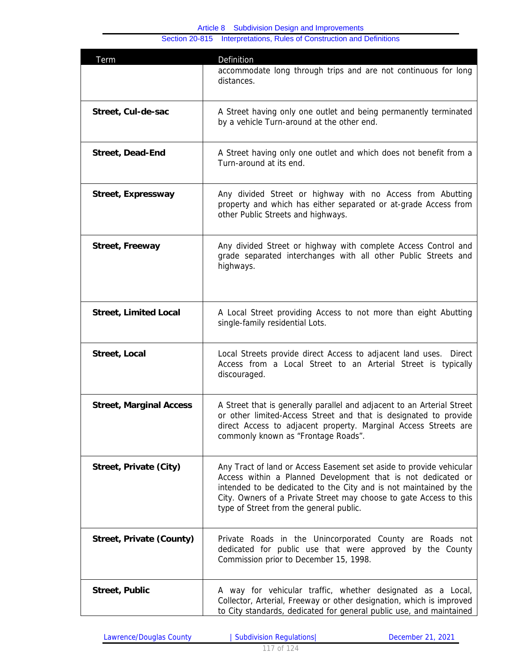| Term                            | Definition                                                                                                                                                                                                                                                                                                                |
|---------------------------------|---------------------------------------------------------------------------------------------------------------------------------------------------------------------------------------------------------------------------------------------------------------------------------------------------------------------------|
|                                 | accommodate long through trips and are not continuous for long<br>distances.                                                                                                                                                                                                                                              |
| Street, Cul-de-sac              | A Street having only one outlet and being permanently terminated<br>by a vehicle Turn-around at the other end.                                                                                                                                                                                                            |
| <b>Street, Dead-End</b>         | A Street having only one outlet and which does not benefit from a<br>Turn-around at its end.                                                                                                                                                                                                                              |
| <b>Street, Expressway</b>       | Any divided Street or highway with no Access from Abutting<br>property and which has either separated or at-grade Access from<br>other Public Streets and highways.                                                                                                                                                       |
| <b>Street, Freeway</b>          | Any divided Street or highway with complete Access Control and<br>grade separated interchanges with all other Public Streets and<br>highways.                                                                                                                                                                             |
| <b>Street, Limited Local</b>    | A Local Street providing Access to not more than eight Abutting<br>single-family residential Lots.                                                                                                                                                                                                                        |
| Street, Local                   | Local Streets provide direct Access to adjacent land uses.<br>Direct<br>Access from a Local Street to an Arterial Street is typically<br>discouraged.                                                                                                                                                                     |
| <b>Street, Marginal Access</b>  | A Street that is generally parallel and adjacent to an Arterial Street<br>or other limited-Access Street and that is designated to provide<br>direct Access to adjacent property. Marginal Access Streets are<br>commonly known as "Frontage Roads".                                                                      |
| Street, Private (City)          | Any Tract of land or Access Easement set aside to provide vehicular<br>Access within a Planned Development that is not dedicated or<br>intended to be dedicated to the City and is not maintained by the<br>City. Owners of a Private Street may choose to gate Access to this<br>type of Street from the general public. |
| <b>Street, Private (County)</b> | Private Roads in the Unincorporated County are Roads not<br>dedicated for public use that were approved by the County<br>Commission prior to December 15, 1998.                                                                                                                                                           |
| <b>Street, Public</b>           | A way for vehicular traffic, whether designated as a Local,<br>Collector, Arterial, Freeway or other designation, which is improved<br>to City standards, dedicated for general public use, and maintained                                                                                                                |

| Lawrence/Douglas County | Subdivision Regulations | December 21, 2021 |
|-------------------------|-------------------------|-------------------|
|                         | $117$ of 124            |                   |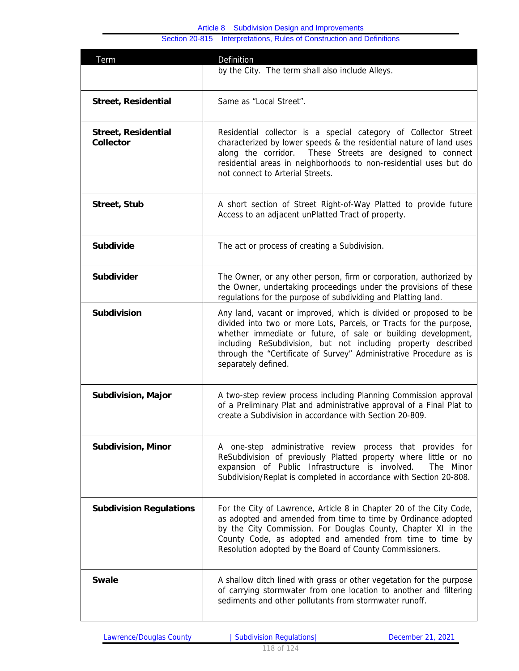| Term                                           | Definition<br>by the City. The term shall also include Alleys.                                                                                                                                                                                                                                                                                                        |
|------------------------------------------------|-----------------------------------------------------------------------------------------------------------------------------------------------------------------------------------------------------------------------------------------------------------------------------------------------------------------------------------------------------------------------|
| <b>Street, Residential</b>                     | Same as "Local Street".                                                                                                                                                                                                                                                                                                                                               |
| <b>Street, Residential</b><br><b>Collector</b> | Residential collector is a special category of Collector Street<br>characterized by lower speeds & the residential nature of land uses<br>along the corridor. These Streets are designed to connect<br>residential areas in neighborhoods to non-residential uses but do<br>not connect to Arterial Streets.                                                          |
| <b>Street, Stub</b>                            | A short section of Street Right-of-Way Platted to provide future<br>Access to an adjacent unPlatted Tract of property.                                                                                                                                                                                                                                                |
| <b>Subdivide</b>                               | The act or process of creating a Subdivision.                                                                                                                                                                                                                                                                                                                         |
| <b>Subdivider</b>                              | The Owner, or any other person, firm or corporation, authorized by<br>the Owner, undertaking proceedings under the provisions of these<br>regulations for the purpose of subdividing and Platting land.                                                                                                                                                               |
| <b>Subdivision</b>                             | Any land, vacant or improved, which is divided or proposed to be<br>divided into two or more Lots, Parcels, or Tracts for the purpose,<br>whether immediate or future, of sale or building development,<br>including ReSubdivision, but not including property described<br>through the "Certificate of Survey" Administrative Procedure as is<br>separately defined. |
| Subdivision, Major                             | A two-step review process including Planning Commission approval<br>of a Preliminary Plat and administrative approval of a Final Plat to<br>create a Subdivision in accordance with Section 20-809.                                                                                                                                                                   |
| <b>Subdivision, Minor</b>                      | A one-step administrative review process that provides for<br>ReSubdivision of previously Platted property where little or no<br>expansion of Public Infrastructure is involved.<br>The Minor<br>Subdivision/Replat is completed in accordance with Section 20-808.                                                                                                   |
| <b>Subdivision Regulations</b>                 | For the City of Lawrence, Article 8 in Chapter 20 of the City Code,<br>as adopted and amended from time to time by Ordinance adopted<br>by the City Commission. For Douglas County, Chapter XI in the<br>County Code, as adopted and amended from time to time by<br>Resolution adopted by the Board of County Commissioners.                                         |
| <b>Swale</b>                                   | A shallow ditch lined with grass or other vegetation for the purpose<br>of carrying stormwater from one location to another and filtering<br>sediments and other pollutants from stormwater runoff.                                                                                                                                                                   |

| Lawrence/Douglas County | Subdivision Regulations | December 21, 2021 |
|-------------------------|-------------------------|-------------------|
|                         | 118 of 124              |                   |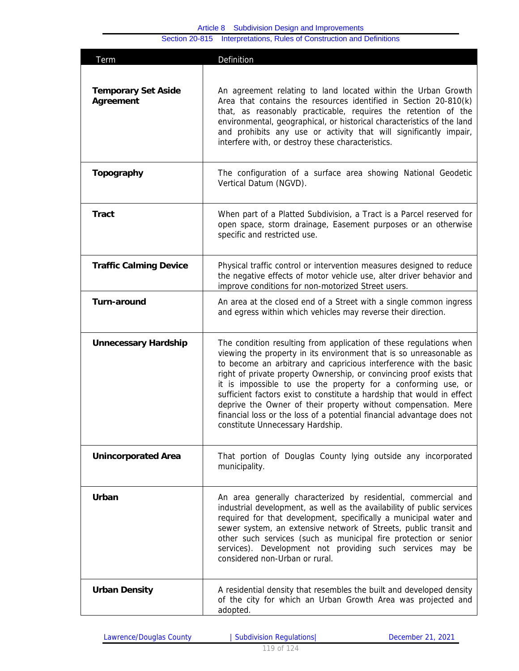| Term                                    | Definition                                                                                                                                                                                                                                                                                                                                                                                                                                                                                                                                                                                                       |
|-----------------------------------------|------------------------------------------------------------------------------------------------------------------------------------------------------------------------------------------------------------------------------------------------------------------------------------------------------------------------------------------------------------------------------------------------------------------------------------------------------------------------------------------------------------------------------------------------------------------------------------------------------------------|
| <b>Temporary Set Aside</b><br>Agreement | An agreement relating to land located within the Urban Growth<br>Area that contains the resources identified in Section 20-810(k)<br>that, as reasonably practicable, requires the retention of the<br>environmental, geographical, or historical characteristics of the land<br>and prohibits any use or activity that will significantly impair,<br>interfere with, or destroy these characteristics.                                                                                                                                                                                                          |
| Topography                              | The configuration of a surface area showing National Geodetic<br>Vertical Datum (NGVD).                                                                                                                                                                                                                                                                                                                                                                                                                                                                                                                          |
| <b>Tract</b>                            | When part of a Platted Subdivision, a Tract is a Parcel reserved for<br>open space, storm drainage, Easement purposes or an otherwise<br>specific and restricted use.                                                                                                                                                                                                                                                                                                                                                                                                                                            |
| <b>Traffic Calming Device</b>           | Physical traffic control or intervention measures designed to reduce<br>the negative effects of motor vehicle use, alter driver behavior and<br>improve conditions for non-motorized Street users.                                                                                                                                                                                                                                                                                                                                                                                                               |
| Turn-around                             | An area at the closed end of a Street with a single common ingress<br>and egress within which vehicles may reverse their direction.                                                                                                                                                                                                                                                                                                                                                                                                                                                                              |
| <b>Unnecessary Hardship</b>             | The condition resulting from application of these regulations when<br>viewing the property in its environment that is so unreasonable as<br>to become an arbitrary and capricious interference with the basic<br>right of private property Ownership, or convincing proof exists that<br>it is impossible to use the property for a conforming use, or<br>sufficient factors exist to constitute a hardship that would in effect<br>deprive the Owner of their property without compensation. Mere<br>financial loss or the loss of a potential financial advantage does not<br>constitute Unnecessary Hardship. |
| <b>Unincorporated Area</b>              | That portion of Douglas County lying outside any incorporated<br>municipality.                                                                                                                                                                                                                                                                                                                                                                                                                                                                                                                                   |
| Urban                                   | An area generally characterized by residential, commercial and<br>industrial development, as well as the availability of public services<br>required for that development, specifically a municipal water and<br>sewer system, an extensive network of Streets, public transit and<br>other such services (such as municipal fire protection or senior<br>services). Development not providing such services may be<br>considered non-Urban or rural.                                                                                                                                                            |
| <b>Urban Density</b>                    | A residential density that resembles the built and developed density<br>of the city for which an Urban Growth Area was projected and<br>adopted.                                                                                                                                                                                                                                                                                                                                                                                                                                                                 |

| Lawrence/Douglas County | Subdivision Regulations | December 21, 2021 |
|-------------------------|-------------------------|-------------------|
|                         | 119 of 124              |                   |